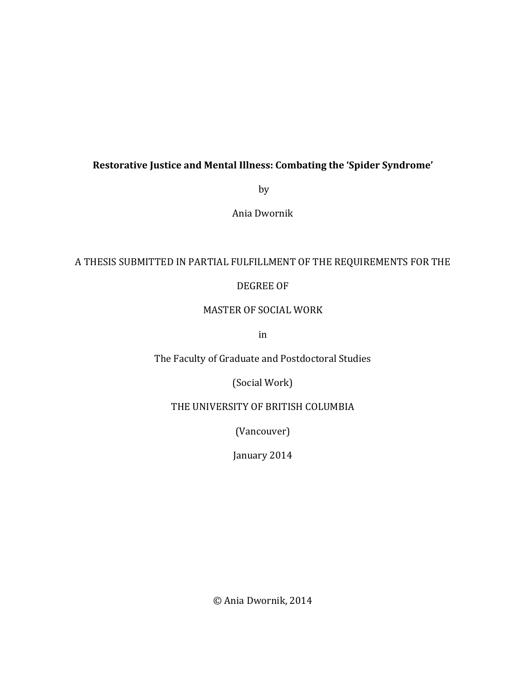# Restorative Justice and Mental Illness: Combating the 'Spider Syndrome'

by

Ania!Dwornik

## A THESIS SUBMITTED IN PARTIAL FULFILLMENT OF THE REQUIREMENTS FOR THE

## DEGREE OF

## MASTER OF SOCIAL WORK

in

The Faculty of Graduate and Postdoctoral Studies

(Social Work)

THE UNIVERSITY OF BRITISH COLUMBIA

(Vancouver)

January 2014

© Ania Dwornik, 2014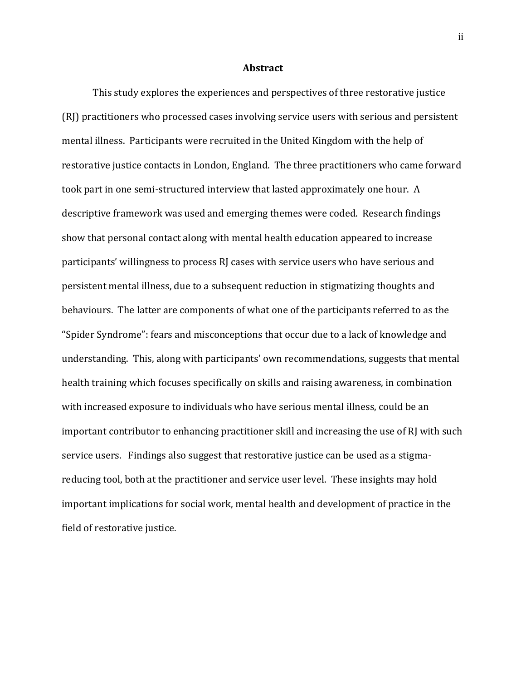### **Abstract**

This study explores the experiences and perspectives of three restorative justice (RJ) practitioners who processed cases involving service users with serious and persistent mental illness. Participants were recruited in the United Kingdom with the help of restorative justice contacts in London, England. The three practitioners who came forward took part in one semi-structured interview that lasted approximately one hour. A descriptive framework was used and emerging themes were coded. Research findings show that personal contact along with mental health education appeared to increase participants' willingness to process RJ cases with service users who have serious and persistent mental illness, due to a subsequent reduction in stigmatizing thoughts and behaviours. The latter are components of what one of the participants referred to as the "Spider Syndrome": fears and misconceptions that occur due to a lack of knowledge and understanding. This, along with participants' own recommendations, suggests that mental health training which focuses specifically on skills and raising awareness, in combination with increased exposure to individuals who have serious mental illness, could be an important contributor to enhancing practitioner skill and increasing the use of RJ with such service users. Findings also suggest that restorative justice can be used as a stigmareducing tool, both at the practitioner and service user level. These insights may hold important implications for social work, mental health and development of practice in the field of restorative justice.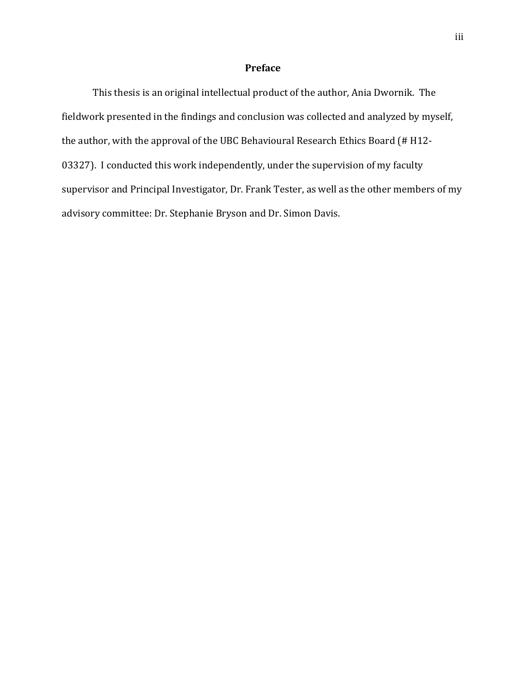## **Preface**

This thesis is an original intellectual product of the author, Ania Dwornik. The fieldwork presented in the findings and conclusion was collected and analyzed by myself, the author, with the approval of the UBC Behavioural Research Ethics Board (# H12-03327). I conducted this work independently, under the supervision of my faculty supervisor and Principal Investigator, Dr. Frank Tester, as well as the other members of my advisory committee: Dr. Stephanie Bryson and Dr. Simon Davis.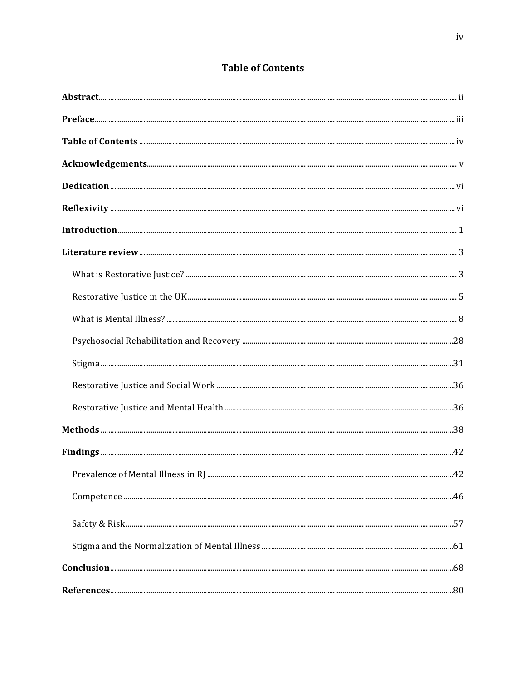# **Table of Contents**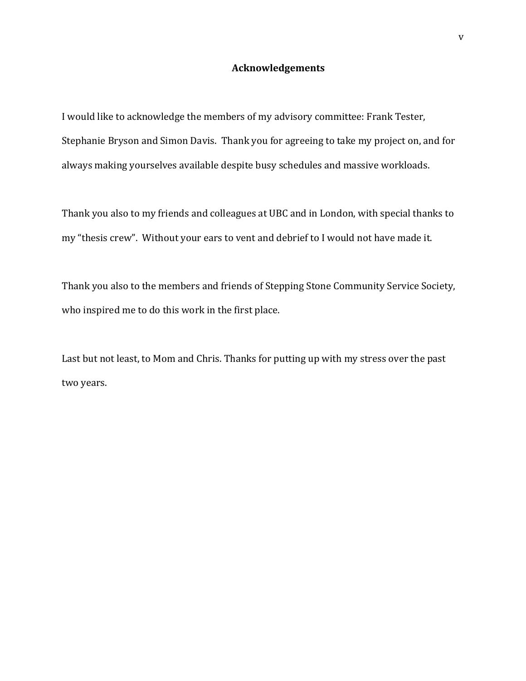## **Acknowledgements**

I would like to acknowledge the members of my advisory committee: Frank Tester, Stephanie Bryson and Simon Davis. Thank you for agreeing to take my project on, and for always making yourselves available despite busy schedules and massive workloads.

Thank you also to my friends and colleagues at UBC and in London, with special thanks to my "thesis crew". Without your ears to vent and debrief to I would not have made it.

Thank you also to the members and friends of Stepping Stone Community Service Society, who inspired me to do this work in the first place.

Last but not least, to Mom and Chris. Thanks for putting up with my stress over the past two years.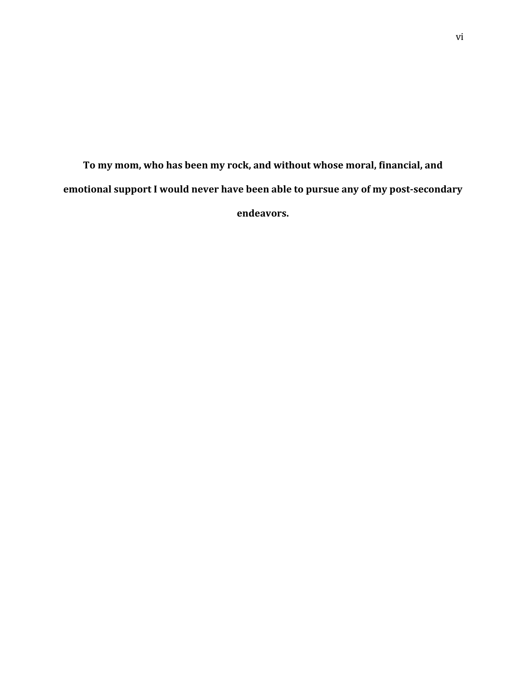To my mom, who has been my rock, and without whose moral, financial, and emotional support I would never have been able to pursue any of my post-secondary endeavors.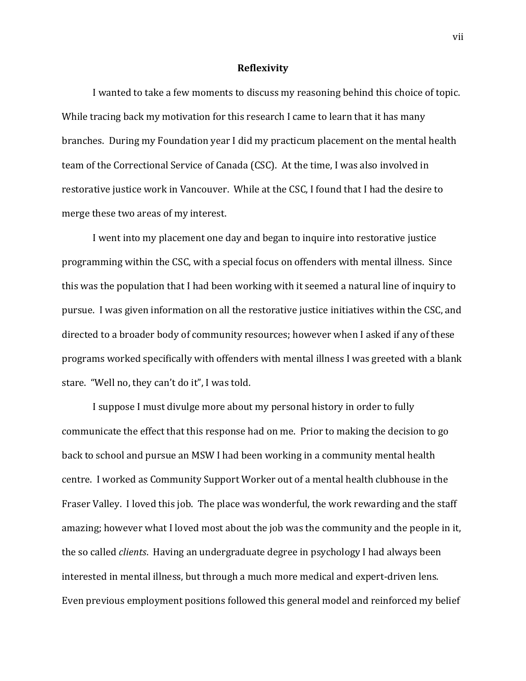### **Reflexivity**

I wanted to take a few moments to discuss my reasoning behind this choice of topic. While tracing back my motivation for this research I came to learn that it has many branches. During my Foundation year I did my practicum placement on the mental health team of the Correctional Service of Canada (CSC). At the time, I was also involved in restorative justice work in Vancouver. While at the CSC, I found that I had the desire to merge these two areas of my interest.

I went into my placement one day and began to inquire into restorative justice programming within the CSC, with a special focus on offenders with mental illness. Since this was the population that I had been working with it seemed a natural line of inquiry to pursue. I was given information on all the restorative justice initiatives within the CSC, and directed to a broader body of community resources; however when I asked if any of these programs worked specifically with offenders with mental illness I was greeted with a blank stare. "Well no, they can't do it", I was told.

I suppose I must divulge more about my personal history in order to fully communicate the effect that this response had on me. Prior to making the decision to go back to school and pursue an MSW I had been working in a community mental health centre. I worked as Community Support Worker out of a mental health clubhouse in the Fraser Valley. I loved this job. The place was wonderful, the work rewarding and the staff amazing; however what I loved most about the job was the community and the people in it, the so called *clients*. Having an undergraduate degree in psychology I had always been interested in mental illness, but through a much more medical and expert-driven lens. Even previous employment positions followed this general model and reinforced my belief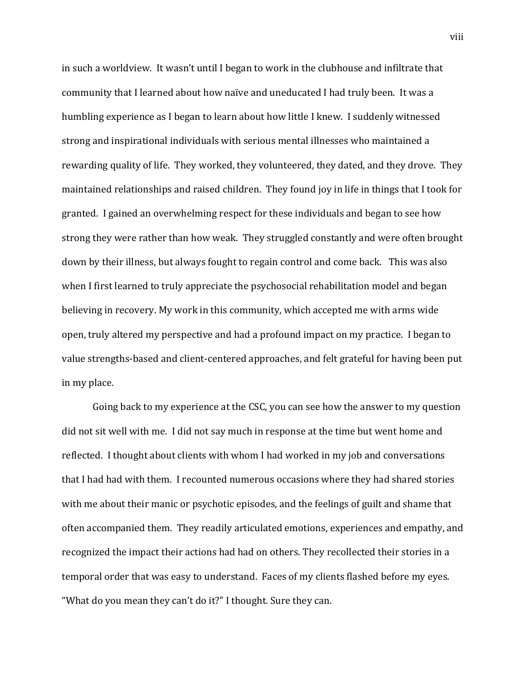in such a worldview. It wasn't until I began to work in the clubhouse and infiltrate that community that I learned about how naïve and uneducated I had truly been. It was a humbling experience as I began to learn about how little I knew. I suddenly witnessed strong and inspirational individuals with serious mental illnesses who maintained a rewarding quality of life. They worked, they volunteered, they dated, and they drove. They maintained relationships and raised children. They found joy in life in things that I took for granted. I gained an overwhelming respect for these individuals and began to see how strong they were rather than how weak. They struggled constantly and were often brought down by their illness, but always fought to regain control and come back. This was also when I first learned to truly appreciate the psychosocial rehabilitation model and began believing in recovery. My work in this community, which accepted me with arms wide open, truly altered my perspective and had a profound impact on my practice. I began to value strengths-based and client-centered approaches, and felt grateful for having been put in my place.

Going back to my experience at the CSC, you can see how the answer to my question did not sit well with me. I did not say much in response at the time but went home and reflected. I thought about clients with whom I had worked in my job and conversations that I had had with them. I recounted numerous occasions where they had shared stories with me about their manic or psychotic episodes, and the feelings of guilt and shame that often accompanied them. They readily articulated emotions, experiences and empathy, and recognized the impact their actions had had on others. They recollected their stories in a temporal order that was easy to understand. Faces of my clients flashed before my eyes. "What do you mean they can't do it?" I thought. Sure they can.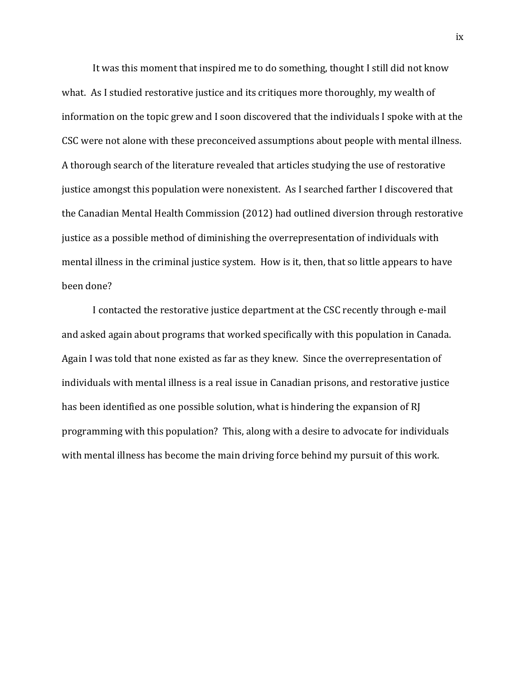It was this moment that inspired me to do something, thought I still did not know what. As I studied restorative justice and its critiques more thoroughly, my wealth of information on the topic grew and I soon discovered that the individuals I spoke with at the CSC were not alone with these preconceived assumptions about people with mental illness. A thorough search of the literature revealed that articles studying the use of restorative justice amongst this population were nonexistent. As I searched farther I discovered that the Canadian Mental Health Commission (2012) had outlined diversion through restorative justice as a possible method of diminishing the overrepresentation of individuals with mental illness in the criminal justice system. How is it, then, that so little appears to have been done?

I contacted the restorative justice department at the CSC recently through e-mail and asked again about programs that worked specifically with this population in Canada. Again I was told that none existed as far as they knew. Since the overrepresentation of individuals with mental illness is a real issue in Canadian prisons, and restorative justice has been identified as one possible solution, what is hindering the expansion of RJ programming with this population? This, along with a desire to advocate for individuals with mental illness has become the main driving force behind my pursuit of this work.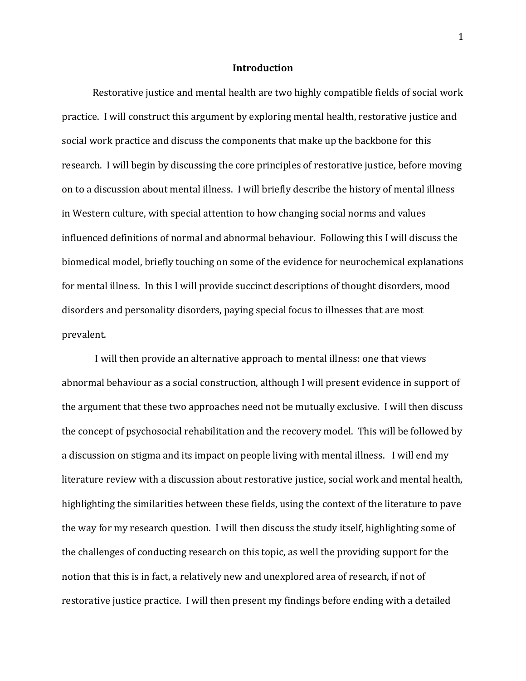### **Introduction**

Restorative justice and mental health are two highly compatible fields of social work practice. I will construct this argument by exploring mental health, restorative justice and social work practice and discuss the components that make up the backbone for this research. I will begin by discussing the core principles of restorative justice, before moving on to a discussion about mental illness. I will briefly describe the history of mental illness in Western culture, with special attention to how changing social norms and values influenced definitions of normal and abnormal behaviour. Following this I will discuss the biomedical model, briefly touching on some of the evidence for neurochemical explanations for mental illness. In this I will provide succinct descriptions of thought disorders, mood disorders and personality disorders, paying special focus to illnesses that are most prevalent.

I will then provide an alternative approach to mental illness: one that views abnormal behaviour as a social construction, although I will present evidence in support of the argument that these two approaches need not be mutually exclusive. I will then discuss the concept of psychosocial rehabilitation and the recovery model. This will be followed by a discussion on stigma and its impact on people living with mental illness. I will end my literature review with a discussion about restorative justice, social work and mental health, highlighting the similarities between these fields, using the context of the literature to pave the way for my research question. I will then discuss the study itself, highlighting some of the challenges of conducting research on this topic, as well the providing support for the notion that this is in fact, a relatively new and unexplored area of research, if not of restorative justice practice. I will then present my findings before ending with a detailed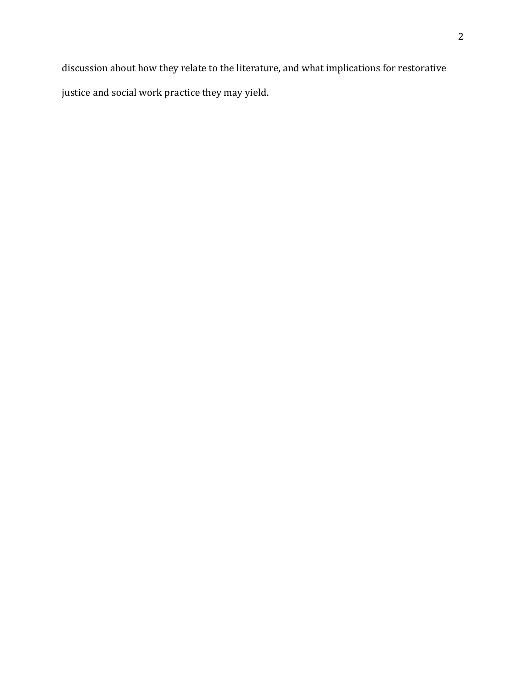discussion about how they relate to the literature, and what implications for restorative justice and social work practice they may yield.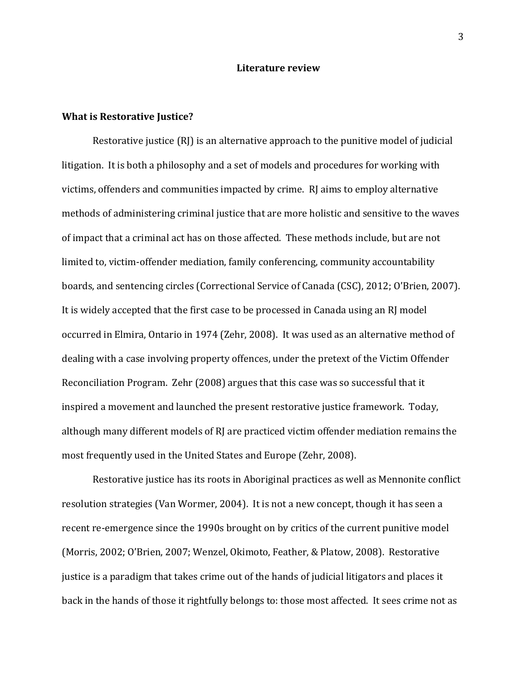### **Literature review**

### **What is Restorative Justice?**

Restorative justice  $(RI)$  is an alternative approach to the punitive model of judicial litigation. It is both a philosophy and a set of models and procedures for working with victims, offenders and communities impacted by crime. RJ aims to employ alternative methods of administering criminal justice that are more holistic and sensitive to the waves of impact that a criminal act has on those affected. These methods include, but are not limited to, victim-offender mediation, family conferencing, community accountability boards, and sentencing circles (Correctional Service of Canada (CSC), 2012; O'Brien, 2007). It is widely accepted that the first case to be processed in Canada using an RJ model occurred in Elmira, Ontario in 1974 (Zehr, 2008). It was used as an alternative method of dealing with a case involving property offences, under the pretext of the Victim Offender Reconciliation Program. Zehr (2008) argues that this case was so successful that it inspired a movement and launched the present restorative justice framework. Today, although many different models of RJ are practiced victim offender mediation remains the most frequently used in the United States and Europe (Zehr, 2008).

Restorative justice has its roots in Aboriginal practices as well as Mennonite conflict resolution strategies (Van Wormer, 2004). It is not a new concept, though it has seen a recent re-emergence since the 1990s brought on by critics of the current punitive model (Morris, 2002; O'Brien, 2007; Wenzel, Okimoto, Feather, & Platow, 2008). Restorative justice is a paradigm that takes crime out of the hands of judicial litigators and places it back in the hands of those it rightfully belongs to: those most affected. It sees crime not as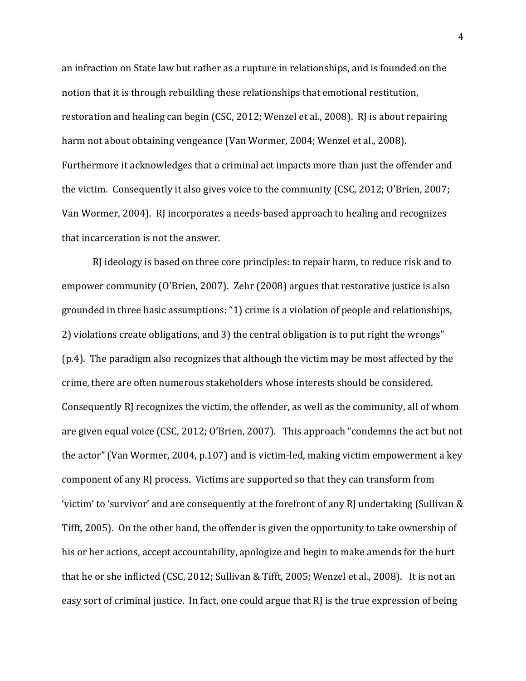an infraction on State law but rather as a rupture in relationships, and is founded on the notion that it is through rebuilding these relationships that emotional restitution, restoration and healing can begin (CSC, 2012; Wenzel et al., 2008). RJ is about repairing harm not about obtaining vengeance (Van Wormer, 2004; Wenzel et al., 2008). Furthermore it acknowledges that a criminal act impacts more than just the offender and the victim. Consequently it also gives voice to the community (CSC, 2012; O'Brien, 2007; Van Wormer, 2004). RJ incorporates a needs-based approach to healing and recognizes that incarceration is not the answer.

RJ ideology is based on three core principles: to repair harm, to reduce risk and to empower community (O'Brien, 2007). Zehr (2008) argues that restorative justice is also grounded in three basic assumptions: "1) crime is a violation of people and relationships, 2) violations create obligations, and 3) the central obligation is to put right the wrongs"  $(p.4)$ . The paradigm also recognizes that although the victim may be most affected by the crime, there are often numerous stakeholders whose interests should be considered. Consequently RJ recognizes the victim, the offender, as well as the community, all of whom are given equal voice (CSC, 2012; O'Brien, 2007). This approach "condemns the act but not the actor" (Van Wormer, 2004, p.107) and is victim-led, making victim empowerment a key component of any RJ process. Victims are supported so that they can transform from 'victim' to 'survivor' and are consequently at the forefront of any RJ undertaking (Sullivan & Tifft, 2005). On the other hand, the offender is given the opportunity to take ownership of his or her actions, accept accountability, apologize and begin to make amends for the hurt that he or she inflicted (CSC, 2012; Sullivan & Tifft, 2005; Wenzel et al., 2008). It is not an easy sort of criminal justice. In fact, one could argue that RJ is the true expression of being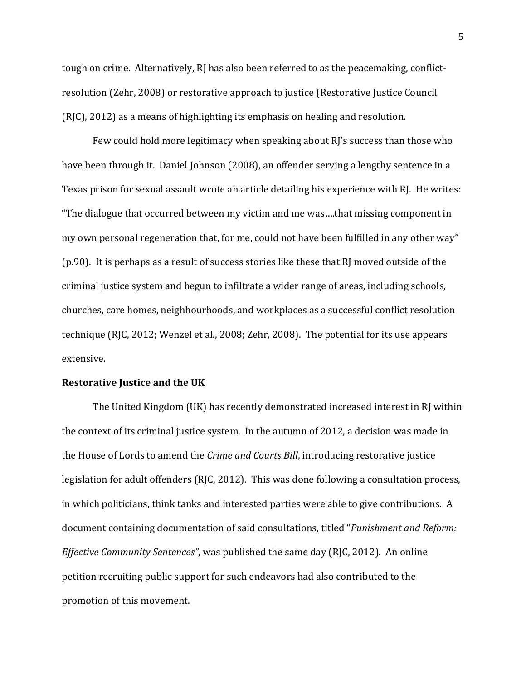tough on crime. Alternatively, RJ has also been referred to as the peacemaking, conflictresolution (Zehr, 2008) or restorative approach to justice (Restorative Justice Council  $(R)$ , 2012) as a means of highlighting its emphasis on healing and resolution.

Few could hold more legitimacy when speaking about RJ's success than those who have been through it. Daniel Johnson (2008), an offender serving a lengthy sentence in a Texas prison for sexual assault wrote an article detailing his experience with RJ. He writes: "The dialogue that occurred between my victim and me was....that missing component in my own personal regeneration that, for me, could not have been fulfilled in any other way" ( $p.90$ ). It is perhaps as a result of success stories like these that RJ moved outside of the criminal justice system and begun to infiltrate a wider range of areas, including schools, churches, care homes, neighbourhoods, and workplaces as a successful conflict resolution technique (RJC, 2012; Wenzel et al., 2008; Zehr, 2008). The potential for its use appears extensive.

## **Restorative Justice and the UK**

The United Kingdom (UK) has recently demonstrated increased interest in RJ within the context of its criminal justice system. In the autumn of 2012, a decision was made in the House of Lords to amend the *Crime and Courts Bill*, introducing restorative justice legislation for adult offenders (RJC, 2012). This was done following a consultation process, in which politicians, think tanks and interested parties were able to give contributions. A document containing documentation of said consultations, titled "*Punishment and Reform: Effective Community Sentences"*, was published the same day (RJC, 2012). An online petition recruiting public support for such endeavors had also contributed to the promotion of this movement.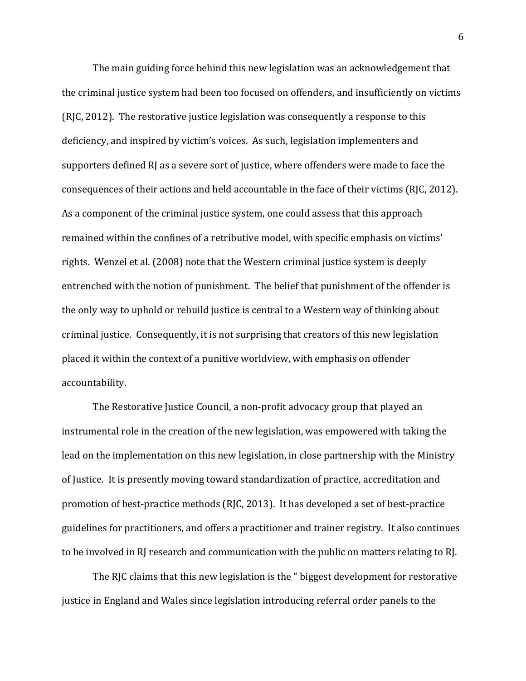The main guiding force behind this new legislation was an acknowledgement that the criminal justice system had been too focused on offenders, and insufficiently on victims (RJC, 2012). The restorative justice legislation was consequently a response to this deficiency, and inspired by victim's voices. As such, legislation implementers and supporters defined RJ as a severe sort of justice, where offenders were made to face the consequences of their actions and held accountable in the face of their victims (RJC, 2012). As a component of the criminal justice system, one could assess that this approach remained within the confines of a retributive model, with specific emphasis on victims' rights. Wenzel et al. (2008) note that the Western criminal justice system is deeply entrenched with the notion of punishment. The belief that punishment of the offender is the only way to uphold or rebuild justice is central to a Western way of thinking about criminal justice. Consequently, it is not surprising that creators of this new legislation placed it within the context of a punitive worldview, with emphasis on offender accountability.

The Restorative Justice Council, a non-profit advocacy group that played an instrumental role in the creation of the new legislation, was empowered with taking the lead on the implementation on this new legislation, in close partnership with the Ministry of Justice. It is presently moving toward standardization of practice, accreditation and promotion of best-practice methods (RJC, 2013). It has developed a set of best-practice guidelines for practitioners, and offers a practitioner and trainer registry. It also continues to be involved in RJ research and communication with the public on matters relating to RJ.

The RJC claims that this new legislation is the " biggest development for restorative justice in England and Wales since legislation introducing referral order panels to the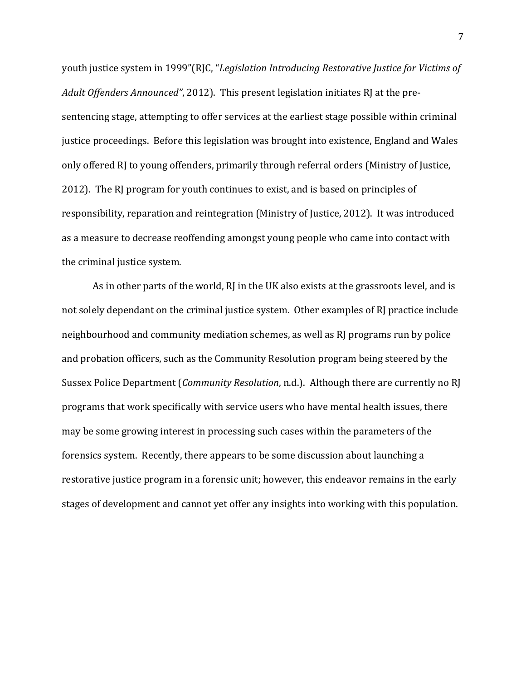youth justice system in 1999"(RJC, "*Legislation Introducing Restorative Justice for Victims of Adult Offenders Announced",* 2012). This present legislation initiates RJ at the presentencing stage, attempting to offer services at the earliest stage possible within criminal justice proceedings. Before this legislation was brought into existence, England and Wales only offered RJ to young offenders, primarily through referral orders (Ministry of Justice, 2012). The RJ program for youth continues to exist, and is based on principles of responsibility, reparation and reintegration (Ministry of Justice, 2012). It was introduced as a measure to decrease reoffending amongst young people who came into contact with the criminal justice system.

As in other parts of the world, RJ in the UK also exists at the grassroots level, and is not solely dependant on the criminal justice system. Other examples of RJ practice include neighbourhood and community mediation schemes, as well as RJ programs run by police and probation officers, such as the Community Resolution program being steered by the Sussex Police Department (*Community Resolution*, n.d.). Although there are currently no RJ programs that work specifically with service users who have mental health issues, there may be some growing interest in processing such cases within the parameters of the forensics system. Recently, there appears to be some discussion about launching a restorative justice program in a forensic unit; however, this endeavor remains in the early stages of development and cannot yet offer any insights into working with this population.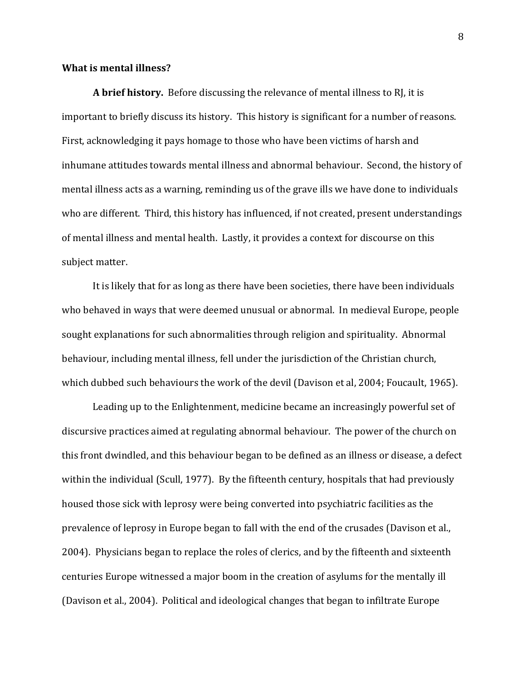### **What is mental illness?**

**A brief history.** Before discussing the relevance of mental illness to RJ, it is important to briefly discuss its history. This history is significant for a number of reasons. First, acknowledging it pays homage to those who have been victims of harsh and inhumane attitudes towards mental illness and abnormal behaviour. Second, the history of mental illness acts as a warning, reminding us of the grave ills we have done to individuals who are different. Third, this history has influenced, if not created, present understandings of mental illness and mental health. Lastly, it provides a context for discourse on this subject matter.

It is likely that for as long as there have been societies, there have been individuals who behaved in ways that were deemed unusual or abnormal. In medieval Europe, people sought explanations for such abnormalities through religion and spirituality. Abnormal behaviour, including mental illness, fell under the jurisdiction of the Christian church, which dubbed such behaviours the work of the devil (Davison et al, 2004; Foucault, 1965).

Leading up to the Enlightenment, medicine became an increasingly powerful set of discursive practices aimed at regulating abnormal behaviour. The power of the church on this front dwindled, and this behaviour began to be defined as an illness or disease, a defect within the individual (Scull, 1977). By the fifteenth century, hospitals that had previously housed those sick with leprosy were being converted into psychiatric facilities as the prevalence of leprosy in Europe began to fall with the end of the crusades (Davison et al., 2004). Physicians began to replace the roles of clerics, and by the fifteenth and sixteenth centuries Europe witnessed a major boom in the creation of asylums for the mentally ill (Davison et al., 2004). Political and ideological changes that began to infiltrate Europe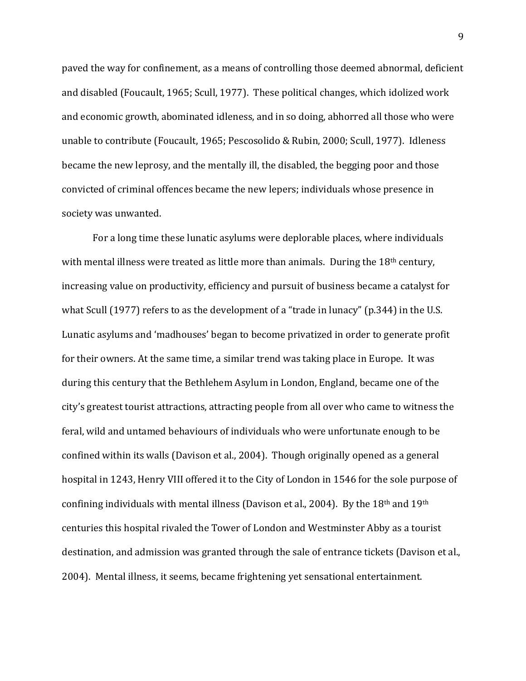paved the way for confinement, as a means of controlling those deemed abnormal, deficient and disabled (Foucault, 1965; Scull, 1977). These political changes, which idolized work and economic growth, abominated idleness, and in so doing, abhorred all those who were unable to contribute (Foucault, 1965; Pescosolido & Rubin, 2000; Scull, 1977). Idleness became the new leprosy, and the mentally ill, the disabled, the begging poor and those convicted of criminal offences became the new lepers; individuals whose presence in society was unwanted.

For a long time these lunatic asylums were deplorable places, where individuals with mental illness were treated as little more than animals. During the  $18<sup>th</sup>$  century, increasing value on productivity, efficiency and pursuit of business became a catalyst for what Scull (1977) refers to as the development of a "trade in lunacy" (p.344) in the U.S. Lunatic asylums and 'madhouses' began to become privatized in order to generate profit for their owners. At the same time, a similar trend was taking place in Europe. It was during this century that the Bethlehem Asylum in London, England, became one of the city's greatest tourist attractions, attracting people from all over who came to witness the feral, wild and untamed behaviours of individuals who were unfortunate enough to be confined within its walls (Davison et al., 2004). Though originally opened as a general hospital in 1243, Henry VIII offered it to the City of London in 1546 for the sole purpose of confining individuals with mental illness (Davison et al., 2004). By the  $18<sup>th</sup>$  and  $19<sup>th</sup>$ centuries this hospital rivaled the Tower of London and Westminster Abby as a tourist destination, and admission was granted through the sale of entrance tickets (Davison et al., 2004). Mental illness, it seems, became frightening yet sensational entertainment.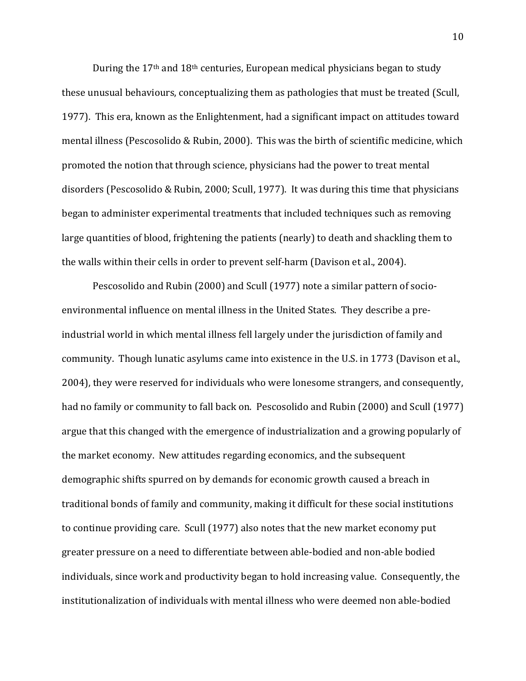During the  $17<sup>th</sup>$  and  $18<sup>th</sup>$  centuries, European medical physicians began to study these unusual behaviours, conceptualizing them as pathologies that must be treated (Scull, 1977). This era, known as the Enlightenment, had a significant impact on attitudes toward mental illness (Pescosolido & Rubin, 2000). This was the birth of scientific medicine, which promoted the notion that through science, physicians had the power to treat mental disorders (Pescosolido & Rubin, 2000; Scull, 1977). It was during this time that physicians began to administer experimental treatments that included techniques such as removing large quantities of blood, frightening the patients (nearly) to death and shackling them to the walls within their cells in order to prevent self-harm (Davison et al., 2004).

Pescosolido and Rubin (2000) and Scull (1977) note a similar pattern of socioenvironmental influence on mental illness in the United States. They describe a preindustrial world in which mental illness fell largely under the jurisdiction of family and community. Though lunatic asylums came into existence in the U.S. in 1773 (Davison et al., 2004), they were reserved for individuals who were lonesome strangers, and consequently, had no family or community to fall back on. Pescosolido and Rubin (2000) and Scull (1977). argue that this changed with the emergence of industrialization and a growing popularly of the market economy. New attitudes regarding economics, and the subsequent demographic shifts spurred on by demands for economic growth caused a breach in traditional bonds of family and community, making it difficult for these social institutions to continue providing care. Scull (1977) also notes that the new market economy put greater pressure on a need to differentiate between able-bodied and non-able bodied individuals, since work and productivity began to hold increasing value. Consequently, the institutionalization of individuals with mental illness who were deemed non able-bodied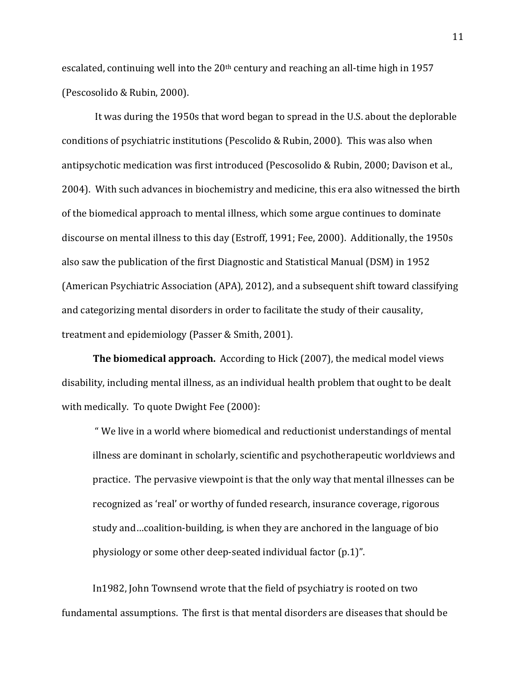escalated, continuing well into the  $20<sup>th</sup>$  century and reaching an all-time high in 1957 (Pescosolido & Rubin, 2000).

It was during the 1950s that word began to spread in the U.S. about the deplorable conditions of psychiatric institutions (Pescolido & Rubin, 2000). This was also when antipsychotic medication was first introduced (Pescosolido & Rubin, 2000; Davison et al., 2004). With such advances in biochemistry and medicine, this era also witnessed the birth of the biomedical approach to mental illness, which some argue continues to dominate discourse on mental illness to this day (Estroff, 1991; Fee, 2000). Additionally, the 1950s also saw the publication of the first Diagnostic and Statistical Manual (DSM) in 1952 (American Psychiatric Association (APA), 2012), and a subsequent shift toward classifying and categorizing mental disorders in order to facilitate the study of their causality, treatment and epidemiology (Passer & Smith, 2001).

**The biomedical approach.** According to Hick (2007), the medical model views disability, including mental illness, as an individual health problem that ought to be dealt with medically. To quote Dwight Fee (2000):

" We live in a world where biomedical and reductionist understandings of mental illness are dominant in scholarly, scientific and psychotherapeutic worldviews and practice. The pervasive viewpoint is that the only way that mental illnesses can be recognized as 'real' or worthy of funded research, insurance coverage, rigorous study and…coalition-building, is when they are anchored in the language of bio physiology or some other deep-seated individual factor  $(p.1)$ ".

In1982, John Townsend wrote that the field of psychiatry is rooted on two fundamental assumptions. The first is that mental disorders are diseases that should be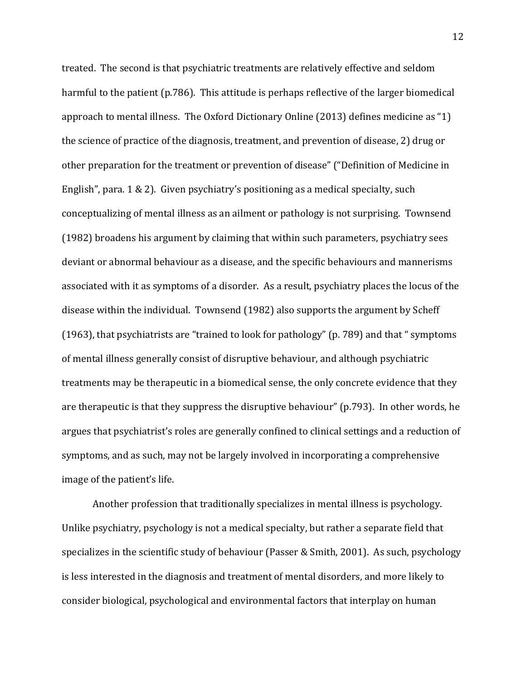treated. The second is that psychiatric treatments are relatively effective and seldom harmful to the patient (p.786). This attitude is perhaps reflective of the larger biomedical approach to mental illness. The Oxford Dictionary Online (2013) defines medicine as "1) the science of practice of the diagnosis, treatment, and prevention of disease, 2) drug or other preparation for the treatment or prevention of disease" ("Definition of Medicine in English", para. 1 & 2). Given psychiatry's positioning as a medical specialty, such conceptualizing of mental illness as an ailment or pathology is not surprising. Townsend  $(1982)$  broadens his argument by claiming that within such parameters, psychiatry sees deviant or abnormal behaviour as a disease, and the specific behaviours and mannerisms associated with it as symptoms of a disorder. As a result, psychiatry places the locus of the disease within the individual. Townsend (1982) also supports the argument by Scheff (1963), that psychiatrists are "trained to look for pathology" (p. 789) and that " symptoms of mental illness generally consist of disruptive behaviour, and although psychiatric treatments may be therapeutic in a biomedical sense, the only concrete evidence that they are therapeutic is that they suppress the disruptive behaviour" (p.793). In other words, he argues that psychiatrist's roles are generally confined to clinical settings and a reduction of symptoms, and as such, may not be largely involved in incorporating a comprehensive image of the patient's life.

Another profession that traditionally specializes in mental illness is psychology. Unlike psychiatry, psychology is not a medical specialty, but rather a separate field that specializes in the scientific study of behaviour (Passer & Smith, 2001). As such, psychology is less interested in the diagnosis and treatment of mental disorders, and more likely to consider biological, psychological and environmental factors that interplay on human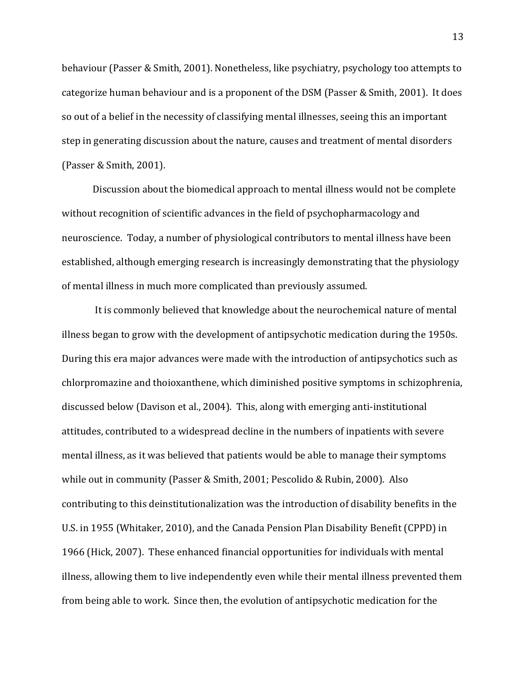behaviour (Passer & Smith, 2001). Nonetheless, like psychiatry, psychology too attempts to categorize human behaviour and is a proponent of the DSM (Passer & Smith, 2001). It does so out of a belief in the necessity of classifying mental illnesses, seeing this an important step in generating discussion about the nature, causes and treatment of mental disorders (Passer & Smith, 2001).

Discussion about the biomedical approach to mental illness would not be complete without recognition of scientific advances in the field of psychopharmacology and neuroscience. Today, a number of physiological contributors to mental illness have been established, although emerging research is increasingly demonstrating that the physiology of mental illness in much more complicated than previously assumed.

It is commonly believed that knowledge about the neurochemical nature of mental illness began to grow with the development of antipsychotic medication during the 1950s. During this era major advances were made with the introduction of antipsychotics such as chlorpromazine and thoioxanthene, which diminished positive symptoms in schizophrenia, discussed below (Davison et al., 2004). This, along with emerging anti-institutional attitudes, contributed to a widespread decline in the numbers of inpatients with severe mental illness, as it was believed that patients would be able to manage their symptoms while out in community (Passer & Smith, 2001; Pescolido & Rubin, 2000). Also contributing to this deinstitutionalization was the introduction of disability benefits in the U.S. in 1955 (Whitaker, 2010), and the Canada Pension Plan Disability Benefit (CPPD) in 1966 (Hick, 2007). These enhanced financial opportunities for individuals with mental illness, allowing them to live independently even while their mental illness prevented them from being able to work. Since then, the evolution of antipsychotic medication for the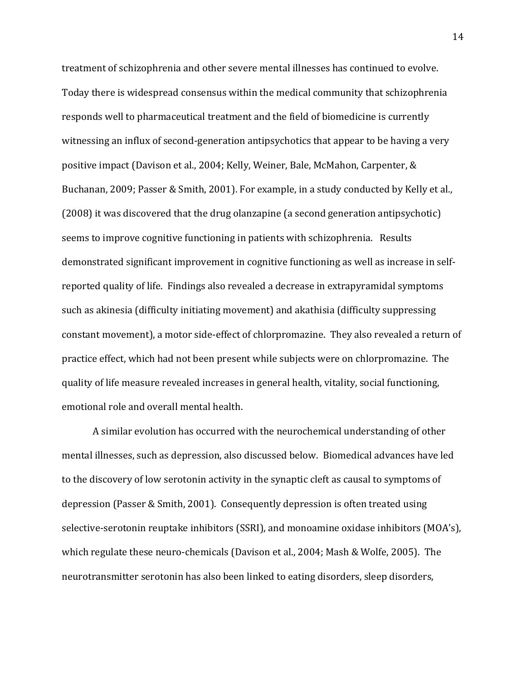treatment of schizophrenia and other severe mental illnesses has continued to evolve. Today there is widespread consensus within the medical community that schizophrenia responds well to pharmaceutical treatment and the field of biomedicine is currently witnessing an influx of second-generation antipsychotics that appear to be having a very positive impact (Davison et al., 2004; Kelly, Weiner, Bale, McMahon, Carpenter, & Buchanan, 2009; Passer & Smith, 2001). For example, in a study conducted by Kelly et al.,  $(2008)$  it was discovered that the drug olanzapine (a second generation antipsychotic) seems to improve cognitive functioning in patients with schizophrenia. Results demonstrated significant improvement in cognitive functioning as well as increase in selfreported quality of life. Findings also revealed a decrease in extrapyramidal symptoms such as akinesia (difficulty initiating movement) and akathisia (difficulty suppressing constant movement), a motor side-effect of chlorpromazine. They also revealed a return of practice effect, which had not been present while subjects were on chlorpromazine. The quality of life measure revealed increases in general health, vitality, social functioning, emotional role and overall mental health.

A similar evolution has occurred with the neurochemical understanding of other mental illnesses, such as depression, also discussed below. Biomedical advances have led to the discovery of low serotonin activity in the synaptic cleft as causal to symptoms of depression (Passer & Smith, 2001). Consequently depression is often treated using selective-serotonin reuptake inhibitors (SSRI), and monoamine oxidase inhibitors (MOA's), which regulate these neuro-chemicals (Davison et al., 2004; Mash & Wolfe, 2005). The neurotransmitter serotonin has also been linked to eating disorders, sleep disorders,

14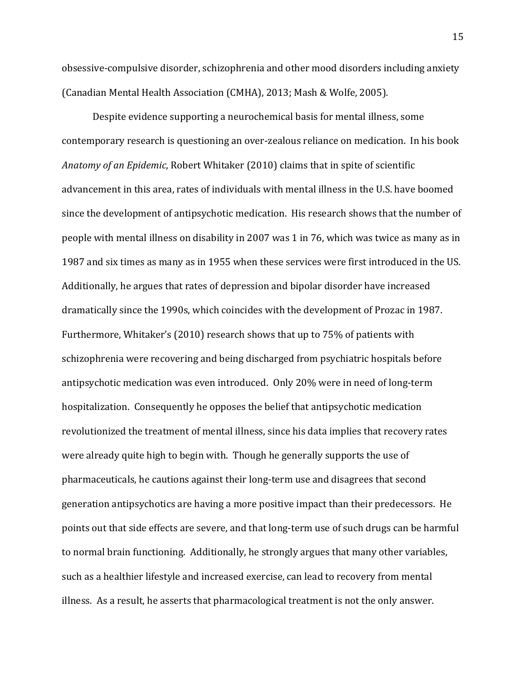obsessive-compulsive disorder, schizophrenia and other mood disorders including anxiety (Canadian Mental Health Association (CMHA), 2013; Mash & Wolfe, 2005).

Despite evidence supporting a neurochemical basis for mental illness, some contemporary research is questioning an over-zealous reliance on medication. In his book *Anatomy of an Epidemic*, Robert Whitaker (2010) claims that in spite of scientific advancement in this area, rates of individuals with mental illness in the U.S. have boomed since the development of antipsychotic medication. His research shows that the number of people with mental illness on disability in 2007 was 1 in 76, which was twice as many as in 1987 and six times as many as in 1955 when these services were first introduced in the US. Additionally, he argues that rates of depression and bipolar disorder have increased dramatically since the 1990s, which coincides with the development of Prozac in 1987. Furthermore, Whitaker's (2010) research shows that up to 75% of patients with schizophrenia were recovering and being discharged from psychiatric hospitals before antipsychotic medication was even introduced. Only 20% were in need of long-term hospitalization. Consequently he opposes the belief that antipsychotic medication revolutionized the treatment of mental illness, since his data implies that recovery rates were already quite high to begin with. Though he generally supports the use of pharmaceuticals, he cautions against their long-term use and disagrees that second generation antipsychotics are having a more positive impact than their predecessors. He points out that side effects are severe, and that long-term use of such drugs can be harmful to normal brain functioning. Additionally, he strongly argues that many other variables, such as a healthier lifestyle and increased exercise, can lead to recovery from mental illness. As a result, he asserts that pharmacological treatment is not the only answer.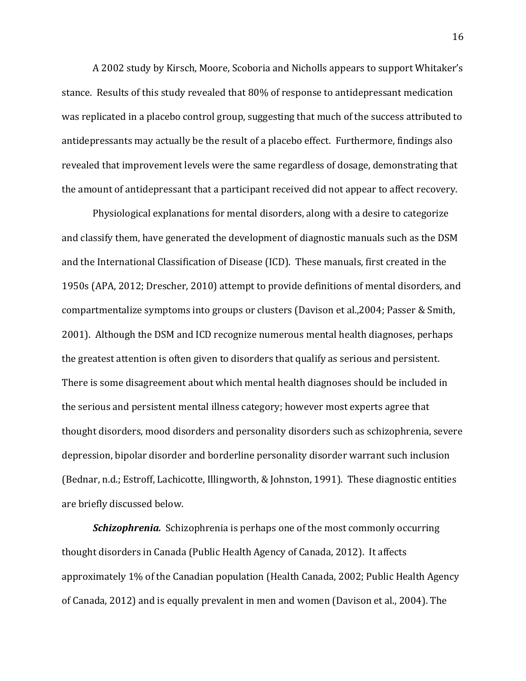A 2002 study by Kirsch, Moore, Scoboria and Nicholls appears to support Whitaker's stance. Results of this study revealed that 80% of response to antidepressant medication was replicated in a placebo control group, suggesting that much of the success attributed to antidepressants may actually be the result of a placebo effect. Furthermore, findings also revealed that improvement levels were the same regardless of dosage, demonstrating that the amount of antidepressant that a participant received did not appear to affect recovery.

Physiological explanations for mental disorders, along with a desire to categorize and classify them, have generated the development of diagnostic manuals such as the DSM and the International Classification of Disease (ICD). These manuals, first created in the 1950s (APA, 2012; Drescher, 2010) attempt to provide definitions of mental disorders, and compartmentalize symptoms into groups or clusters (Davison et al.,2004; Passer & Smith, 2001). Although the DSM and ICD recognize numerous mental health diagnoses, perhaps the greatest attention is often given to disorders that qualify as serious and persistent. There is some disagreement about which mental health diagnoses should be included in the serious and persistent mental illness category; however most experts agree that thought disorders, mood disorders and personality disorders such as schizophrenia, severe depression, bipolar disorder and borderline personality disorder warrant such inclusion (Bednar, n.d.; Estroff, Lachicotte, Illingworth, & Johnston, 1991). These diagnostic entities are briefly discussed below.

**Schizophrenia.** Schizophrenia is perhaps one of the most commonly occurring thought disorders in Canada (Public Health Agency of Canada, 2012). It affects approximately 1% of the Canadian population (Health Canada, 2002; Public Health Agency of Canada, 2012) and is equally prevalent in men and women (Davison et al., 2004). The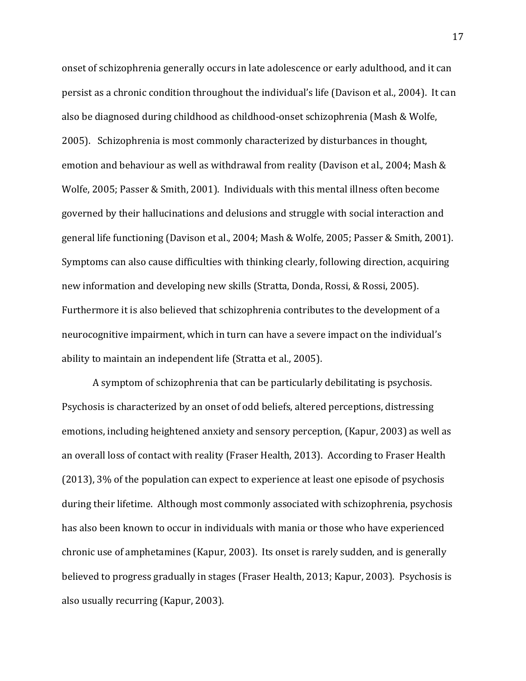onset of schizophrenia generally occurs in late adolescence or early adulthood, and it can persist as a chronic condition throughout the individual's life (Davison et al., 2004). It can also be diagnosed during childhood as childhood-onset schizophrenia (Mash & Wolfe, 2005). Schizophrenia is most commonly characterized by disturbances in thought, emotion and behaviour as well as withdrawal from reality (Davison et al., 2004; Mash & Wolfe, 2005; Passer & Smith, 2001). Individuals with this mental illness often become governed by their hallucinations and delusions and struggle with social interaction and general life functioning (Davison et al., 2004; Mash & Wolfe, 2005; Passer & Smith, 2001). Symptoms can also cause difficulties with thinking clearly, following direction, acquiring new information and developing new skills (Stratta, Donda, Rossi, & Rossi, 2005). Furthermore it is also believed that schizophrenia contributes to the development of a neurocognitive impairment, which in turn can have a severe impact on the individual's ability to maintain an independent life (Stratta et al., 2005).

A symptom of schizophrenia that can be particularly debilitating is psychosis. Psychosis is characterized by an onset of odd beliefs, altered perceptions, distressing emotions, including heightened anxiety and sensory perception, (Kapur, 2003) as well as an overall loss of contact with reality (Fraser Health, 2013). According to Fraser Health  $(2013)$ , 3% of the population can expect to experience at least one episode of psychosis during their lifetime. Although most commonly associated with schizophrenia, psychosis has also been known to occur in individuals with mania or those who have experienced chronic use of amphetamines (Kapur, 2003). Its onset is rarely sudden, and is generally believed to progress gradually in stages (Fraser Health, 2013; Kapur, 2003). Psychosis is also usually recurring (Kapur, 2003).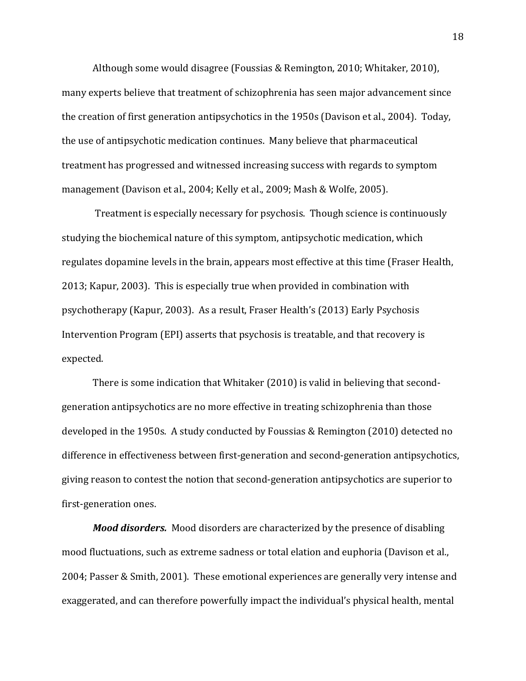Although some would disagree (Foussias & Remington, 2010; Whitaker, 2010), many experts believe that treatment of schizophrenia has seen major advancement since the creation of first generation antipsychotics in the 1950s (Davison et al., 2004). Today, the use of antipsychotic medication continues. Many believe that pharmaceutical treatment has progressed and witnessed increasing success with regards to symptom management (Davison et al., 2004; Kelly et al., 2009; Mash & Wolfe, 2005).

Treatment is especially necessary for psychosis. Though science is continuously studying the biochemical nature of this symptom, antipsychotic medication, which regulates dopamine levels in the brain, appears most effective at this time (Fraser Health, 2013; Kapur, 2003). This is especially true when provided in combination with psychotherapy (Kapur, 2003). As a result, Fraser Health's (2013) Early Psychosis Intervention Program (EPI) asserts that psychosis is treatable, and that recovery is expected.

There is some indication that Whitaker (2010) is valid in believing that secondgeneration antipsychotics are no more effective in treating schizophrenia than those developed in the 1950s. A study conducted by Foussias & Remington (2010) detected no difference in effectiveness between first-generation and second-generation antipsychotics, giving reason to contest the notion that second-generation antipsychotics are superior to first-generation ones.

*Mood disorders.* Mood disorders are characterized by the presence of disabling mood fluctuations, such as extreme sadness or total elation and euphoria (Davison et al., 2004; Passer & Smith, 2001). These emotional experiences are generally very intense and exaggerated, and can therefore powerfully impact the individual's physical health, mental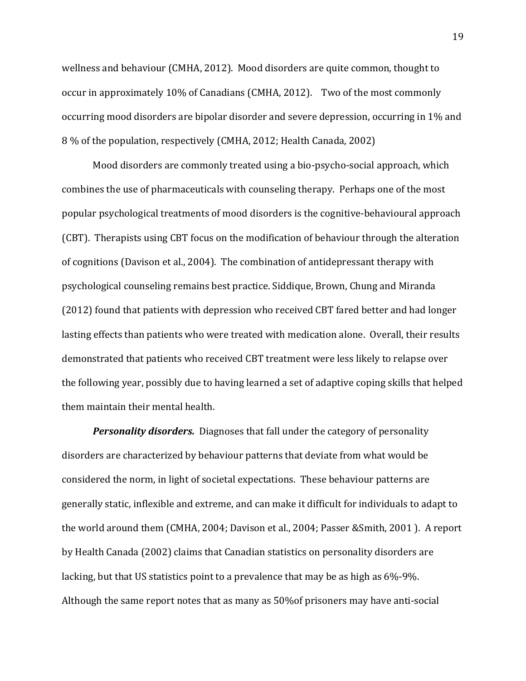wellness and behaviour (CMHA, 2012). Mood disorders are quite common, thought to occur in approximately 10% of Canadians (CMHA, 2012). Two of the most commonly occurring mood disorders are bipolar disorder and severe depression, occurring in 1% and 8% of the population, respectively (CMHA, 2012; Health Canada, 2002)

Mood disorders are commonly treated using a bio-psycho-social approach, which combines the use of pharmaceuticals with counseling therapy. Perhaps one of the most popular psychological treatments of mood disorders is the cognitive-behavioural approach (CBT). Therapists using CBT focus on the modification of behaviour through the alteration of cognitions (Davison et al., 2004). The combination of antidepressant therapy with psychological counseling remains best practice. Siddique, Brown, Chung and Miranda (2012) found that patients with depression who received CBT fared better and had longer lasting effects than patients who were treated with medication alone. Overall, their results demonstrated that patients who received CBT treatment were less likely to relapse over the following year, possibly due to having learned a set of adaptive coping skills that helped them maintain their mental health.

**Personality disorders.** Diagnoses that fall under the category of personality disorders are characterized by behaviour patterns that deviate from what would be considered the norm, in light of societal expectations. These behaviour patterns are generally static, inflexible and extreme, and can make it difficult for individuals to adapt to the world around them (CMHA, 2004; Davison et al., 2004; Passer &Smith, 2001). A report by Health Canada (2002) claims that Canadian statistics on personality disorders are lacking, but that US statistics point to a prevalence that may be as high as  $6\%$ -9%. Although the same report notes that as many as  $50\%$  of prisoners may have anti-social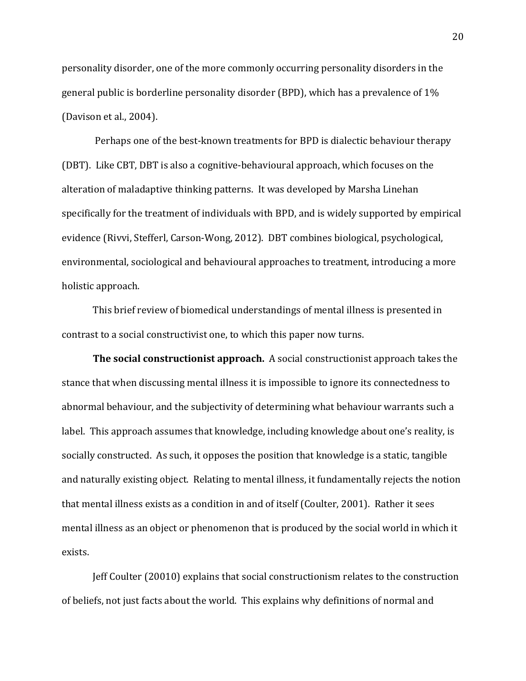personality disorder, one of the more commonly occurring personality disorders in the general public is borderline personality disorder (BPD), which has a prevalence of  $1\%$ (Davison et al.,  $2004$ ).

Perhaps one of the best-known treatments for BPD is dialectic behaviour therapy (DBT). Like CBT, DBT is also a cognitive-behavioural approach, which focuses on the alteration of maladaptive thinking patterns. It was developed by Marsha Linehan specifically for the treatment of individuals with BPD, and is widely supported by empirical evidence (Rivvi, Stefferl, Carson-Wong, 2012). DBT combines biological, psychological, environmental, sociological and behavioural approaches to treatment, introducing a more holistic approach.

This brief review of biomedical understandings of mental illness is presented in contrast to a social constructivist one, to which this paper now turns.

**The social constructionist approach.** A social constructionist approach takes the stance that when discussing mental illness it is impossible to ignore its connectedness to abnormal behaviour, and the subjectivity of determining what behaviour warrants such a label. This approach assumes that knowledge, including knowledge about one's reality, is socially constructed. As such, it opposes the position that knowledge is a static, tangible and naturally existing object. Relating to mental illness, it fundamentally rejects the notion that mental illness exists as a condition in and of itself (Coulter, 2001). Rather it sees mental illness as an object or phenomenon that is produced by the social world in which it exists.

Jeff Coulter (20010) explains that social constructionism relates to the construction of beliefs, not just facts about the world. This explains why definitions of normal and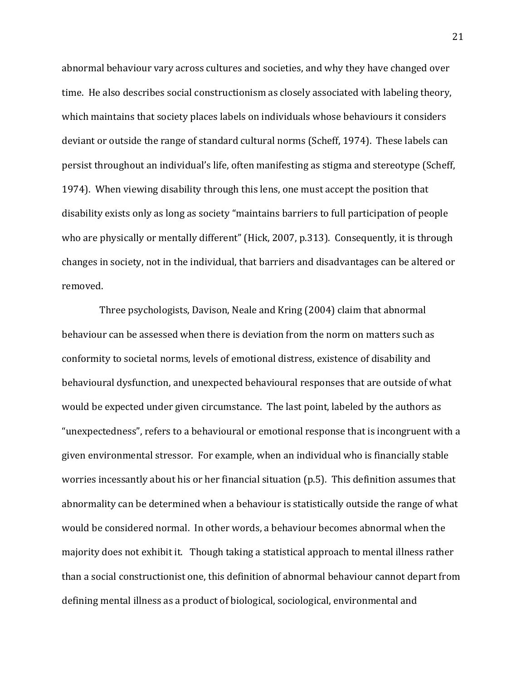abnormal behaviour vary across cultures and societies, and why they have changed over time. He also describes social constructionism as closely associated with labeling theory, which maintains that society places labels on individuals whose behaviours it considers deviant or outside the range of standard cultural norms (Scheff, 1974). These labels can persist throughout an individual's life, often manifesting as stigma and stereotype (Scheff, 1974). When viewing disability through this lens, one must accept the position that disability exists only as long as society "maintains barriers to full participation of people who are physically or mentally different" (Hick, 2007, p.313). Consequently, it is through changes in society, not in the individual, that barriers and disadvantages can be altered or removed.

Three psychologists, Davison, Neale and Kring (2004) claim that abnormal behaviour can be assessed when there is deviation from the norm on matters such as conformity to societal norms, levels of emotional distress, existence of disability and behavioural dysfunction, and unexpected behavioural responses that are outside of what would be expected under given circumstance. The last point, labeled by the authors as "unexpectedness", refers to a behavioural or emotional response that is incongruent with a given environmental stressor. For example, when an individual who is financially stable worries incessantly about his or her financial situation (p.5). This definition assumes that abnormality can be determined when a behaviour is statistically outside the range of what would be considered normal. In other words, a behaviour becomes abnormal when the majority does not exhibit it. Though taking a statistical approach to mental illness rather than a social constructionist one, this definition of abnormal behaviour cannot depart from defining mental illness as a product of biological, sociological, environmental and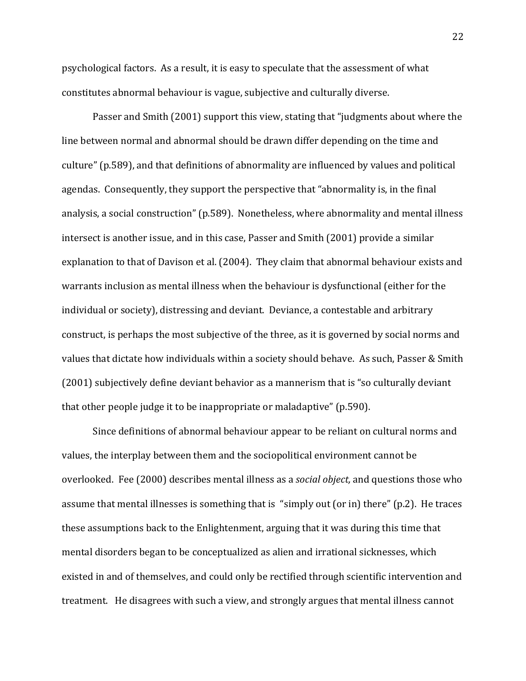psychological factors. As a result, it is easy to speculate that the assessment of what constitutes abnormal behaviour is vague, subjective and culturally diverse.

Passer and Smith (2001) support this view, stating that "judgments about where the line between normal and abnormal should be drawn differ depending on the time and culture" (p.589), and that definitions of abnormality are influenced by values and political agendas. Consequently, they support the perspective that "abnormality is, in the final analysis, a social construction" (p.589). Nonetheless, where abnormality and mental illness intersect is another issue, and in this case, Passer and Smith (2001) provide a similar explanation to that of Davison et al. (2004). They claim that abnormal behaviour exists and warrants inclusion as mental illness when the behaviour is dysfunctional (either for the individual or society), distressing and deviant. Deviance, a contestable and arbitrary construct, is perhaps the most subjective of the three, as it is governed by social norms and values that dictate how individuals within a society should behave. As such, Passer & Smith (2001) subjectively define deviant behavior as a mannerism that is "so culturally deviant that other people judge it to be inappropriate or maladaptive" (p.590).

Since definitions of abnormal behaviour appear to be reliant on cultural norms and values, the interplay between them and the sociopolitical environment cannot be overlooked. Fee (2000) describes mental illness as a *social object*, and questions those who assume that mental illnesses is something that is "simply out (or in) there" (p.2). He traces these assumptions back to the Enlightenment, arguing that it was during this time that mental disorders began to be conceptualized as alien and irrational sicknesses, which existed in and of themselves, and could only be rectified through scientific intervention and treatment. He disagrees with such a view, and strongly argues that mental illness cannot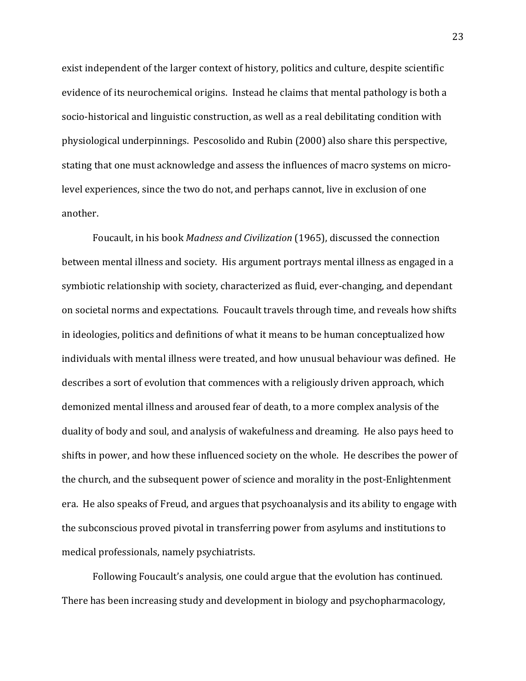exist independent of the larger context of history, politics and culture, despite scientific evidence of its neurochemical origins. Instead he claims that mental pathology is both a socio-historical and linguistic construction, as well as a real debilitating condition with physiological underpinnings. Pescosolido and Rubin (2000) also share this perspective, stating that one must acknowledge and assess the influences of macro systems on microlevel experiences, since the two do not, and perhaps cannot, live in exclusion of one another.

Foucault, in his book *Madness and Civilization* (1965), discussed the connection between mental illness and society. His argument portrays mental illness as engaged in a symbiotic relationship with society, characterized as fluid, ever-changing, and dependant on societal norms and expectations. Foucault travels through time, and reveals how shifts in ideologies, politics and definitions of what it means to be human conceptualized how individuals with mental illness were treated, and how unusual behaviour was defined. He describes a sort of evolution that commences with a religiously driven approach, which demonized mental illness and aroused fear of death, to a more complex analysis of the duality of body and soul, and analysis of wakefulness and dreaming. He also pays heed to shifts in power, and how these influenced society on the whole. He describes the power of the church, and the subsequent power of science and morality in the post-Enlightenment era. He also speaks of Freud, and argues that psychoanalysis and its ability to engage with the subconscious proved pivotal in transferring power from asylums and institutions to medical professionals, namely psychiatrists.

Following Foucault's analysis, one could argue that the evolution has continued. There has been increasing study and development in biology and psychopharmacology,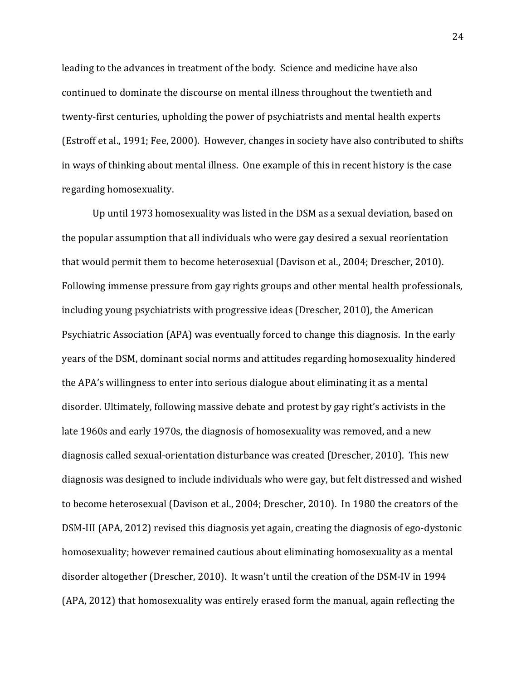leading to the advances in treatment of the body. Science and medicine have also continued to dominate the discourse on mental illness throughout the twentieth and twenty-first centuries, upholding the power of psychiatrists and mental health experts (Estroff et al., 1991; Fee, 2000). However, changes in society have also contributed to shifts in ways of thinking about mental illness. One example of this in recent history is the case regarding homosexuality.

Up until 1973 homosexuality was listed in the DSM as a sexual deviation, based on the popular assumption that all individuals who were gay desired a sexual reorientation that would permit them to become heterosexual (Davison et al., 2004; Drescher, 2010). Following immense pressure from gay rights groups and other mental health professionals, including young psychiatrists with progressive ideas (Drescher, 2010), the American Psychiatric Association (APA) was eventually forced to change this diagnosis. In the early years of the DSM, dominant social norms and attitudes regarding homosexuality hindered the APA's willingness to enter into serious dialogue about eliminating it as a mental disorder. Ultimately, following massive debate and protest by gay right's activists in the late 1960s and early 1970s, the diagnosis of homosexuality was removed, and a new diagnosis called sexual-orientation disturbance was created (Drescher, 2010). This new diagnosis was designed to include individuals who were gay, but felt distressed and wished to become heterosexual (Davison et al., 2004; Drescher, 2010). In 1980 the creators of the DSM-III (APA, 2012) revised this diagnosis yet again, creating the diagnosis of ego-dystonic homosexuality; however remained cautious about eliminating homosexuality as a mental disorder altogether (Drescher, 2010). It wasn't until the creation of the DSM-IV in 1994 (APA, 2012) that homosexuality was entirely erased form the manual, again reflecting the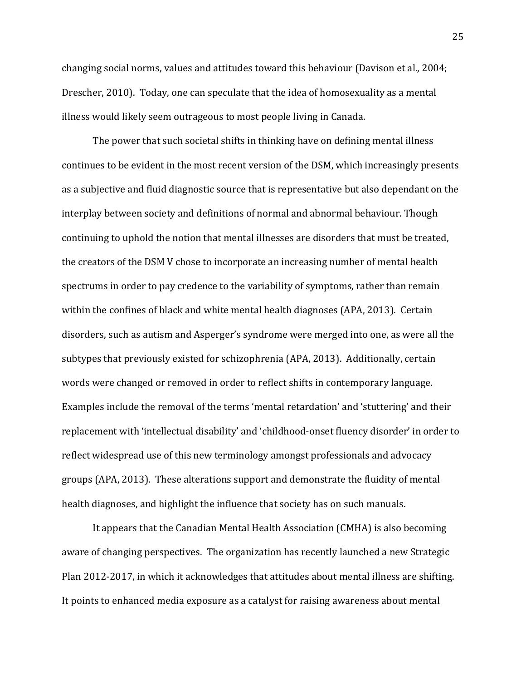changing social norms, values and attitudes toward this behaviour (Davison et al., 2004; Drescher, 2010). Today, one can speculate that the idea of homosexuality as a mental illness would likely seem outrageous to most people living in Canada.

The power that such societal shifts in thinking have on defining mental illness continues to be evident in the most recent version of the DSM, which increasingly presents as a subjective and fluid diagnostic source that is representative but also dependant on the interplay between society and definitions of normal and abnormal behaviour. Though continuing to uphold the notion that mental illnesses are disorders that must be treated, the creators of the DSM V chose to incorporate an increasing number of mental health spectrums in order to pay credence to the variability of symptoms, rather than remain within the confines of black and white mental health diagnoses (APA, 2013). Certain disorders, such as autism and Asperger's syndrome were merged into one, as were all the subtypes that previously existed for schizophrenia (APA, 2013). Additionally, certain words were changed or removed in order to reflect shifts in contemporary language. Examples include the removal of the terms 'mental retardation' and 'stuttering' and their replacement with 'intellectual disability' and 'childhood-onset fluency disorder' in order to reflect widespread use of this new terminology amongst professionals and advocacy groups (APA, 2013). These alterations support and demonstrate the fluidity of mental health diagnoses, and highlight the influence that society has on such manuals.

It appears that the Canadian Mental Health Association (CMHA) is also becoming aware of changing perspectives. The organization has recently launched a new Strategic Plan 2012-2017, in which it acknowledges that attitudes about mental illness are shifting. It points to enhanced media exposure as a catalyst for raising awareness about mental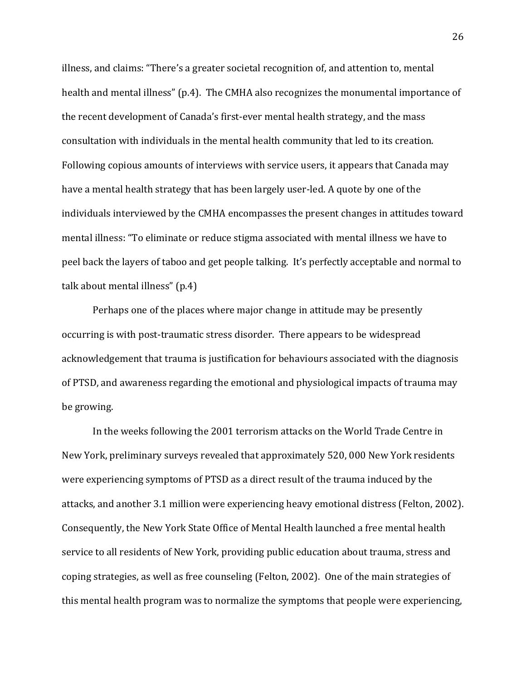illness, and claims: "There's a greater societal recognition of, and attention to, mental health and mental illness" (p.4). The CMHA also recognizes the monumental importance of the recent development of Canada's first-ever mental health strategy, and the mass consultation with individuals in the mental health community that led to its creation. Following copious amounts of interviews with service users, it appears that Canada may have a mental health strategy that has been largely user-led. A quote by one of the individuals interviewed by the CMHA encompasses the present changes in attitudes toward mental illness: "To eliminate or reduce stigma associated with mental illness we have to peel back the layers of taboo and get people talking. It's perfectly acceptable and normal to talk about mental illness" (p.4)

Perhaps one of the places where major change in attitude may be presently occurring is with post-traumatic stress disorder. There appears to be widespread acknowledgement that trauma is justification for behaviours associated with the diagnosis of PTSD, and awareness regarding the emotional and physiological impacts of trauma may be growing.

In the weeks following the 2001 terrorism attacks on the World Trade Centre in New York, preliminary surveys revealed that approximately 520, 000 New York residents were experiencing symptoms of PTSD as a direct result of the trauma induced by the attacks, and another 3.1 million were experiencing heavy emotional distress (Felton, 2002). Consequently, the New York State Office of Mental Health launched a free mental health service to all residents of New York, providing public education about trauma, stress and coping strategies, as well as free counseling (Felton, 2002). One of the main strategies of this mental health program was to normalize the symptoms that people were experiencing,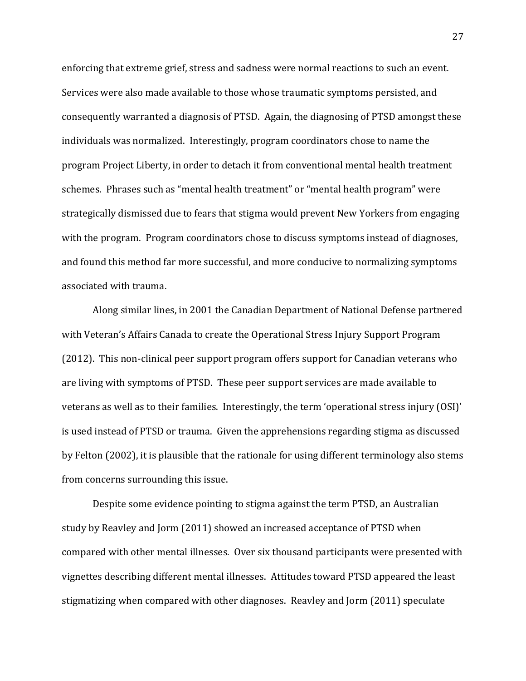enforcing that extreme grief, stress and sadness were normal reactions to such an event. Services were also made available to those whose traumatic symptoms persisted, and consequently warranted a diagnosis of PTSD. Again, the diagnosing of PTSD amongst these individuals was normalized. Interestingly, program coordinators chose to name the program Project Liberty, in order to detach it from conventional mental health treatment schemes. Phrases such as "mental health treatment" or "mental health program" were strategically dismissed due to fears that stigma would prevent New Yorkers from engaging with the program. Program coordinators chose to discuss symptoms instead of diagnoses, and found this method far more successful, and more conducive to normalizing symptoms associated with trauma.

Along similar lines, in 2001 the Canadian Department of National Defense partnered with Veteran's Affairs Canada to create the Operational Stress Injury Support Program  $(2012)$ . This non-clinical peer support program offers support for Canadian veterans who are living with symptoms of PTSD. These peer support services are made available to veterans as well as to their families. Interestingly, the term 'operational stress injury (OSI)' is used instead of PTSD or trauma. Given the apprehensions regarding stigma as discussed by Felton (2002), it is plausible that the rationale for using different terminology also stems from concerns surrounding this issue.

Despite some evidence pointing to stigma against the term PTSD, an Australian study by Reavley and Jorm (2011) showed an increased acceptance of PTSD when compared with other mental illnesses. Over six thousand participants were presented with vignettes describing different mental illnesses. Attitudes toward PTSD appeared the least stigmatizing when compared with other diagnoses. Reavley and Jorm (2011) speculate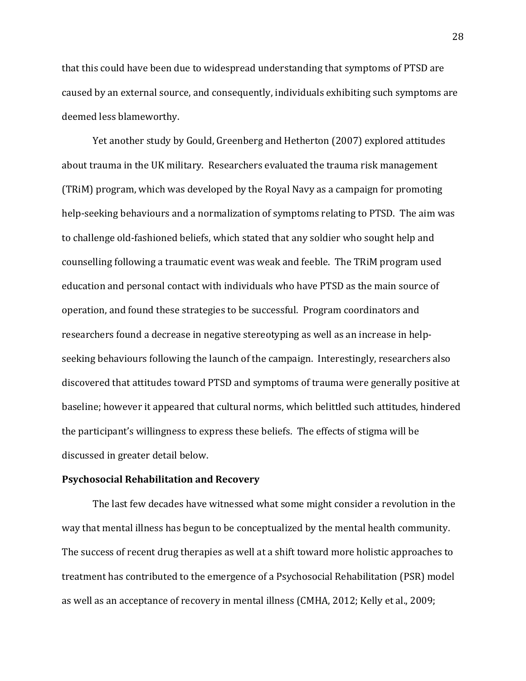that this could have been due to widespread understanding that symptoms of PTSD are caused by an external source, and consequently, individuals exhibiting such symptoms are deemed less blameworthy.

Yet another study by Gould, Greenberg and Hetherton (2007) explored attitudes about trauma in the UK military. Researchers evaluated the trauma risk management (TRIM) program, which was developed by the Royal Navy as a campaign for promoting help-seeking behaviours and a normalization of symptoms relating to PTSD. The aim was to challenge old-fashioned beliefs, which stated that any soldier who sought help and counselling following a traumatic event was weak and feeble. The TRiM program used education and personal contact with individuals who have PTSD as the main source of operation, and found these strategies to be successful. Program coordinators and researchers found a decrease in negative stereotyping as well as an increase in helpseeking behaviours following the launch of the campaign. Interestingly, researchers also discovered that attitudes toward PTSD and symptoms of trauma were generally positive at baseline; however it appeared that cultural norms, which belittled such attitudes, hindered the participant's willingness to express these beliefs. The effects of stigma will be discussed in greater detail below.

### **Psychosocial Rehabilitation and Recovery**

The last few decades have witnessed what some might consider a revolution in the way that mental illness has begun to be conceptualized by the mental health community. The success of recent drug therapies as well at a shift toward more holistic approaches to treatment has contributed to the emergence of a Psychosocial Rehabilitation (PSR) model as well as an acceptance of recovery in mental illness (CMHA, 2012; Kelly et al., 2009;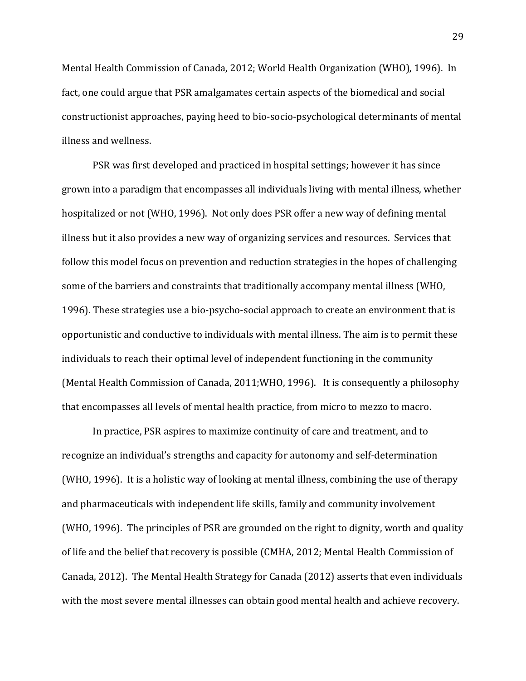Mental Health Commission of Canada, 2012; World Health Organization (WHO), 1996). In fact, one could argue that PSR amalgamates certain aspects of the biomedical and social constructionist approaches, paying heed to bio-socio-psychological determinants of mental illness and wellness.

PSR was first developed and practiced in hospital settings; however it has since grown into a paradigm that encompasses all individuals living with mental illness, whether hospitalized or not (WHO, 1996). Not only does PSR offer a new way of defining mental illness but it also provides a new way of organizing services and resources. Services that follow this model focus on prevention and reduction strategies in the hopes of challenging some of the barriers and constraints that traditionally accompany mental illness (WHO, 1996). These strategies use a bio-psycho-social approach to create an environment that is opportunistic and conductive to individuals with mental illness. The aim is to permit these individuals to reach their optimal level of independent functioning in the community (Mental Health Commission of Canada, 2011;WHO, 1996). It is consequently a philosophy that encompasses all levels of mental health practice, from micro to mezzo to macro.

In practice, PSR aspires to maximize continuity of care and treatment, and to recognize an individual's strengths and capacity for autonomy and self-determination (WHO, 1996). It is a holistic way of looking at mental illness, combining the use of therapy and pharmaceuticals with independent life skills, family and community involvement (WHO, 1996). The principles of PSR are grounded on the right to dignity, worth and quality of life and the belief that recovery is possible (CMHA, 2012; Mental Health Commission of Canada, 2012). The Mental Health Strategy for Canada (2012) asserts that even individuals with the most severe mental illnesses can obtain good mental health and achieve recovery.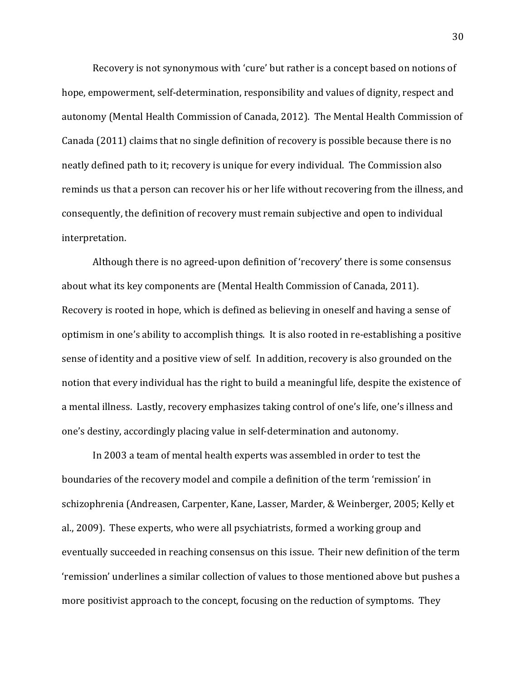Recovery is not synonymous with 'cure' but rather is a concept based on notions of hope, empowerment, self-determination, responsibility and values of dignity, respect and autonomy (Mental Health Commission of Canada, 2012). The Mental Health Commission of Canada  $(2011)$  claims that no single definition of recovery is possible because there is no neatly defined path to it; recovery is unique for every individual. The Commission also reminds us that a person can recover his or her life without recovering from the illness, and consequently, the definition of recovery must remain subjective and open to individual interpretation.

Although there is no agreed-upon definition of 'recovery' there is some consensus about what its key components are (Mental Health Commission of Canada, 2011). Recovery is rooted in hope, which is defined as believing in oneself and having a sense of optimism in one's ability to accomplish things. It is also rooted in re-establishing a positive sense of identity and a positive view of self. In addition, recovery is also grounded on the notion that every individual has the right to build a meaningful life, despite the existence of a mental illness. Lastly, recovery emphasizes taking control of one's life, one's illness and one's destiny, accordingly placing value in self-determination and autonomy.

In 2003 a team of mental health experts was assembled in order to test the boundaries of the recovery model and compile a definition of the term 'remission' in schizophrenia (Andreasen, Carpenter, Kane, Lasser, Marder, & Weinberger, 2005; Kelly et al., 2009). These experts, who were all psychiatrists, formed a working group and eventually succeeded in reaching consensus on this issue. Their new definition of the term 'remission' underlines a similar collection of values to those mentioned above but pushes a more positivist approach to the concept, focusing on the reduction of symptoms. They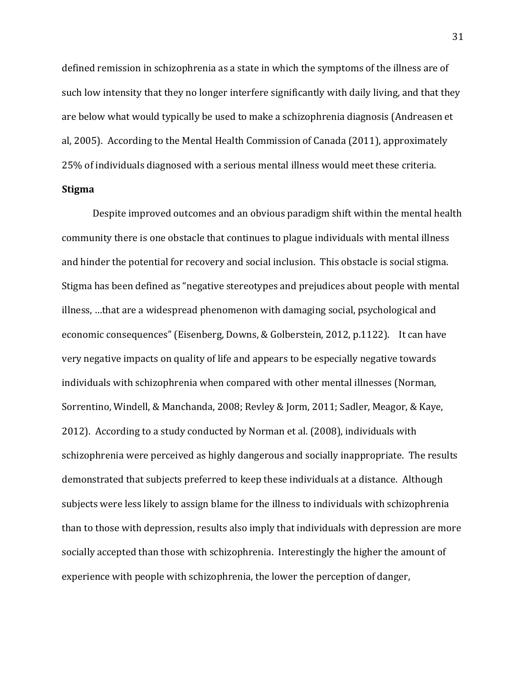defined remission in schizophrenia as a state in which the symptoms of the illness are of such low intensity that they no longer interfere significantly with daily living, and that they are below what would typically be used to make a schizophrenia diagnosis (Andreasen et al, 2005). According to the Mental Health Commission of Canada  $(2011)$ , approximately 25% of individuals diagnosed with a serious mental illness would meet these criteria.

# **Stigma**

Despite improved outcomes and an obvious paradigm shift within the mental health community there is one obstacle that continues to plague individuals with mental illness and hinder the potential for recovery and social inclusion. This obstacle is social stigma. Stigma has been defined as "negative stereotypes and prejudices about people with mental illness, ...that are a widespread phenomenon with damaging social, psychological and economic consequences" (Eisenberg, Downs, & Golberstein, 2012, p.1122). It can have very negative impacts on quality of life and appears to be especially negative towards individuals with schizophrenia when compared with other mental illnesses (Norman, Sorrentino, Windell, & Manchanda, 2008; Revley & Jorm, 2011; Sadler, Meagor, & Kaye, 2012). According to a study conducted by Norman et al. (2008), individuals with schizophrenia were perceived as highly dangerous and socially inappropriate. The results demonstrated that subjects preferred to keep these individuals at a distance. Although subjects were less likely to assign blame for the illness to individuals with schizophrenia than to those with depression, results also imply that individuals with depression are more socially accepted than those with schizophrenia. Interestingly the higher the amount of experience with people with schizophrenia, the lower the perception of danger,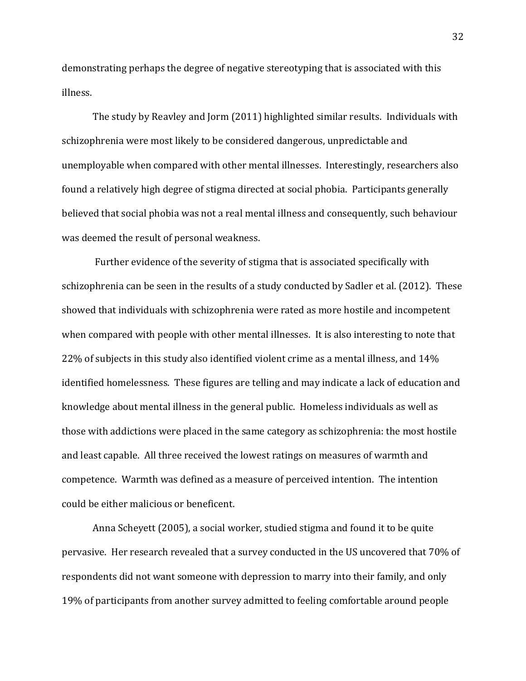demonstrating perhaps the degree of negative stereotyping that is associated with this illness.

The study by Reavley and Jorm (2011) highlighted similar results. Individuals with schizophrenia were most likely to be considered dangerous, unpredictable and unemployable when compared with other mental illnesses. Interestingly, researchers also found a relatively high degree of stigma directed at social phobia. Participants generally believed that social phobia was not a real mental illness and consequently, such behaviour was deemed the result of personal weakness.

Further evidence of the severity of stigma that is associated specifically with schizophrenia can be seen in the results of a study conducted by Sadler et al. (2012). These showed that individuals with schizophrenia were rated as more hostile and incompetent when compared with people with other mental illnesses. It is also interesting to note that 22% of subjects in this study also identified violent crime as a mental illness, and  $14%$ identified homelessness. These figures are telling and may indicate a lack of education and knowledge about mental illness in the general public. Homeless individuals as well as those with addictions were placed in the same category as schizophrenia: the most hostile and least capable. All three received the lowest ratings on measures of warmth and competence. Warmth was defined as a measure of perceived intention. The intention could be either malicious or beneficent.

Anna Scheyett (2005), a social worker, studied stigma and found it to be quite pervasive. Her research revealed that a survey conducted in the US uncovered that 70% of respondents did not want someone with depression to marry into their family, and only 19% of participants from another survey admitted to feeling comfortable around people

32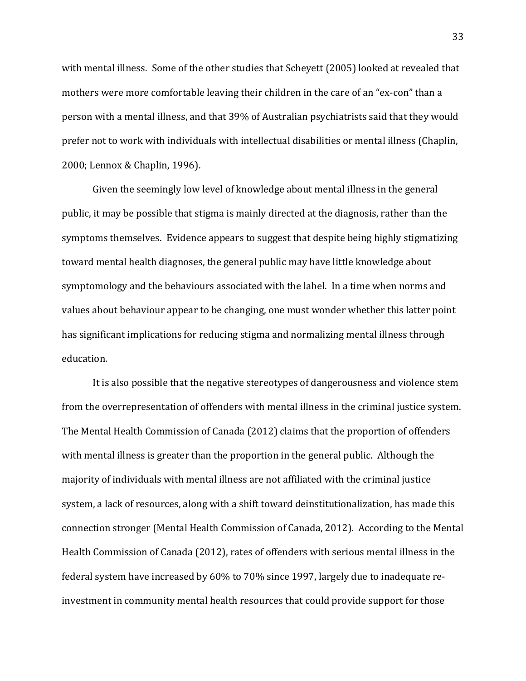with mental illness. Some of the other studies that Scheyett (2005) looked at revealed that mothers were more comfortable leaving their children in the care of an "ex-con" than a person with a mental illness, and that 39% of Australian psychiatrists said that they would prefer not to work with individuals with intellectual disabilities or mental illness (Chaplin, 2000; Lennox & Chaplin, 1996).

Given the seemingly low level of knowledge about mental illness in the general public, it may be possible that stigma is mainly directed at the diagnosis, rather than the symptoms themselves. Evidence appears to suggest that despite being highly stigmatizing toward mental health diagnoses, the general public may have little knowledge about symptomology and the behaviours associated with the label. In a time when norms and values about behaviour appear to be changing, one must wonder whether this latter point has significant implications for reducing stigma and normalizing mental illness through education.

It is also possible that the negative stereotypes of dangerousness and violence stem from the overrepresentation of offenders with mental illness in the criminal justice system. The Mental Health Commission of Canada (2012) claims that the proportion of offenders with mental illness is greater than the proportion in the general public. Although the majority of individuals with mental illness are not affiliated with the criminal justice system, a lack of resources, along with a shift toward deinstitutionalization, has made this connection stronger (Mental Health Commission of Canada, 2012). According to the Mental Health Commission of Canada (2012), rates of offenders with serious mental illness in the federal system have increased by 60% to 70% since 1997, largely due to inadequate reinvestment in community mental health resources that could provide support for those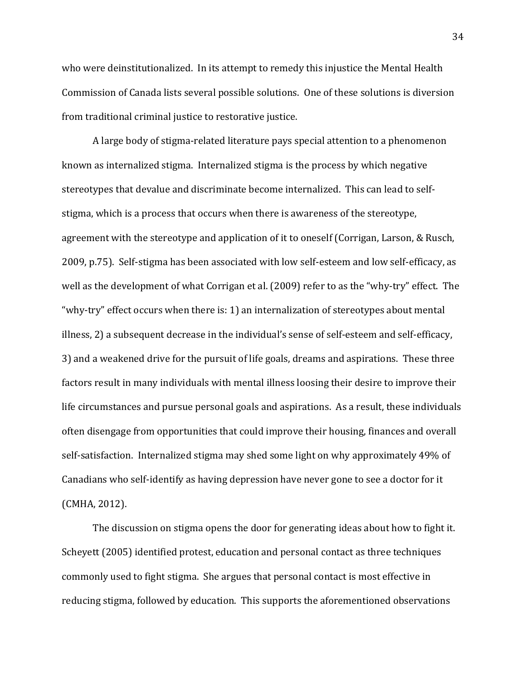who were deinstitutionalized. In its attempt to remedy this injustice the Mental Health Commission of Canada lists several possible solutions. One of these solutions is diversion from traditional criminal justice to restorative justice.

A large body of stigma-related literature pays special attention to a phenomenon known as internalized stigma. Internalized stigma is the process by which negative stereotypes that devalue and discriminate become internalized. This can lead to selfstigma, which is a process that occurs when there is awareness of the stereotype, agreement with the stereotype and application of it to oneself (Corrigan, Larson, & Rusch, 2009, p.75). Self-stigma has been associated with low self-esteem and low self-efficacy, as well as the development of what Corrigan et al. (2009) refer to as the "why-try" effect. The "why-try" effect occurs when there is: 1) an internalization of stereotypes about mental illness, 2) a subsequent decrease in the individual's sense of self-esteem and self-efficacy, 3) and a weakened drive for the pursuit of life goals, dreams and aspirations. These three factors result in many individuals with mental illness loosing their desire to improve their life circumstances and pursue personal goals and aspirations. As a result, these individuals often disengage from opportunities that could improve their housing, finances and overall self-satisfaction. Internalized stigma may shed some light on why approximately 49% of Canadians who self-identify as having depression have never gone to see a doctor for it (CMHA, 2012).

The discussion on stigma opens the door for generating ideas about how to fight it. Scheyett (2005) identified protest, education and personal contact as three techniques commonly used to fight stigma. She argues that personal contact is most effective in reducing stigma, followed by education. This supports the aforementioned observations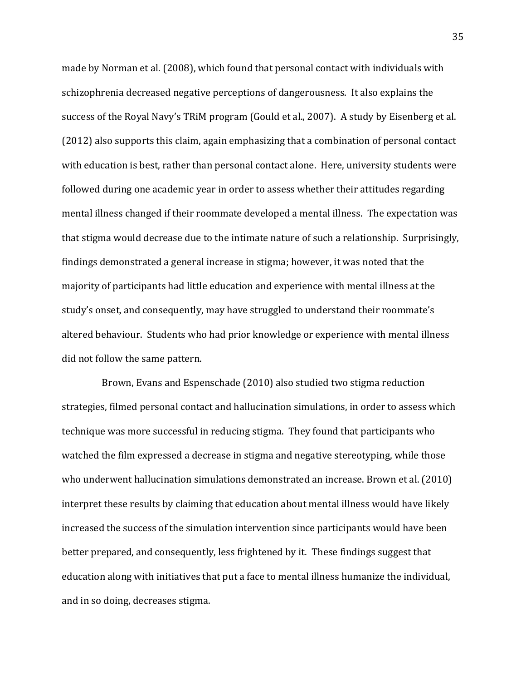made by Norman et al. (2008), which found that personal contact with individuals with schizophrenia decreased negative perceptions of dangerousness. It also explains the success of the Royal Navy's TRiM program (Gould et al., 2007). A study by Eisenberg et al.  $(2012)$  also supports this claim, again emphasizing that a combination of personal contact with education is best, rather than personal contact alone. Here, university students were followed during one academic year in order to assess whether their attitudes regarding mental illness changed if their roommate developed a mental illness. The expectation was that stigma would decrease due to the intimate nature of such a relationship. Surprisingly, findings demonstrated a general increase in stigma; however, it was noted that the majority of participants had little education and experience with mental illness at the study's onset, and consequently, may have struggled to understand their roommate's altered behaviour. Students who had prior knowledge or experience with mental illness did not follow the same pattern.

Brown, Evans and Espenschade (2010) also studied two stigma reduction strategies, filmed personal contact and hallucination simulations, in order to assess which technique was more successful in reducing stigma. They found that participants who watched the film expressed a decrease in stigma and negative stereotyping, while those who underwent hallucination simulations demonstrated an increase. Brown et al. (2010) interpret these results by claiming that education about mental illness would have likely increased the success of the simulation intervention since participants would have been better prepared, and consequently, less frightened by it. These findings suggest that education along with initiatives that put a face to mental illness humanize the individual, and in so doing, decreases stigma.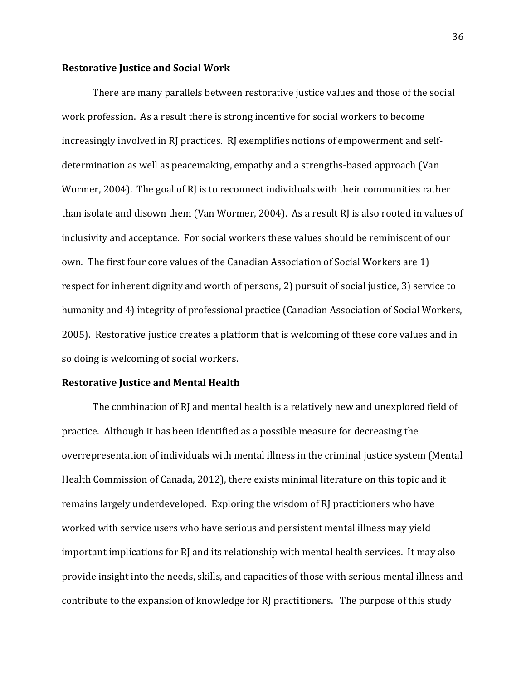## **Restorative Justice and Social Work**

There are many parallels between restorative justice values and those of the social work profession. As a result there is strong incentive for social workers to become increasingly involved in RJ practices. RJ exemplifies notions of empowerment and selfdetermination as well as peacemaking, empathy and a strengths-based approach (Van Wormer, 2004). The goal of RJ is to reconnect individuals with their communities rather than isolate and disown them (Van Wormer, 2004). As a result RJ is also rooted in values of inclusivity and acceptance. For social workers these values should be reminiscent of our own. The first four core values of the Canadian Association of Social Workers are 1) respect for inherent dignity and worth of persons, 2) pursuit of social justice, 3) service to humanity and 4) integrity of professional practice (Canadian Association of Social Workers, 2005). Restorative justice creates a platform that is welcoming of these core values and in so doing is welcoming of social workers.

## **Restorative Justice and Mental Health**

The combination of RJ and mental health is a relatively new and unexplored field of practice. Although it has been identified as a possible measure for decreasing the overrepresentation of individuals with mental illness in the criminal justice system (Mental Health Commission of Canada, 2012), there exists minimal literature on this topic and it remains largely underdeveloped. Exploring the wisdom of RJ practitioners who have worked with service users who have serious and persistent mental illness may yield important implications for RJ and its relationship with mental health services. It may also provide insight into the needs, skills, and capacities of those with serious mental illness and contribute to the expansion of knowledge for RJ practitioners. The purpose of this study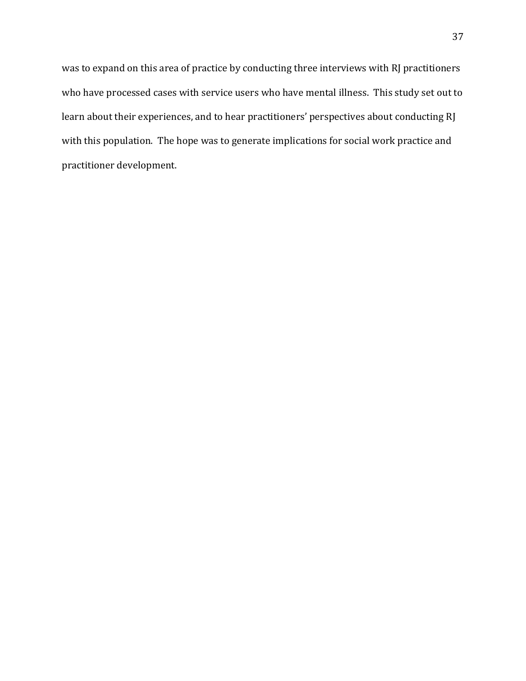was to expand on this area of practice by conducting three interviews with RJ practitioners who have processed cases with service users who have mental illness. This study set out to learn about their experiences, and to hear practitioners' perspectives about conducting RJ with this population. The hope was to generate implications for social work practice and practitioner development.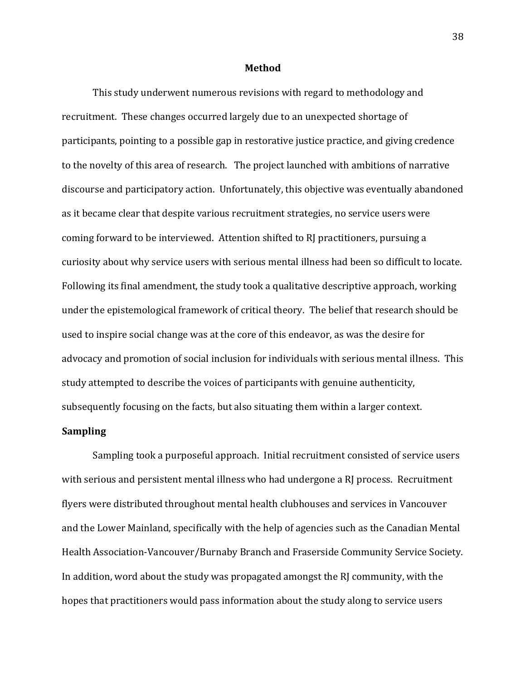#### **Method**

This study underwent numerous revisions with regard to methodology and recruitment. These changes occurred largely due to an unexpected shortage of participants, pointing to a possible gap in restorative justice practice, and giving credence to the novelty of this area of research. The project launched with ambitions of narrative discourse and participatory action. Unfortunately, this objective was eventually abandoned as it became clear that despite various recruitment strategies, no service users were coming forward to be interviewed. Attention shifted to RI practitioners, pursuing a curiosity about why service users with serious mental illness had been so difficult to locate. Following its final amendment, the study took a qualitative descriptive approach, working under the epistemological framework of critical theory. The belief that research should be used to inspire social change was at the core of this endeavor, as was the desire for advocacy and promotion of social inclusion for individuals with serious mental illness. This study attempted to describe the voices of participants with genuine authenticity, subsequently focusing on the facts, but also situating them within a larger context.

## **Sampling**

Sampling took a purposeful approach. Initial recruitment consisted of service users with serious and persistent mental illness who had undergone a RJ process. Recruitment flyers were distributed throughout mental health clubhouses and services in Vancouver and the Lower Mainland, specifically with the help of agencies such as the Canadian Mental Health Association-Vancouver/Burnaby Branch and Fraserside Community Service Society. In addition, word about the study was propagated amongst the RJ community, with the hopes that practitioners would pass information about the study along to service users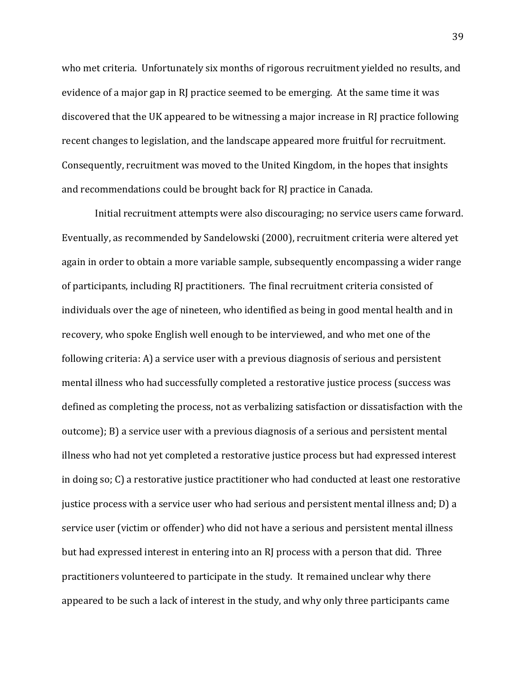who met criteria. Unfortunately six months of rigorous recruitment yielded no results, and evidence of a major gap in RJ practice seemed to be emerging. At the same time it was discovered that the UK appeared to be witnessing a major increase in RJ practice following recent changes to legislation, and the landscape appeared more fruitful for recruitment. Consequently, recruitment was moved to the United Kingdom, in the hopes that insights and recommendations could be brought back for RJ practice in Canada.

Initial recruitment attempts were also discouraging; no service users came forward. Eventually, as recommended by Sandelowski (2000), recruitment criteria were altered yet again in order to obtain a more variable sample, subsequently encompassing a wider range of participants, including RJ practitioners. The final recruitment criteria consisted of individuals over the age of nineteen, who identified as being in good mental health and in recovery, who spoke English well enough to be interviewed, and who met one of the following criteria: A) a service user with a previous diagnosis of serious and persistent mental illness who had successfully completed a restorative justice process (success was defined as completing the process, not as verbalizing satisfaction or dissatisfaction with the outcome); B) a service user with a previous diagnosis of a serious and persistent mental illness who had not yet completed a restorative justice process but had expressed interest in doing so; C) a restorative justice practitioner who had conducted at least one restorative justice process with a service user who had serious and persistent mental illness and; D) a service user (victim or offender) who did not have a serious and persistent mental illness but had expressed interest in entering into an RJ process with a person that did. Three practitioners volunteered to participate in the study. It remained unclear why there appeared to be such a lack of interest in the study, and why only three participants came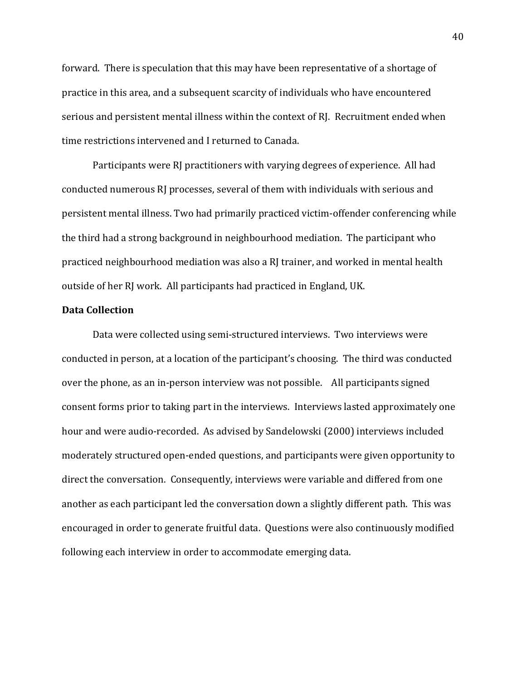forward. There is speculation that this may have been representative of a shortage of practice in this area, and a subsequent scarcity of individuals who have encountered serious and persistent mental illness within the context of RJ. Recruitment ended when time restrictions intervened and I returned to Canada.

Participants were RJ practitioners with varying degrees of experience. All had conducted numerous RJ processes, several of them with individuals with serious and persistent mental illness. Two had primarily practiced victim-offender conferencing while the third had a strong background in neighbourhood mediation. The participant who practiced neighbourhood mediation was also a RJ trainer, and worked in mental health outside of her RJ work. All participants had practiced in England, UK.

# **Data Collection**

Data were collected using semi-structured interviews. Two interviews were conducted in person, at a location of the participant's choosing. The third was conducted over the phone, as an in-person interview was not possible. All participants signed consent forms prior to taking part in the interviews. Interviews lasted approximately one hour and were audio-recorded. As advised by Sandelowski (2000) interviews included moderately structured open-ended questions, and participants were given opportunity to direct the conversation. Consequently, interviews were variable and differed from one another as each participant led the conversation down a slightly different path. This was encouraged in order to generate fruitful data. Questions were also continuously modified following each interview in order to accommodate emerging data.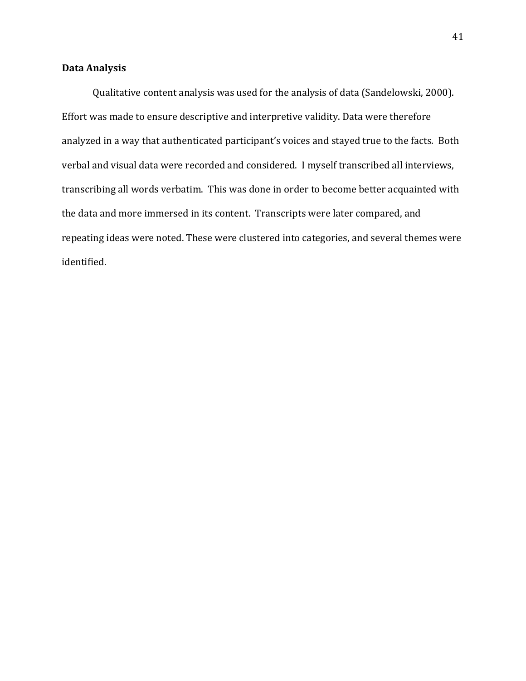# **Data Analysis**

Qualitative content analysis was used for the analysis of data (Sandelowski, 2000). Effort was made to ensure descriptive and interpretive validity. Data were therefore analyzed in a way that authenticated participant's voices and stayed true to the facts. Both verbal and visual data were recorded and considered. I myself transcribed all interviews, transcribing all words verbatim. This was done in order to become better acquainted with the data and more immersed in its content. Transcripts were later compared, and repeating ideas were noted. These were clustered into categories, and several themes were identified.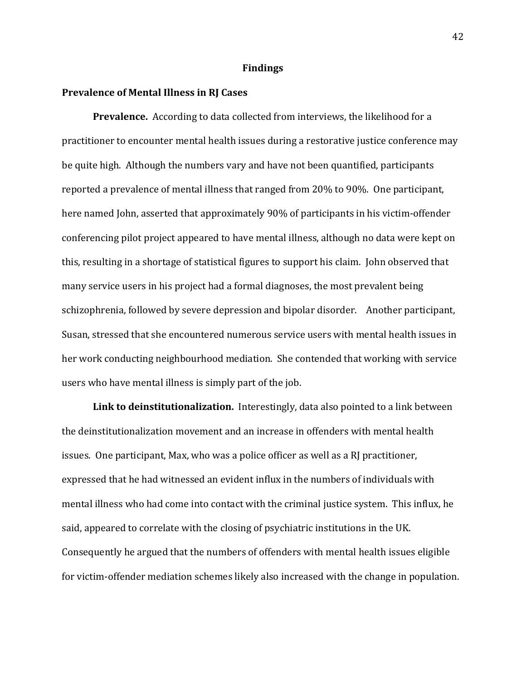#### **Findings**

#### **Prevalence of Mental Illness in RJ Cases**

**Prevalence.** According to data collected from interviews, the likelihood for a practitioner to encounter mental health issues during a restorative justice conference may be quite high. Although the numbers vary and have not been quantified, participants reported a prevalence of mental illness that ranged from 20% to 90%. One participant, here named John, asserted that approximately 90% of participants in his victim-offender conferencing pilot project appeared to have mental illness, although no data were kept on this, resulting in a shortage of statistical figures to support his claim. John observed that many service users in his project had a formal diagnoses, the most prevalent being schizophrenia, followed by severe depression and bipolar disorder. Another participant, Susan, stressed that she encountered numerous service users with mental health issues in her work conducting neighbourhood mediation. She contended that working with service users who have mental illness is simply part of the job.

**Link to deinstitutionalization.** Interestingly, data also pointed to a link between the deinstitutionalization movement and an increase in offenders with mental health issues. One participant, Max, who was a police officer as well as a RJ practitioner, expressed that he had witnessed an evident influx in the numbers of individuals with mental illness who had come into contact with the criminal justice system. This influx, he said, appeared to correlate with the closing of psychiatric institutions in the UK. Consequently he argued that the numbers of offenders with mental health issues eligible for victim-offender mediation schemes likely also increased with the change in population.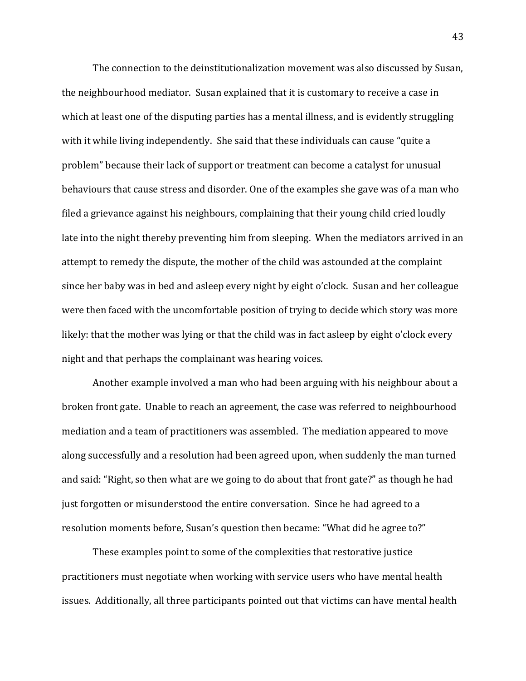The connection to the deinstitutionalization movement was also discussed by Susan, the neighbourhood mediator. Susan explained that it is customary to receive a case in which at least one of the disputing parties has a mental illness, and is evidently struggling with it while living independently. She said that these individuals can cause "quite a problem" because their lack of support or treatment can become a catalyst for unusual behaviours that cause stress and disorder. One of the examples she gave was of a man who filed a grievance against his neighbours, complaining that their young child cried loudly late into the night thereby preventing him from sleeping. When the mediators arrived in an attempt to remedy the dispute, the mother of the child was astounded at the complaint since her baby was in bed and asleep every night by eight o'clock. Susan and her colleague were then faced with the uncomfortable position of trying to decide which story was more likely: that the mother was lying or that the child was in fact asleep by eight o'clock every night and that perhaps the complainant was hearing voices.

Another example involved a man who had been arguing with his neighbour about a broken front gate. Unable to reach an agreement, the case was referred to neighbourhood mediation and a team of practitioners was assembled. The mediation appeared to move along successfully and a resolution had been agreed upon, when suddenly the man turned and said: "Right, so then what are we going to do about that front gate?" as though he had just forgotten or misunderstood the entire conversation. Since he had agreed to a resolution moments before, Susan's question then became: "What did he agree to?"

These examples point to some of the complexities that restorative justice practitioners must negotiate when working with service users who have mental health issues. Additionally, all three participants pointed out that victims can have mental health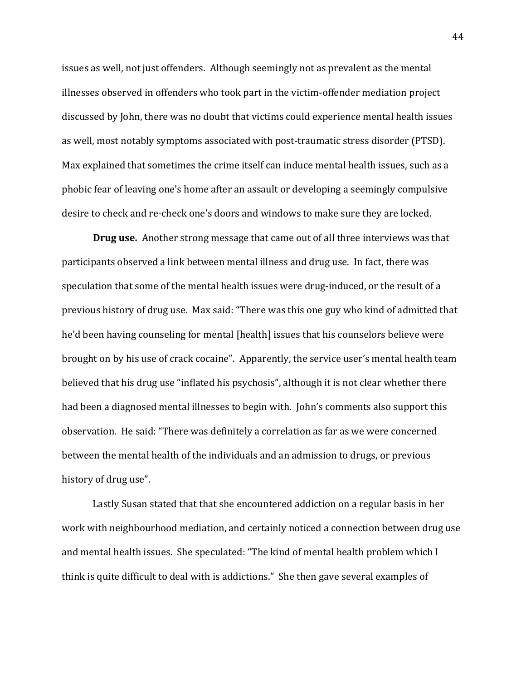issues as well, not just offenders. Although seemingly not as prevalent as the mental illnesses observed in offenders who took part in the victim-offender mediation project discussed by John, there was no doubt that victims could experience mental health issues as well, most notably symptoms associated with post-traumatic stress disorder (PTSD). Max explained that sometimes the crime itself can induce mental health issues, such as a phobic fear of leaving one's home after an assault or developing a seemingly compulsive desire to check and re-check one's doors and windows to make sure they are locked.

**Drug use.** Another strong message that came out of all three interviews was that participants observed a link between mental illness and drug use. In fact, there was speculation that some of the mental health issues were drug-induced, or the result of a previous history of drug use. Max said: "There was this one guy who kind of admitted that he'd been having counseling for mental [health] issues that his counselors believe were brought on by his use of crack cocaine". Apparently, the service user's mental health team believed that his drug use "inflated his psychosis", although it is not clear whether there had been a diagnosed mental illnesses to begin with. John's comments also support this observation. He said: "There was definitely a correlation as far as we were concerned between the mental health of the individuals and an admission to drugs, or previous history of drug use".

Lastly Susan stated that that she encountered addiction on a regular basis in her work with neighbourhood mediation, and certainly noticed a connection between drug use and mental health issues. She speculated: "The kind of mental health problem which I think is quite difficult to deal with is addictions." She then gave several examples of

44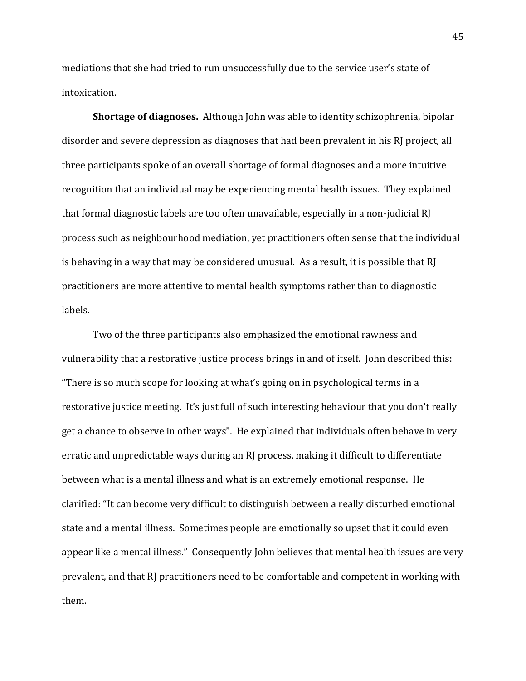mediations that she had tried to run unsuccessfully due to the service user's state of intoxication.

**Shortage of diagnoses.** Although John was able to identity schizophrenia, bipolar disorder and severe depression as diagnoses that had been prevalent in his RJ project, all three participants spoke of an overall shortage of formal diagnoses and a more intuitive recognition that an individual may be experiencing mental health issues. They explained that formal diagnostic labels are too often unavailable, especially in a non-judicial RJ process such as neighbourhood mediation, yet practitioners often sense that the individual is behaving in a way that may be considered unusual. As a result, it is possible that RJ practitioners are more attentive to mental health symptoms rather than to diagnostic labels.

Two of the three participants also emphasized the emotional rawness and vulnerability that a restorative justice process brings in and of itself. John described this: "There is so much scope for looking at what's going on in psychological terms in a restorative justice meeting. It's just full of such interesting behaviour that you don't really get a chance to observe in other ways". He explained that individuals often behave in very erratic and unpredictable ways during an RJ process, making it difficult to differentiate between what is a mental illness and what is an extremely emotional response. He clarified: "It can become very difficult to distinguish between a really disturbed emotional state and a mental illness. Sometimes people are emotionally so upset that it could even appear like a mental illness." Consequently John believes that mental health issues are very prevalent, and that RJ practitioners need to be comfortable and competent in working with them.!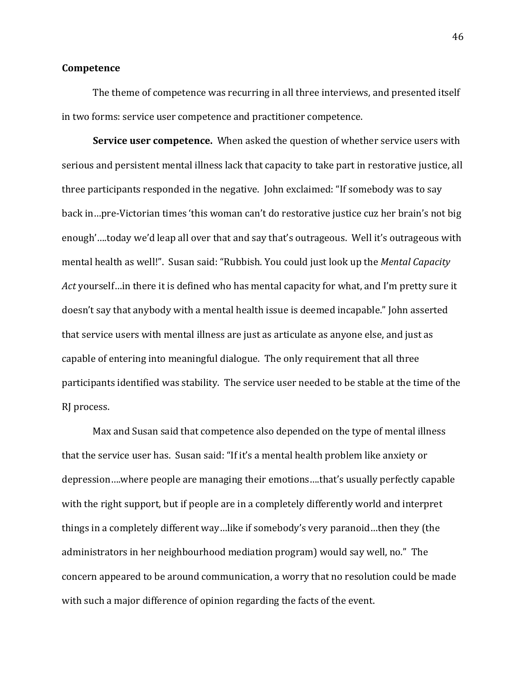## **Competence**

The theme of competence was recurring in all three interviews, and presented itself in two forms: service user competence and practitioner competence.

**Service user competence.** When asked the question of whether service users with serious and persistent mental illness lack that capacity to take part in restorative justice, all three participants responded in the negative. John exclaimed: "If somebody was to say back in…pre-Victorian times 'this woman can't do restorative justice cuz her brain's not big enough'....today we'd leap all over that and say that's outrageous. Well it's outrageous with mental health as well!". Susan said: "Rubbish. You could just look up the *Mental Capacity Act* yourself…in there it is defined who has mental capacity for what, and I'm pretty sure it doesn't say that anybody with a mental health issue is deemed incapable." John asserted that service users with mental illness are just as articulate as anyone else, and just as capable of entering into meaningful dialogue. The only requirement that all three participants identified was stability. The service user needed to be stable at the time of the RJ process.

Max and Susan said that competence also depended on the type of mental illness  $\blacksquare$ that the service user has. Susan said: "If it's a mental health problem like anxiety or depression....where people are managing their emotions....that's usually perfectly capable with the right support, but if people are in a completely differently world and interpret things in a completely different way...like if somebody's very paranoid...then they (the administrators in her neighbourhood mediation program) would say well, no." The concern appeared to be around communication, a worry that no resolution could be made with such a major difference of opinion regarding the facts of the event.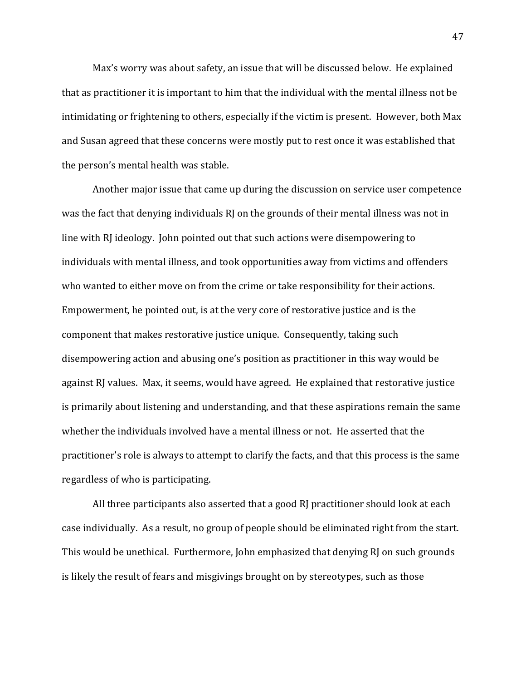Max's worry was about safety, an issue that will be discussed below. He explained that as practitioner it is important to him that the individual with the mental illness not be intimidating or frightening to others, especially if the victim is present. However, both Max and Susan agreed that these concerns were mostly put to rest once it was established that the person's mental health was stable.

Another major issue that came up during the discussion on service user competence was the fact that denying individuals RJ on the grounds of their mental illness was not in line with RI ideology. John pointed out that such actions were disempowering to individuals with mental illness, and took opportunities away from victims and offenders who wanted to either move on from the crime or take responsibility for their actions. Empowerment, he pointed out, is at the very core of restorative justice and is the component that makes restorative justice unique. Consequently, taking such disempowering action and abusing one's position as practitioner in this way would be against RJ values. Max, it seems, would have agreed. He explained that restorative justice is primarily about listening and understanding, and that these aspirations remain the same whether the individuals involved have a mental illness or not. He asserted that the practitioner's role is always to attempt to clarify the facts, and that this process is the same regardless of who is participating.

All three participants also asserted that a good RJ practitioner should look at each case individually. As a result, no group of people should be eliminated right from the start. This would be unethical. Furthermore, John emphasized that denying RJ on such grounds is likely the result of fears and misgivings brought on by stereotypes, such as those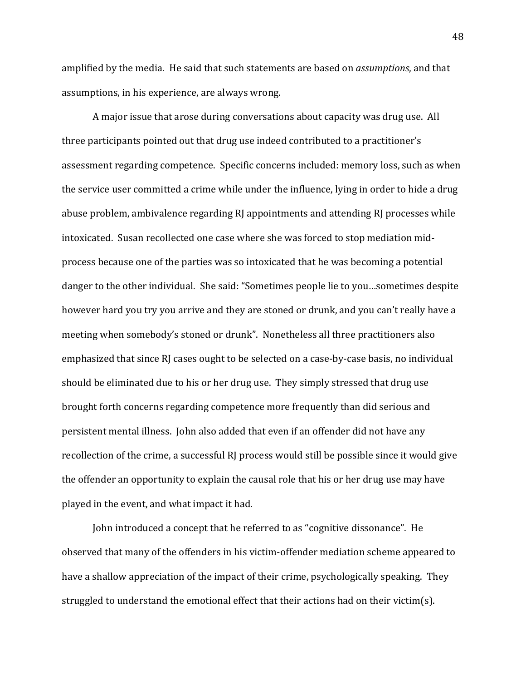amplified by the media. He said that such statements are based on *assumptions*, and that assumptions, in his experience, are always wrong.

A major issue that arose during conversations about capacity was drug use. All three participants pointed out that drug use indeed contributed to a practitioner's assessment regarding competence. Specific concerns included: memory loss, such as when the service user committed a crime while under the influence, lying in order to hide a drug abuse problem, ambivalence regarding RJ appointments and attending RJ processes while intoxicated. Susan recollected one case where she was forced to stop mediation midprocess because one of the parties was so intoxicated that he was becoming a potential danger to the other individual. She said: "Sometimes people lie to you...sometimes despite however hard you try you arrive and they are stoned or drunk, and you can't really have a meeting when somebody's stoned or drunk". Nonetheless all three practitioners also emphasized that since RJ cases ought to be selected on a case-by-case basis, no individual should be eliminated due to his or her drug use. They simply stressed that drug use brought forth concerns regarding competence more frequently than did serious and persistent mental illness. John also added that even if an offender did not have any recollection of the crime, a successful RJ process would still be possible since it would give the offender an opportunity to explain the causal role that his or her drug use may have played in the event, and what impact it had.

John introduced a concept that he referred to as "cognitive dissonance". He observed that many of the offenders in his victim-offender mediation scheme appeared to have a shallow appreciation of the impact of their crime, psychologically speaking. They struggled to understand the emotional effect that their actions had on their victim(s).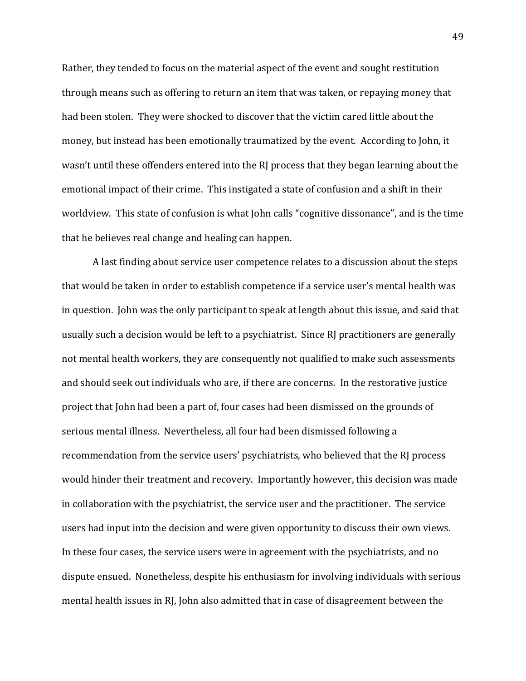Rather, they tended to focus on the material aspect of the event and sought restitution through means such as offering to return an item that was taken, or repaying money that had been stolen. They were shocked to discover that the victim cared little about the money, but instead has been emotionally traumatized by the event. According to John, it wasn't until these offenders entered into the RJ process that they began learning about the emotional impact of their crime. This instigated a state of confusion and a shift in their worldview. This state of confusion is what John calls "cognitive dissonance", and is the time that he believes real change and healing can happen.

A last finding about service user competence relates to a discussion about the steps that would be taken in order to establish competence if a service user's mental health was in question. John was the only participant to speak at length about this issue, and said that usually such a decision would be left to a psychiatrist. Since RJ practitioners are generally not mental health workers, they are consequently not qualified to make such assessments and should seek out individuals who are, if there are concerns. In the restorative justice project that John had been a part of, four cases had been dismissed on the grounds of serious mental illness. Nevertheless, all four had been dismissed following a recommendation from the service users' psychiatrists, who believed that the RJ process would hinder their treatment and recovery. Importantly however, this decision was made in collaboration with the psychiatrist, the service user and the practitioner. The service users had input into the decision and were given opportunity to discuss their own views. In these four cases, the service users were in agreement with the psychiatrists, and no dispute ensued. Nonetheless, despite his enthusiasm for involving individuals with serious mental health issues in RJ, John also admitted that in case of disagreement between the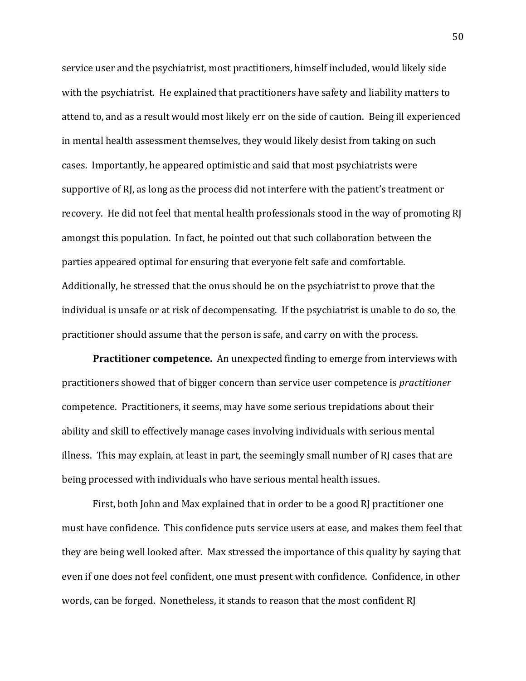service user and the psychiatrist, most practitioners, himself included, would likely side with the psychiatrist. He explained that practitioners have safety and liability matters to attend to, and as a result would most likely err on the side of caution. Being ill experienced in mental health assessment themselves, they would likely desist from taking on such cases. Importantly, he appeared optimistic and said that most psychiatrists were supportive of RJ, as long as the process did not interfere with the patient's treatment or recovery. He did not feel that mental health professionals stood in the way of promoting RJ amongst this population. In fact, he pointed out that such collaboration between the parties appeared optimal for ensuring that everyone felt safe and comfortable. Additionally, he stressed that the onus should be on the psychiatrist to prove that the individual is unsafe or at risk of decompensating. If the psychiatrist is unable to do so, the practitioner should assume that the person is safe, and carry on with the process.

**Practitioner competence.** An unexpected finding to emerge from interviews with practitioners showed that of bigger concern than service user competence is *practitioner* competence. Practitioners, it seems, may have some serious trepidations about their ability and skill to effectively manage cases involving individuals with serious mental illness. This may explain, at least in part, the seemingly small number of RJ cases that are being processed with individuals who have serious mental health issues.

First, both John and Max explained that in order to be a good RJ practitioner one must have confidence. This confidence puts service users at ease, and makes them feel that they are being well looked after. Max stressed the importance of this quality by saying that even if one does not feel confident, one must present with confidence. Confidence, in other words, can be forged. Nonetheless, it stands to reason that the most confident RJ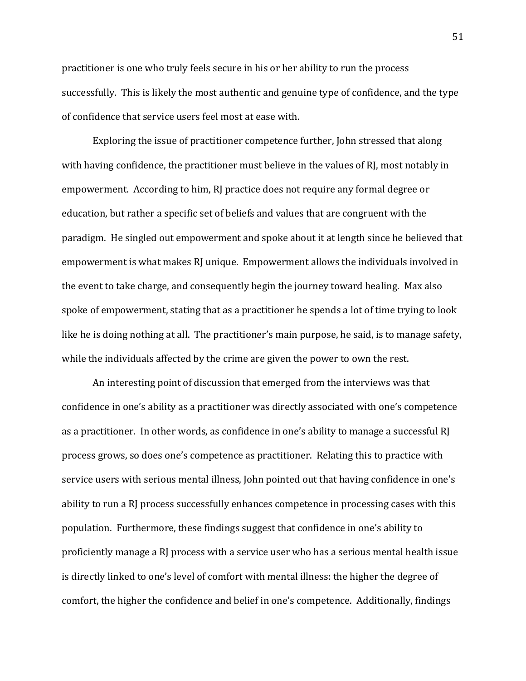practitioner is one who truly feels secure in his or her ability to run the process successfully. This is likely the most authentic and genuine type of confidence, and the type of confidence that service users feel most at ease with.

Exploring the issue of practitioner competence further, John stressed that along with having confidence, the practitioner must believe in the values of RJ, most notably in empowerment. According to him, RJ practice does not require any formal degree or education, but rather a specific set of beliefs and values that are congruent with the paradigm. He singled out empowerment and spoke about it at length since he believed that empowerment is what makes RJ unique. Empowerment allows the individuals involved in the event to take charge, and consequently begin the journey toward healing. Max also spoke of empowerment, stating that as a practitioner he spends a lot of time trying to look like he is doing nothing at all. The practitioner's main purpose, he said, is to manage safety, while the individuals affected by the crime are given the power to own the rest.

An interesting point of discussion that emerged from the interviews was that confidence in one's ability as a practitioner was directly associated with one's competence as a practitioner. In other words, as confidence in one's ability to manage a successful RJ process grows, so does one's competence as practitioner. Relating this to practice with service users with serious mental illness, John pointed out that having confidence in one's ability to run a RJ process successfully enhances competence in processing cases with this population. Furthermore, these findings suggest that confidence in one's ability to proficiently manage a RJ process with a service user who has a serious mental health issue is directly linked to one's level of comfort with mental illness: the higher the degree of comfort, the higher the confidence and belief in one's competence. Additionally, findings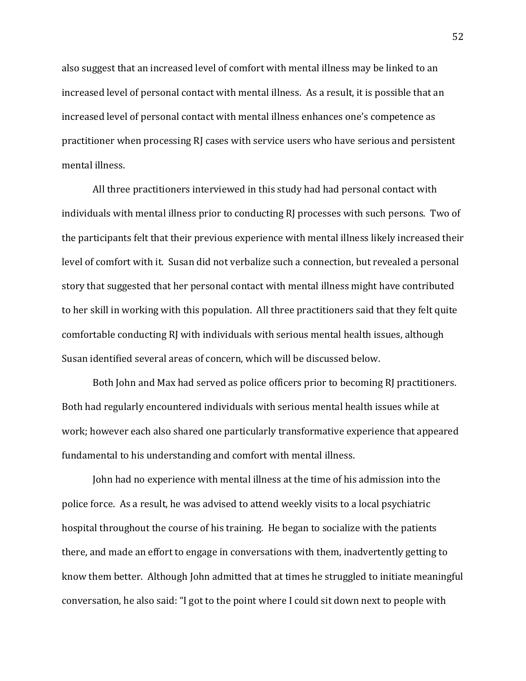also suggest that an increased level of comfort with mental illness may be linked to an increased level of personal contact with mental illness. As a result, it is possible that an increased level of personal contact with mental illness enhances one's competence as practitioner when processing RJ cases with service users who have serious and persistent mental illness.

All three practitioners interviewed in this study had had personal contact with individuals with mental illness prior to conducting RJ processes with such persons. Two of the participants felt that their previous experience with mental illness likely increased their level of comfort with it. Susan did not verbalize such a connection, but revealed a personal story that suggested that her personal contact with mental illness might have contributed to her skill in working with this population. All three practitioners said that they felt quite comfortable conducting RJ with individuals with serious mental health issues, although Susan identified several areas of concern, which will be discussed below.

Both John and Max had served as police officers prior to becoming RJ practitioners. Both had regularly encountered individuals with serious mental health issues while at work; however each also shared one particularly transformative experience that appeared fundamental to his understanding and comfort with mental illness.

John had no experience with mental illness at the time of his admission into the police force. As a result, he was advised to attend weekly visits to a local psychiatric hospital throughout the course of his training. He began to socialize with the patients there, and made an effort to engage in conversations with them, inadvertently getting to know them better. Although John admitted that at times he struggled to initiate meaningful conversation, he also said: "I got to the point where I could sit down next to people with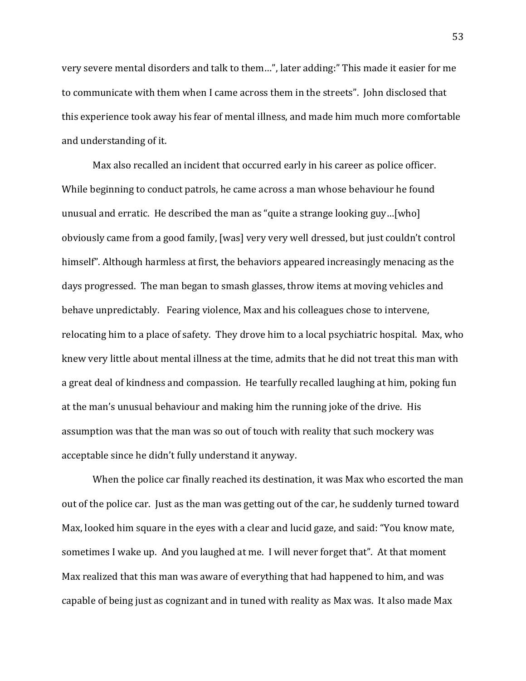very severe mental disorders and talk to them...", later adding:" This made it easier for me to communicate with them when I came across them in the streets". John disclosed that this experience took away his fear of mental illness, and made him much more comfortable and understanding of it.

Max also recalled an incident that occurred early in his career as police officer. While beginning to conduct patrols, he came across a man whose behaviour he found unusual and erratic. He described the man as "quite a strange looking guy...[who] obviously came from a good family, [was] very very well dressed, but just couldn't control himself". Although harmless at first, the behaviors appeared increasingly menacing as the days progressed. The man began to smash glasses, throw items at moving vehicles and behave unpredictably. Fearing violence, Max and his colleagues chose to intervene, relocating him to a place of safety. They drove him to a local psychiatric hospital. Max, who knew very little about mental illness at the time, admits that he did not treat this man with a great deal of kindness and compassion. He tearfully recalled laughing at him, poking fun at the man's unusual behaviour and making him the running joke of the drive. His assumption was that the man was so out of touch with reality that such mockery was acceptable since he didn't fully understand it anyway.

When the police car finally reached its destination, it was Max who escorted the man out of the police car. Just as the man was getting out of the car, he suddenly turned toward Max, looked him square in the eyes with a clear and lucid gaze, and said: "You know mate, sometimes I wake up. And you laughed at me. I will never forget that". At that moment Max realized that this man was aware of everything that had happened to him, and was capable of being just as cognizant and in tuned with reality as Max was. It also made Max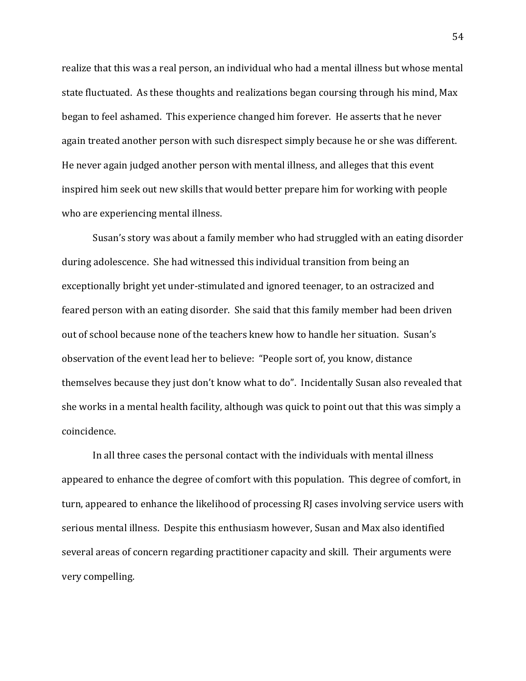realize that this was a real person, an individual who had a mental illness but whose mental state fluctuated. As these thoughts and realizations began coursing through his mind, Max began to feel ashamed. This experience changed him forever. He asserts that he never again treated another person with such disrespect simply because he or she was different. He never again judged another person with mental illness, and alleges that this event inspired him seek out new skills that would better prepare him for working with people who are experiencing mental illness.

Susan's story was about a family member who had struggled with an eating disorder during adolescence. She had witnessed this individual transition from being an exceptionally bright yet under-stimulated and ignored teenager, to an ostracized and feared person with an eating disorder. She said that this family member had been driven out of school because none of the teachers knew how to handle her situation. Susan's observation of the event lead her to believe: "People sort of, you know, distance themselves because they just don't know what to do". Incidentally Susan also revealed that she works in a mental health facility, although was quick to point out that this was simply a coincidence.

In all three cases the personal contact with the individuals with mental illness appeared to enhance the degree of comfort with this population. This degree of comfort, in turn, appeared to enhance the likelihood of processing RJ cases involving service users with serious mental illness. Despite this enthusiasm however, Susan and Max also identified several areas of concern regarding practitioner capacity and skill. Their arguments were very compelling.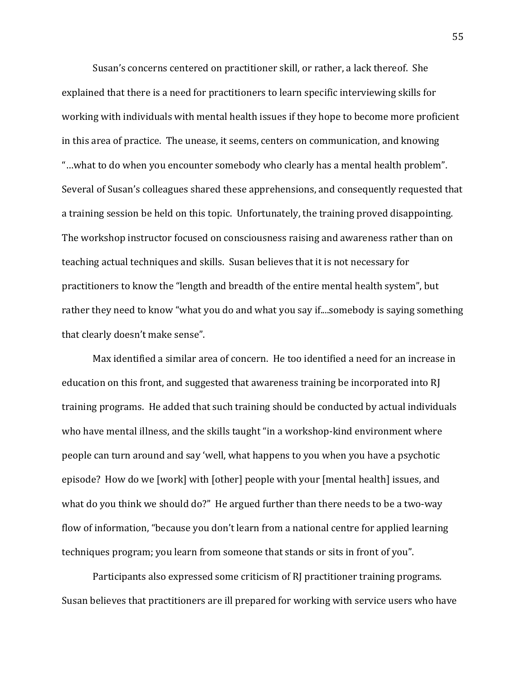Susan's concerns centered on practitioner skill, or rather, a lack thereof. She explained that there is a need for practitioners to learn specific interviewing skills for working with individuals with mental health issues if they hope to become more proficient in this area of practice. The unease, it seems, centers on communication, and knowing "...what to do when you encounter somebody who clearly has a mental health problem". Several of Susan's colleagues shared these apprehensions, and consequently requested that a training session be held on this topic. Unfortunately, the training proved disappointing. The workshop instructor focused on consciousness raising and awareness rather than on teaching actual techniques and skills. Susan believes that it is not necessary for practitioners to know the "length and breadth of the entire mental health system", but rather they need to know "what you do and what you say if....somebody is saying something that clearly doesn't make sense".

Max identified a similar area of concern. He too identified a need for an increase in education on this front, and suggested that awareness training be incorporated into RJ training programs. He added that such training should be conducted by actual individuals who have mental illness, and the skills taught "in a workshop-kind environment where people can turn around and say 'well, what happens to you when you have a psychotic episode? How do we [work] with [other] people with your [mental health] issues, and what do you think we should do?" He argued further than there needs to be a two-way flow of information, "because you don't learn from a national centre for applied learning techniques program; you learn from someone that stands or sits in front of you".

Participants also expressed some criticism of RJ practitioner training programs. Susan believes that practitioners are ill prepared for working with service users who have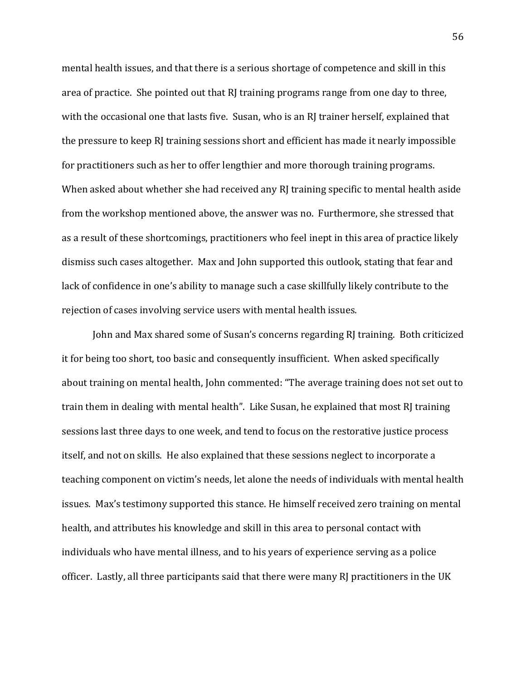mental health issues, and that there is a serious shortage of competence and skill in this area of practice. She pointed out that  $RI$  training programs range from one day to three, with the occasional one that lasts five. Susan, who is an RJ trainer herself, explained that the pressure to keep RJ training sessions short and efficient has made it nearly impossible for practitioners such as her to offer lengthier and more thorough training programs. When asked about whether she had received any RJ training specific to mental health aside from the workshop mentioned above, the answer was no. Furthermore, she stressed that as a result of these shortcomings, practitioners who feel inept in this area of practice likely dismiss such cases altogether. Max and John supported this outlook, stating that fear and lack of confidence in one's ability to manage such a case skillfully likely contribute to the rejection of cases involving service users with mental health issues.

John and Max shared some of Susan's concerns regarding RJ training. Both criticized it for being too short, too basic and consequently insufficient. When asked specifically about training on mental health, John commented: "The average training does not set out to train them in dealing with mental health". Like Susan, he explained that most RJ training sessions last three days to one week, and tend to focus on the restorative justice process itself, and not on skills. He also explained that these sessions neglect to incorporate a teaching component on victim's needs, let alone the needs of individuals with mental health issues. Max's testimony supported this stance. He himself received zero training on mental health, and attributes his knowledge and skill in this area to personal contact with individuals who have mental illness, and to his years of experience serving as a police officer. Lastly, all three participants said that there were many RJ practitioners in the UK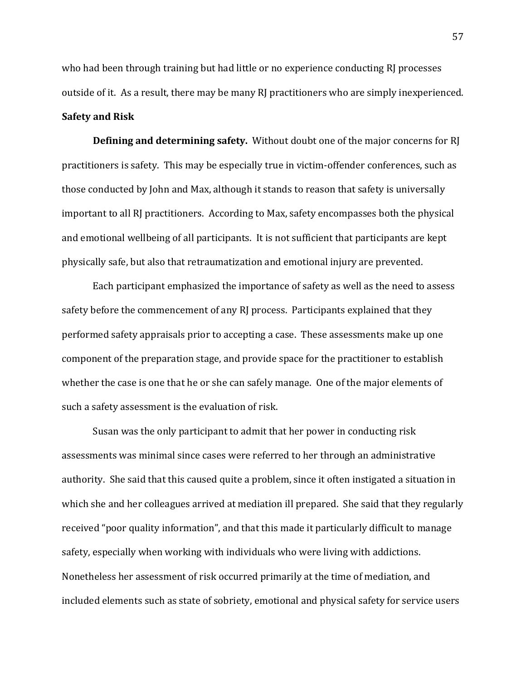who had been through training but had little or no experience conducting RJ processes outside of it. As a result, there may be many RJ practitioners who are simply inexperienced. **Safety and Risk** 

**Defining and determining safety.** Without doubt one of the major concerns for RJ practitioners is safety. This may be especially true in victim-offender conferences, such as those conducted by John and Max, although it stands to reason that safety is universally important to all RJ practitioners. According to Max, safety encompasses both the physical and emotional wellbeing of all participants. It is not sufficient that participants are kept physically safe, but also that retraumatization and emotional injury are prevented.

Each participant emphasized the importance of safety as well as the need to assess safety before the commencement of any RJ process. Participants explained that they performed safety appraisals prior to accepting a case. These assessments make up one component of the preparation stage, and provide space for the practitioner to establish whether the case is one that he or she can safely manage. One of the major elements of such a safety assessment is the evaluation of risk.

Susan was the only participant to admit that her power in conducting risk assessments was minimal since cases were referred to her through an administrative authority. She said that this caused quite a problem, since it often instigated a situation in which she and her colleagues arrived at mediation ill prepared. She said that they regularly received "poor quality information", and that this made it particularly difficult to manage safety, especially when working with individuals who were living with addictions. Nonetheless her assessment of risk occurred primarily at the time of mediation, and included elements such as state of sobriety, emotional and physical safety for service users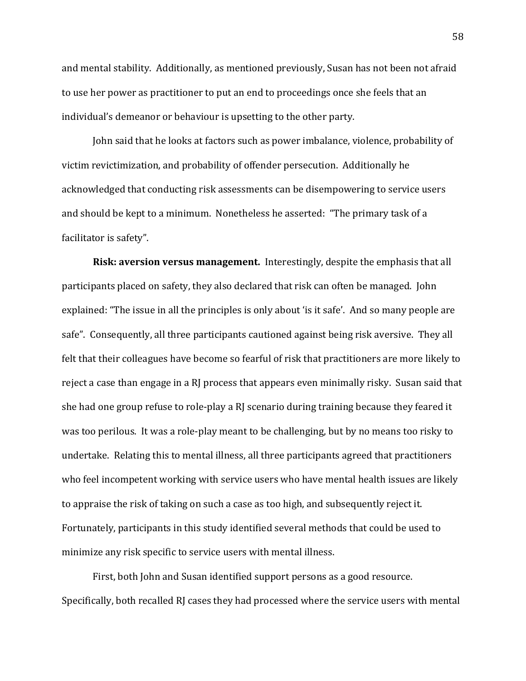and mental stability. Additionally, as mentioned previously, Susan has not been not afraid to use her power as practitioner to put an end to proceedings once she feels that an individual's demeanor or behaviour is upsetting to the other party.

John said that he looks at factors such as power imbalance, violence, probability of victim revictimization, and probability of offender persecution. Additionally he acknowledged that conducting risk assessments can be disempowering to service users and should be kept to a minimum. Nonetheless he asserted: "The primary task of a facilitator is safety".

**Risk: aversion versus management.** Interestingly, despite the emphasis that all participants placed on safety, they also declared that risk can often be managed. John explained: "The issue in all the principles is only about 'is it safe'. And so many people are safe". Consequently, all three participants cautioned against being risk aversive. They all felt that their colleagues have become so fearful of risk that practitioners are more likely to reject a case than engage in a RJ process that appears even minimally risky. Susan said that she had one group refuse to role-play a RJ scenario during training because they feared it was too perilous. It was a role-play meant to be challenging, but by no means too risky to undertake. Relating this to mental illness, all three participants agreed that practitioners who feel incompetent working with service users who have mental health issues are likely to appraise the risk of taking on such a case as too high, and subsequently reject it. Fortunately, participants in this study identified several methods that could be used to minimize any risk specific to service users with mental illness.

First, both John and Susan identified support persons as a good resource. Specifically, both recalled RJ cases they had processed where the service users with mental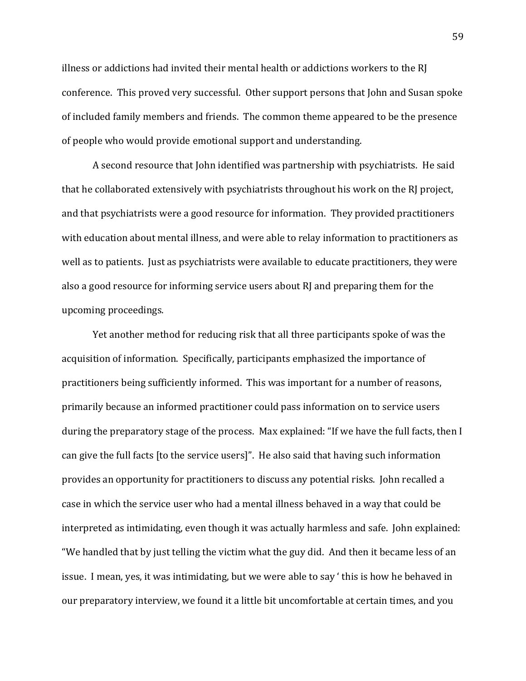illness or addictions had invited their mental health or addictions workers to the RJ conference. This proved very successful. Other support persons that John and Susan spoke of included family members and friends. The common theme appeared to be the presence of people who would provide emotional support and understanding.

A second resource that John identified was partnership with psychiatrists. He said that he collaborated extensively with psychiatrists throughout his work on the RJ project, and that psychiatrists were a good resource for information. They provided practitioners with education about mental illness, and were able to relay information to practitioners as well as to patients. Just as psychiatrists were available to educate practitioners, they were also a good resource for informing service users about  $RI$  and preparing them for the upcoming proceedings.

Yet another method for reducing risk that all three participants spoke of was the acquisition of information. Specifically, participants emphasized the importance of practitioners being sufficiently informed. This was important for a number of reasons, primarily because an informed practitioner could pass information on to service users during the preparatory stage of the process. Max explained: "If we have the full facts, then I can give the full facts [to the service users]". He also said that having such information provides an opportunity for practitioners to discuss any potential risks. John recalled a case in which the service user who had a mental illness behaved in a way that could be interpreted as intimidating, even though it was actually harmless and safe. John explained: "We handled that by just telling the victim what the guy did. And then it became less of an issue. I mean, yes, it was intimidating, but we were able to say 'this is how he behaved in our preparatory interview, we found it a little bit uncomfortable at certain times, and you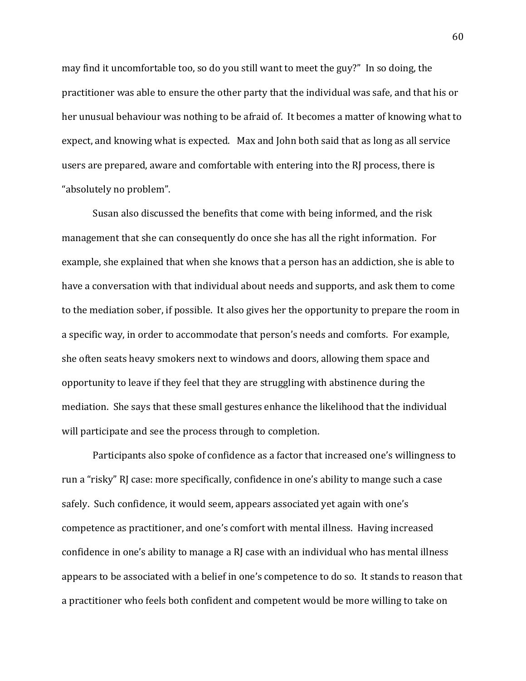may find it uncomfortable too, so do you still want to meet the guy?" In so doing, the practitioner was able to ensure the other party that the individual was safe, and that his or her unusual behaviour was nothing to be afraid of. It becomes a matter of knowing what to expect, and knowing what is expected. Max and John both said that as long as all service users are prepared, aware and comfortable with entering into the RJ process, there is "absolutely no problem".

Susan also discussed the benefits that come with being informed, and the risk management that she can consequently do once she has all the right information. For example, she explained that when she knows that a person has an addiction, she is able to have a conversation with that individual about needs and supports, and ask them to come to the mediation sober, if possible. It also gives her the opportunity to prepare the room in a specific way, in order to accommodate that person's needs and comforts. For example, she often seats heavy smokers next to windows and doors, allowing them space and opportunity to leave if they feel that they are struggling with abstinence during the mediation. She says that these small gestures enhance the likelihood that the individual will participate and see the process through to completion.

Participants also spoke of confidence as a factor that increased one's willingness to run a "risky" RJ case: more specifically, confidence in one's ability to mange such a case safely. Such confidence, it would seem, appears associated yet again with one's competence as practitioner, and one's comfort with mental illness. Having increased confidence in one's ability to manage a  $R$ ] case with an individual who has mental illness appears to be associated with a belief in one's competence to do so. It stands to reason that a practitioner who feels both confident and competent would be more willing to take on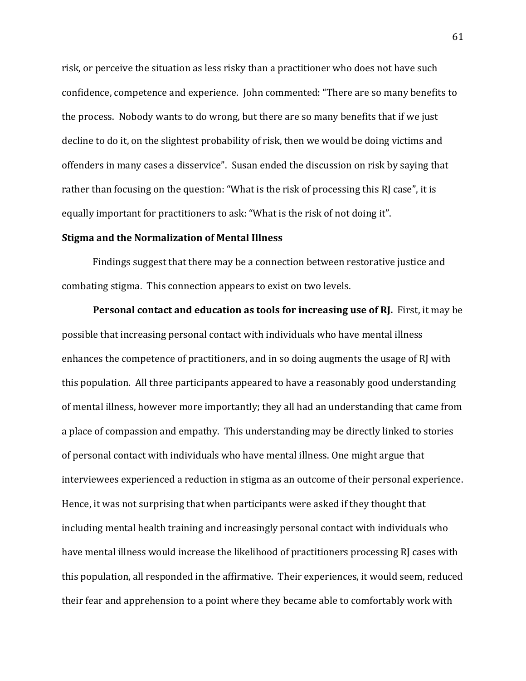risk, or perceive the situation as less risky than a practitioner who does not have such confidence, competence and experience. John commented: "There are so many benefits to the process. Nobody wants to do wrong, but there are so many benefits that if we just decline to do it, on the slightest probability of risk, then we would be doing victims and offenders in many cases a disservice". Susan ended the discussion on risk by saying that rather than focusing on the question: "What is the risk of processing this RJ case", it is equally important for practitioners to ask: "What is the risk of not doing it".

## **Stigma and the Normalization of Mental Illness**

Findings suggest that there may be a connection between restorative justice and combating stigma. This connection appears to exist on two levels.

**Personal contact and education as tools for increasing use of RJ.** First, it may be possible that increasing personal contact with individuals who have mental illness enhances the competence of practitioners, and in so doing augments the usage of RJ with this population. All three participants appeared to have a reasonably good understanding of mental illness, however more importantly; they all had an understanding that came from a place of compassion and empathy. This understanding may be directly linked to stories of personal contact with individuals who have mental illness. One might argue that interviewees experienced a reduction in stigma as an outcome of their personal experience. Hence, it was not surprising that when participants were asked if they thought that including mental health training and increasingly personal contact with individuals who have mental illness would increase the likelihood of practitioners processing RJ cases with this population, all responded in the affirmative. Their experiences, it would seem, reduced their fear and apprehension to a point where they became able to comfortably work with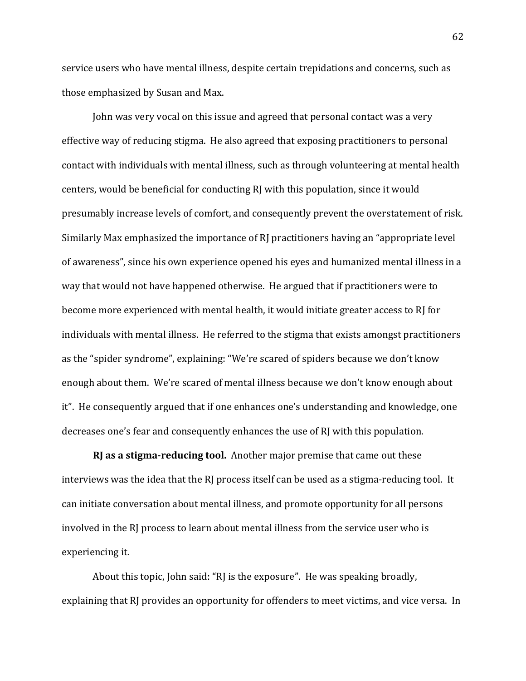service users who have mental illness, despite certain trepidations and concerns, such as those emphasized by Susan and Max.

John was very vocal on this issue and agreed that personal contact was a very effective way of reducing stigma. He also agreed that exposing practitioners to personal contact with individuals with mental illness, such as through volunteering at mental health centers, would be beneficial for conducting RJ with this population, since it would presumably increase levels of comfort, and consequently prevent the overstatement of risk. Similarly Max emphasized the importance of RJ practitioners having an "appropriate level" of awareness", since his own experience opened his eyes and humanized mental illness in a way that would not have happened otherwise. He argued that if practitioners were to become more experienced with mental health, it would initiate greater access to RJ for individuals with mental illness. He referred to the stigma that exists amongst practitioners as the "spider syndrome", explaining: "We're scared of spiders because we don't know enough about them. We're scared of mental illness because we don't know enough about it". He consequently argued that if one enhances one's understanding and knowledge, one decreases one's fear and consequently enhances the use of RJ with this population.

**RJ as a stigma-reducing tool.** Another major premise that came out these interviews was the idea that the RJ process itself can be used as a stigma-reducing tool. It can initiate conversation about mental illness, and promote opportunity for all persons involved in the RJ process to learn about mental illness from the service user who is experiencing it.

About this topic, John said: "RJ is the exposure". He was speaking broadly, explaining that RJ provides an opportunity for offenders to meet victims, and vice versa. In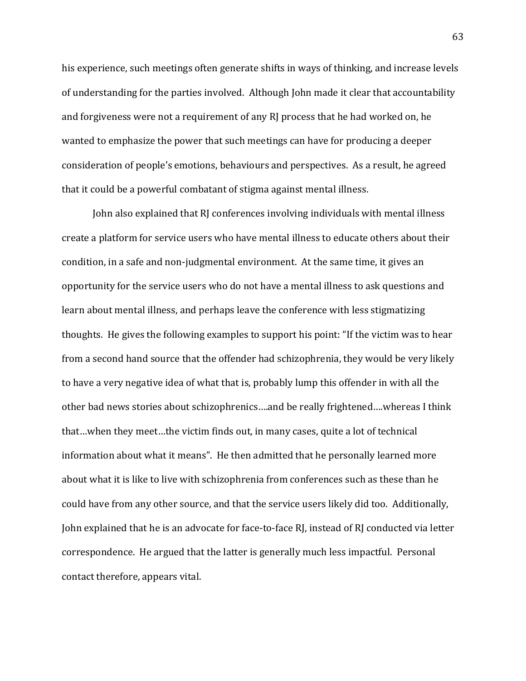his experience, such meetings often generate shifts in ways of thinking, and increase levels of understanding for the parties involved. Although John made it clear that accountability and forgiveness were not a requirement of any RJ process that he had worked on, he wanted to emphasize the power that such meetings can have for producing a deeper consideration of people's emotions, behaviours and perspectives. As a result, he agreed that it could be a powerful combatant of stigma against mental illness.

John also explained that RJ conferences involving individuals with mental illness create a platform for service users who have mental illness to educate others about their condition, in a safe and non-judgmental environment. At the same time, it gives an opportunity for the service users who do not have a mental illness to ask questions and learn about mental illness, and perhaps leave the conference with less stigmatizing thoughts. He gives the following examples to support his point: "If the victim was to hear from a second hand source that the offender had schizophrenia, they would be very likely to have a very negative idea of what that is, probably lump this offender in with all the other bad news stories about schizophrenics....and be really frightened....whereas I think that…when they meet…the victim finds out, in many cases, quite a lot of technical information about what it means". He then admitted that he personally learned more about what it is like to live with schizophrenia from conferences such as these than he could have from any other source, and that the service users likely did too. Additionally, John explained that he is an advocate for face-to-face RJ, instead of RJ conducted via letter correspondence. He argued that the latter is generally much less impactful. Personal contact therefore, appears vital.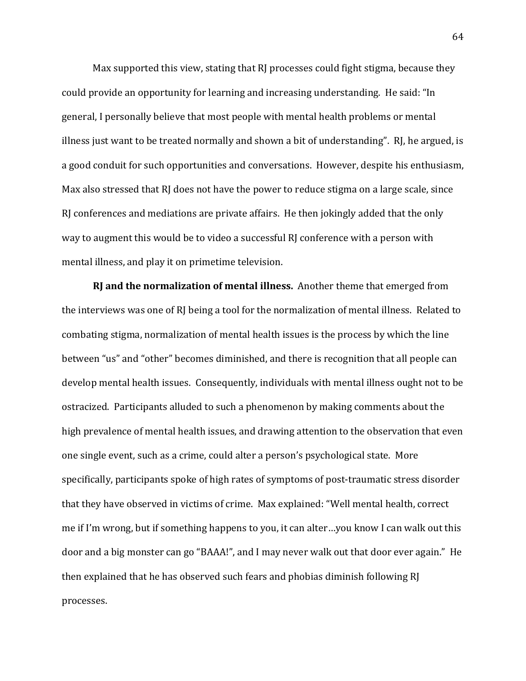Max supported this view, stating that RJ processes could fight stigma, because they could provide an opportunity for learning and increasing understanding. He said: "In general, I personally believe that most people with mental health problems or mental illness just want to be treated normally and shown a bit of understanding". RJ, he argued, is a good conduit for such opportunities and conversations. However, despite his enthusiasm, Max also stressed that RJ does not have the power to reduce stigma on a large scale, since RJ conferences and mediations are private affairs. He then jokingly added that the only way to augment this would be to video a successful RI conference with a person with mental illness, and play it on primetime television.

**RJ and the normalization of mental illness.** Another theme that emerged from the interviews was one of RJ being a tool for the normalization of mental illness. Related to combating stigma, normalization of mental health issues is the process by which the line between "us" and "other" becomes diminished, and there is recognition that all people can develop mental health issues. Consequently, individuals with mental illness ought not to be ostracized. Participants alluded to such a phenomenon by making comments about the high prevalence of mental health issues, and drawing attention to the observation that even one single event, such as a crime, could alter a person's psychological state. More specifically, participants spoke of high rates of symptoms of post-traumatic stress disorder that they have observed in victims of crime. Max explained: "Well mental health, correct me if I'm wrong, but if something happens to you, it can alter…you know I can walk out this door and a big monster can go "BAAA!", and I may never walk out that door ever again." He then explained that he has observed such fears and phobias diminish following RJ processes.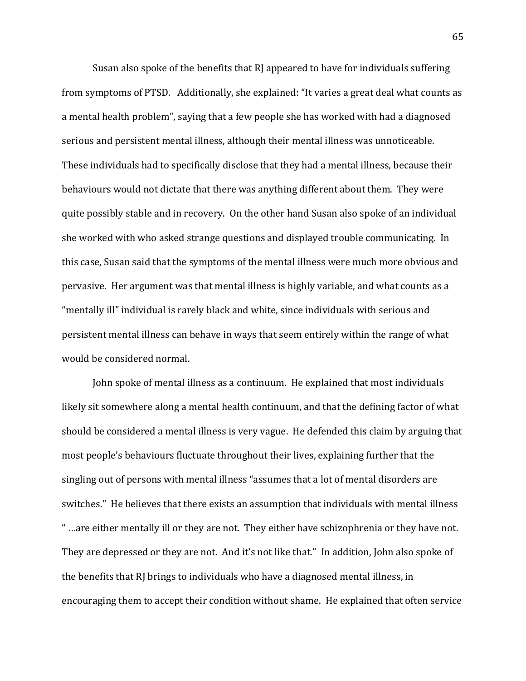Susan also spoke of the benefits that RJ appeared to have for individuals suffering from symptoms of PTSD. Additionally, she explained: "It varies a great deal what counts as a mental health problem", saying that a few people she has worked with had a diagnosed serious and persistent mental illness, although their mental illness was unnoticeable. These individuals had to specifically disclose that they had a mental illness, because their behaviours would not dictate that there was anything different about them. They were quite possibly stable and in recovery. On the other hand Susan also spoke of an individual she worked with who asked strange questions and displayed trouble communicating. In this case, Susan said that the symptoms of the mental illness were much more obvious and pervasive. Her argument was that mental illness is highly variable, and what counts as a "mentally ill" individual is rarely black and white, since individuals with serious and persistent mental illness can behave in ways that seem entirely within the range of what would be considered normal.

John spoke of mental illness as a continuum. He explained that most individuals likely sit somewhere along a mental health continuum, and that the defining factor of what should be considered a mental illness is very vague. He defended this claim by arguing that most people's behaviours fluctuate throughout their lives, explaining further that the singling out of persons with mental illness "assumes that a lot of mental disorders are switches." He believes that there exists an assumption that individuals with mental illness " ... are either mentally ill or they are not. They either have schizophrenia or they have not. They are depressed or they are not. And it's not like that." In addition, John also spoke of the benefits that RJ brings to individuals who have a diagnosed mental illness, in encouraging them to accept their condition without shame. He explained that often service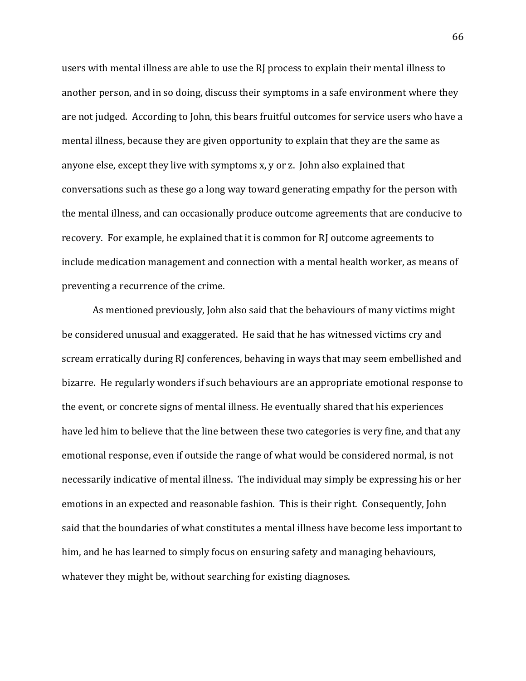users with mental illness are able to use the RJ process to explain their mental illness to another person, and in so doing, discuss their symptoms in a safe environment where they are not judged. According to John, this bears fruitful outcomes for service users who have a mental illness, because they are given opportunity to explain that they are the same as anyone else, except they live with symptoms x, y or z. John also explained that conversations such as these go a long way toward generating empathy for the person with the mental illness, and can occasionally produce outcome agreements that are conducive to recovery. For example, he explained that it is common for RJ outcome agreements to include medication management and connection with a mental health worker, as means of preventing a recurrence of the crime.

As mentioned previously, John also said that the behaviours of many victims might be considered unusual and exaggerated. He said that he has witnessed victims cry and scream erratically during RJ conferences, behaving in ways that may seem embellished and bizarre. He regularly wonders if such behaviours are an appropriate emotional response to the event, or concrete signs of mental illness. He eventually shared that his experiences have led him to believe that the line between these two categories is very fine, and that any emotional response, even if outside the range of what would be considered normal, is not necessarily indicative of mental illness. The individual may simply be expressing his or her emotions in an expected and reasonable fashion. This is their right. Consequently, John said that the boundaries of what constitutes a mental illness have become less important to him, and he has learned to simply focus on ensuring safety and managing behaviours, whatever they might be, without searching for existing diagnoses.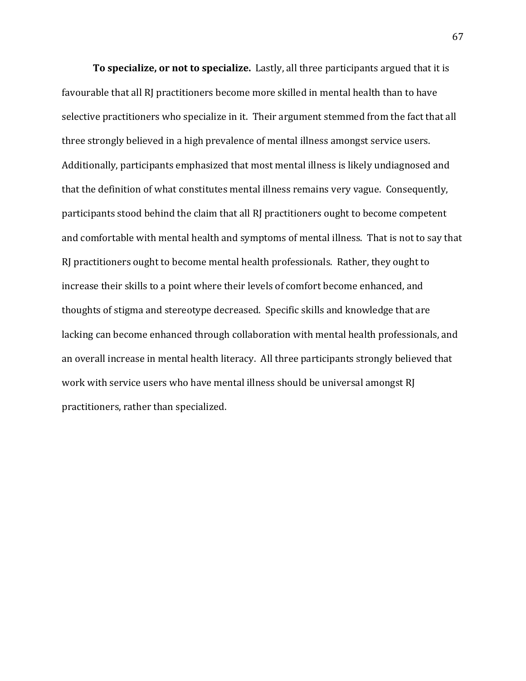**To specialize, or not to specialize.** Lastly, all three participants argued that it is favourable that all RJ practitioners become more skilled in mental health than to have selective practitioners who specialize in it. Their argument stemmed from the fact that all three strongly believed in a high prevalence of mental illness amongst service users. Additionally, participants emphasized that most mental illness is likely undiagnosed and that the definition of what constitutes mental illness remains very vague. Consequently, participants stood behind the claim that all RJ practitioners ought to become competent and comfortable with mental health and symptoms of mental illness. That is not to say that RJ practitioners ought to become mental health professionals. Rather, they ought to increase their skills to a point where their levels of comfort become enhanced, and thoughts of stigma and stereotype decreased. Specific skills and knowledge that are lacking can become enhanced through collaboration with mental health professionals, and an overall increase in mental health literacy. All three participants strongly believed that work with service users who have mental illness should be universal amongst RJ practitioners, rather than specialized.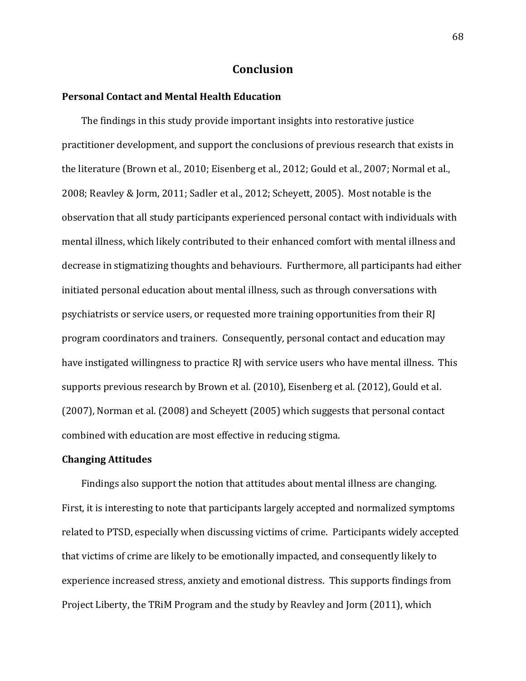# **Conclusion**

### **Personal\*Contact\*and\*Mental\*Health\*Education**

The findings in this study provide important insights into restorative justice practitioner development, and support the conclusions of previous research that exists in the literature (Brown et al., 2010; Eisenberg et al., 2012; Gould et al., 2007; Normal et al., 2008; Reavley & Jorm, 2011; Sadler et al., 2012; Scheyett, 2005). Most notable is the observation that all study participants experienced personal contact with individuals with mental illness, which likely contributed to their enhanced comfort with mental illness and decrease in stigmatizing thoughts and behaviours. Furthermore, all participants had either initiated personal education about mental illness, such as through conversations with psychiatrists or service users, or requested more training opportunities from their RJ program coordinators and trainers. Consequently, personal contact and education may have instigated willingness to practice RJ with service users who have mental illness. This supports previous research by Brown et al. (2010), Eisenberg et al. (2012), Gould et al. (2007), Norman et al. (2008) and Scheyett (2005) which suggests that personal contact combined with education are most effective in reducing stigma.

## **Changing\*Attitudes**

Findings also support the notion that attitudes about mental illness are changing. First, it is interesting to note that participants largely accepted and normalized symptoms related to PTSD, especially when discussing victims of crime. Participants widely accepted that victims of crime are likely to be emotionally impacted, and consequently likely to experience increased stress, anxiety and emotional distress. This supports findings from Project Liberty, the TRiM Program and the study by Reavley and Jorm (2011), which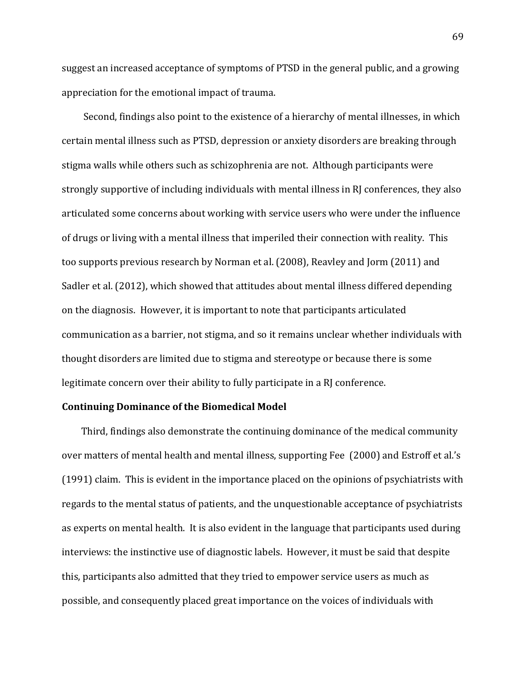suggest an increased acceptance of symptoms of PTSD in the general public, and a growing appreciation for the emotional impact of trauma.

Second, findings also point to the existence of a hierarchy of mental illnesses, in which certain mental illness such as PTSD, depression or anxiety disorders are breaking through stigma walls while others such as schizophrenia are not. Although participants were strongly supportive of including individuals with mental illness in RJ conferences, they also articulated some concerns about working with service users who were under the influence of drugs or living with a mental illness that imperiled their connection with reality. This too supports previous research by Norman et al. (2008), Reavley and Jorm (2011) and Sadler et al. (2012), which showed that attitudes about mental illness differed depending on the diagnosis. However, it is important to note that participants articulated communication as a barrier, not stigma, and so it remains unclear whether individuals with thought disorders are limited due to stigma and stereotype or because there is some legitimate concern over their ability to fully participate in a RJ conference.

#### **Continuing\*Dominance\*of\*the\*Biomedical\*Model**

Third, findings also demonstrate the continuing dominance of the medical community over matters of mental health and mental illness, supporting Fee (2000) and Estroff et al.'s (1991) claim. This is evident in the importance placed on the opinions of psychiatrists with regards to the mental status of patients, and the unquestionable acceptance of psychiatrists as experts on mental health. It is also evident in the language that participants used during interviews: the instinctive use of diagnostic labels. However, it must be said that despite this, participants also admitted that they tried to empower service users as much as possible, and consequently placed great importance on the voices of individuals with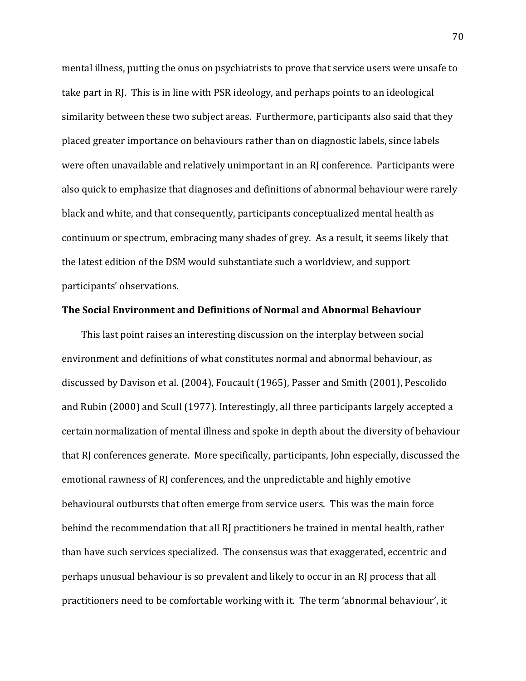mental illness, putting the onus on psychiatrists to prove that service users were unsafe to take part in RJ. This is in line with PSR ideology, and perhaps points to an ideological similarity between these two subject areas. Furthermore, participants also said that they placed greater importance on behaviours rather than on diagnostic labels, since labels were often unavailable and relatively unimportant in an RJ conference. Participants were also quick to emphasize that diagnoses and definitions of abnormal behaviour were rarely black and white, and that consequently, participants conceptualized mental health as continuum or spectrum, embracing many shades of grey. As a result, it seems likely that the latest edition of the DSM would substantiate such a worldview, and support participants' observations.

### **The Social Environment and Definitions of Normal and Abnormal Behaviour**

This last point raises an interesting discussion on the interplay between social environment and definitions of what constitutes normal and abnormal behaviour, as discussed by Davison et al. (2004), Foucault (1965), Passer and Smith (2001), Pescolido and Rubin (2000) and Scull (1977). Interestingly, all three participants largely accepted a certain normalization of mental illness and spoke in depth about the diversity of behaviour that RJ conferences generate. More specifically, participants, John especially, discussed the emotional rawness of RJ conferences, and the unpredictable and highly emotive behavioural outbursts that often emerge from service users. This was the main force behind the recommendation that all RJ practitioners be trained in mental health, rather than have such services specialized. The consensus was that exaggerated, eccentric and perhaps unusual behaviour is so prevalent and likely to occur in an RJ process that all practitioners need to be comfortable working with it. The term 'abnormal behaviour', it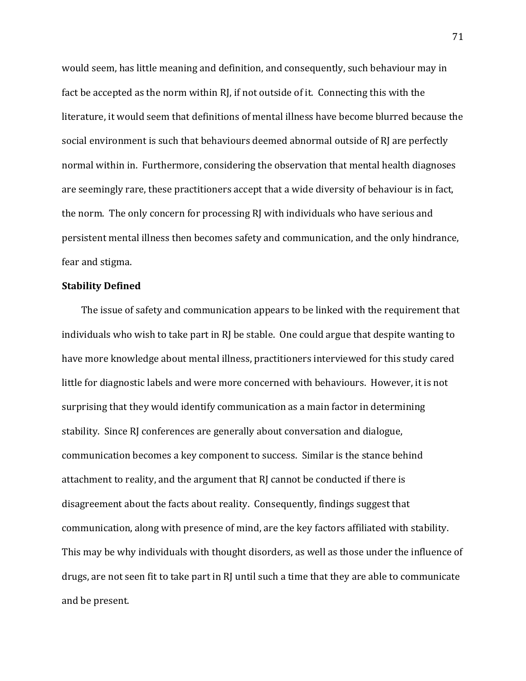would seem, has little meaning and definition, and consequently, such behaviour may in fact be accepted as the norm within RJ, if not outside of it. Connecting this with the literature, it would seem that definitions of mental illness have become blurred because the social environment is such that behaviours deemed abnormal outside of RJ are perfectly normal within in. Furthermore, considering the observation that mental health diagnoses are seemingly rare, these practitioners accept that a wide diversity of behaviour is in fact, the norm. The only concern for processing RJ with individuals who have serious and persistent mental illness then becomes safety and communication, and the only hindrance, fear and stigma.

### **Stability\*Defined**

The issue of safety and communication appears to be linked with the requirement that individuals who wish to take part in  $RI$  be stable. One could argue that despite wanting to have more knowledge about mental illness, practitioners interviewed for this study cared little for diagnostic labels and were more concerned with behaviours. However, it is not surprising that they would identify communication as a main factor in determining stability. Since RJ conferences are generally about conversation and dialogue, communication becomes a key component to success. Similar is the stance behind attachment to reality, and the argument that RJ cannot be conducted if there is disagreement about the facts about reality. Consequently, findings suggest that communication, along with presence of mind, are the key factors affiliated with stability. This may be why individuals with thought disorders, as well as those under the influence of drugs, are not seen fit to take part in RJ until such a time that they are able to communicate and be present.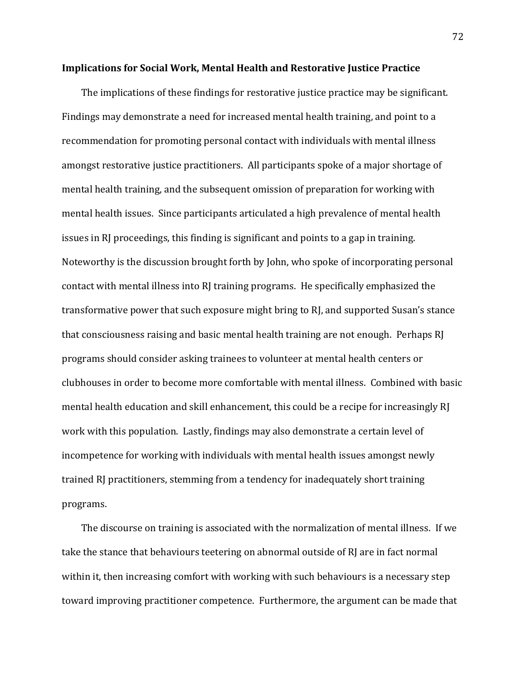#### **Implications for Social Work, Mental Health and Restorative Justice Practice**

The implications of these findings for restorative justice practice may be significant. Findings may demonstrate a need for increased mental health training, and point to a recommendation for promoting personal contact with individuals with mental illness amongst restorative justice practitioners. All participants spoke of a major shortage of mental health training, and the subsequent omission of preparation for working with mental health issues. Since participants articulated a high prevalence of mental health issues in RI proceedings, this finding is significant and points to a gap in training. Noteworthy is the discussion brought forth by John, who spoke of incorporating personal contact with mental illness into RJ training programs. He specifically emphasized the transformative power that such exposure might bring to RJ, and supported Susan's stance that consciousness raising and basic mental health training are not enough. Perhaps RJ programs should consider asking trainees to volunteer at mental health centers or clubhouses in order to become more comfortable with mental illness. Combined with basic mental health education and skill enhancement, this could be a recipe for increasingly RJ work with this population. Lastly, findings may also demonstrate a certain level of incompetence for working with individuals with mental health issues amongst newly trained RJ practitioners, stemming from a tendency for inadequately short training programs.!

The discourse on training is associated with the normalization of mental illness. If we take the stance that behaviours teetering on abnormal outside of RJ are in fact normal within it, then increasing comfort with working with such behaviours is a necessary step toward improving practitioner competence. Furthermore, the argument can be made that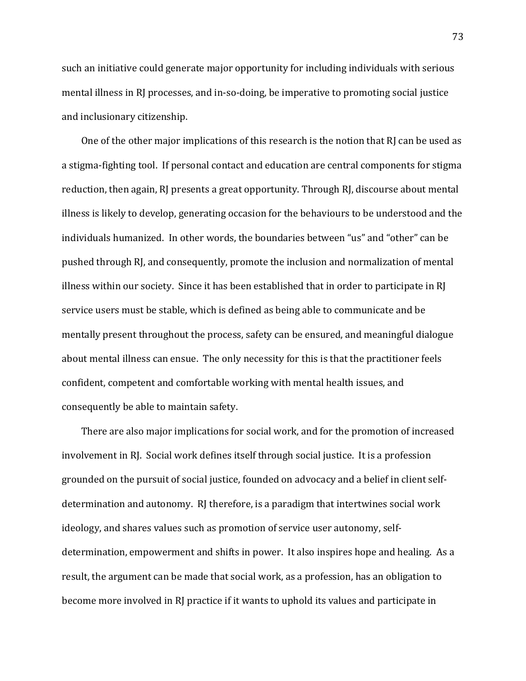such an initiative could generate major opportunity for including individuals with serious mental illness in RJ processes, and in-so-doing, be imperative to promoting social justice and inclusionary citizenship.

One of the other major implications of this research is the notion that RJ can be used as a stigma-fighting tool. If personal contact and education are central components for stigma reduction, then again, RJ presents a great opportunity. Through RJ, discourse about mental illness is likely to develop, generating occasion for the behaviours to be understood and the individuals humanized. In other words, the boundaries between "us" and "other" can be pushed through RJ, and consequently, promote the inclusion and normalization of mental illness within our society. Since it has been established that in order to participate in RJ service users must be stable, which is defined as being able to communicate and be mentally present throughout the process, safety can be ensured, and meaningful dialogue about mental illness can ensue. The only necessity for this is that the practitioner feels confident, competent and comfortable working with mental health issues, and consequently be able to maintain safety.

There are also major implications for social work, and for the promotion of increased involvement in RJ. Social work defines itself through social justice. It is a profession grounded on the pursuit of social justice, founded on advocacy and a belief in client selfdetermination and autonomy. RJ therefore, is a paradigm that intertwines social work ideology, and shares values such as promotion of service user autonomy, selfdetermination, empowerment and shifts in power. It also inspires hope and healing. As a result, the argument can be made that social work, as a profession, has an obligation to become more involved in RJ practice if it wants to uphold its values and participate in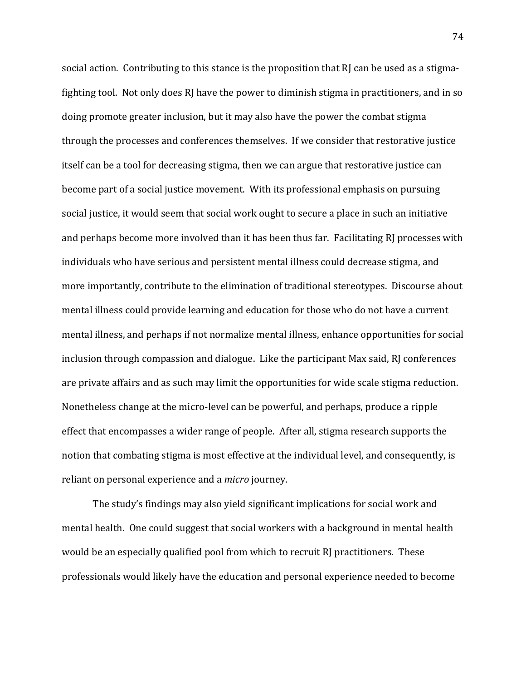social action. Contributing to this stance is the proposition that RJ can be used as a stigmafighting tool. Not only does  $R$  have the power to diminish stigma in practitioners, and in so doing promote greater inclusion, but it may also have the power the combat stigma through the processes and conferences themselves. If we consider that restorative justice itself can be a tool for decreasing stigma, then we can argue that restorative justice can become part of a social justice movement. With its professional emphasis on pursuing social justice, it would seem that social work ought to secure a place in such an initiative and perhaps become more involved than it has been thus far. Facilitating RI processes with individuals who have serious and persistent mental illness could decrease stigma, and more importantly, contribute to the elimination of traditional stereotypes. Discourse about mental illness could provide learning and education for those who do not have a current mental illness, and perhaps if not normalize mental illness, enhance opportunities for social inclusion through compassion and dialogue. Like the participant Max said, RJ conferences are private affairs and as such may limit the opportunities for wide scale stigma reduction. Nonetheless change at the micro-level can be powerful, and perhaps, produce a ripple effect that encompasses a wider range of people. After all, stigma research supports the notion that combating stigma is most effective at the individual level, and consequently, is reliant on personal experience and a *micro* journey.

The study's findings may also yield significant implications for social work and mental health. One could suggest that social workers with a background in mental health would be an especially qualified pool from which to recruit RJ practitioners. These professionals would likely have the education and personal experience needed to become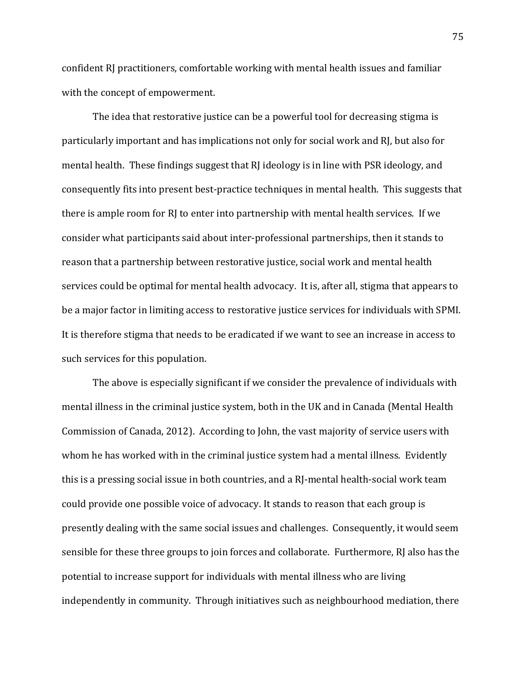confident RJ practitioners, comfortable working with mental health issues and familiar with the concept of empowerment.

The idea that restorative justice can be a powerful tool for decreasing stigma is particularly important and has implications not only for social work and RJ, but also for mental health. These findings suggest that RJ ideology is in line with PSR ideology, and consequently fits into present best-practice techniques in mental health. This suggests that there is ample room for RJ to enter into partnership with mental health services. If we consider what participants said about inter-professional partnerships, then it stands to reason that a partnership between restorative justice, social work and mental health services could be optimal for mental health advocacy. It is, after all, stigma that appears to be a major factor in limiting access to restorative justice services for individuals with SPMI. It is therefore stigma that needs to be eradicated if we want to see an increase in access to such services for this population.

The above is especially significant if we consider the prevalence of individuals with mental illness in the criminal justice system, both in the UK and in Canada (Mental Health Commission of Canada, 2012). According to John, the vast majority of service users with whom he has worked with in the criminal justice system had a mental illness. Evidently this is a pressing social issue in both countries, and a RJ-mental health-social work team could provide one possible voice of advocacy. It stands to reason that each group is presently dealing with the same social issues and challenges. Consequently, it would seem sensible for these three groups to join forces and collaborate. Furthermore, RJ also has the potential to increase support for individuals with mental illness who are living independently in community. Through initiatives such as neighbourhood mediation, there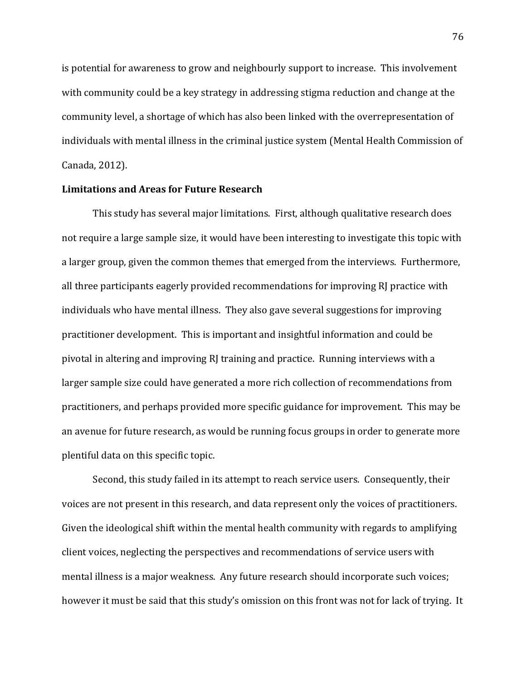is potential for awareness to grow and neighbourly support to increase. This involvement with community could be a key strategy in addressing stigma reduction and change at the community level, a shortage of which has also been linked with the overrepresentation of individuals with mental illness in the criminal justice system (Mental Health Commission of Canada, 2012).

### **Limitations and Areas for Future Research**

This study has several major limitations. First, although qualitative research does not require a large sample size, it would have been interesting to investigate this topic with a larger group, given the common themes that emerged from the interviews. Furthermore, all three participants eagerly provided recommendations for improving RJ practice with individuals who have mental illness. They also gave several suggestions for improving practitioner development. This is important and insightful information and could be pivotal in altering and improving RJ training and practice. Running interviews with a larger sample size could have generated a more rich collection of recommendations from practitioners, and perhaps provided more specific guidance for improvement. This may be an avenue for future research, as would be running focus groups in order to generate more plentiful data on this specific topic.

Second, this study failed in its attempt to reach service users. Consequently, their voices are not present in this research, and data represent only the voices of practitioners. Given the ideological shift within the mental health community with regards to amplifying client voices, neglecting the perspectives and recommendations of service users with mental illness is a major weakness. Any future research should incorporate such voices; however it must be said that this study's omission on this front was not for lack of trying. It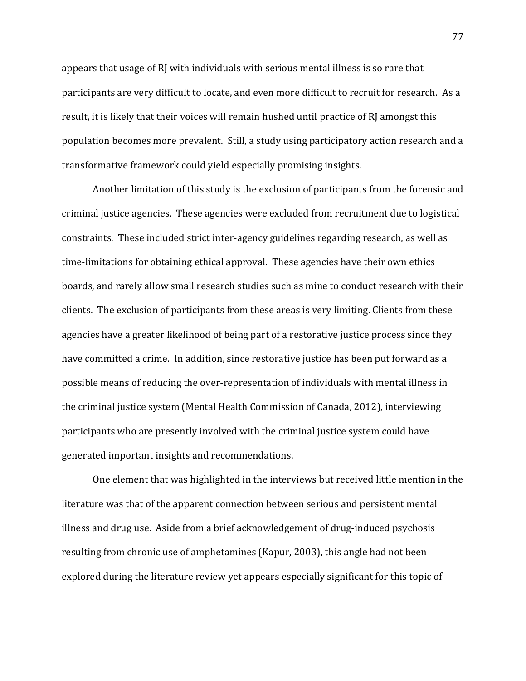appears that usage of RJ with individuals with serious mental illness is so rare that participants are very difficult to locate, and even more difficult to recruit for research. As a result, it is likely that their voices will remain hushed until practice of RJ amongst this population becomes more prevalent. Still, a study using participatory action research and a transformative framework could yield especially promising insights.

Another limitation of this study is the exclusion of participants from the forensic and criminal justice agencies. These agencies were excluded from recruitment due to logistical constraints. These included strict inter-agency guidelines regarding research, as well as time-limitations for obtaining ethical approval. These agencies have their own ethics boards, and rarely allow small research studies such as mine to conduct research with their clients. The exclusion of participants from these areas is very limiting. Clients from these agencies have a greater likelihood of being part of a restorative justice process since they have committed a crime. In addition, since restorative justice has been put forward as a possible means of reducing the over-representation of individuals with mental illness in the criminal justice system (Mental Health Commission of Canada, 2012), interviewing participants who are presently involved with the criminal justice system could have generated important insights and recommendations.

One element that was highlighted in the interviews but received little mention in the literature was that of the apparent connection between serious and persistent mental illness and drug use. Aside from a brief acknowledgement of drug-induced psychosis resulting from chronic use of amphetamines (Kapur, 2003), this angle had not been explored during the literature review yet appears especially significant for this topic of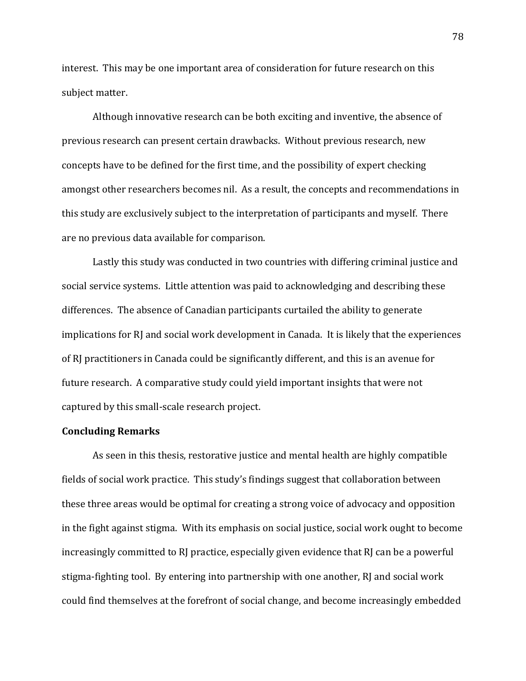interest. This may be one important area of consideration for future research on this subject matter.

Although innovative research can be both exciting and inventive, the absence of previous research can present certain drawbacks. Without previous research, new concepts have to be defined for the first time, and the possibility of expert checking amongst other researchers becomes nil. As a result, the concepts and recommendations in this study are exclusively subject to the interpretation of participants and myself. There are no previous data available for comparison.

Lastly this study was conducted in two countries with differing criminal justice and social service systems. Little attention was paid to acknowledging and describing these differences. The absence of Canadian participants curtailed the ability to generate implications for RJ and social work development in Canada. It is likely that the experiences of RJ practitioners in Canada could be significantly different, and this is an avenue for future research. A comparative study could yield important insights that were not captured by this small-scale research project.

#### **Concluding Remarks**

As seen in this thesis, restorative justice and mental health are highly compatible fields of social work practice. This study's findings suggest that collaboration between these three areas would be optimal for creating a strong voice of advocacy and opposition in the fight against stigma. With its emphasis on social justice, social work ought to become increasingly committed to RJ practice, especially given evidence that  $RI$  can be a powerful stigma-fighting tool. By entering into partnership with one another, RJ and social work could find themselves at the forefront of social change, and become increasingly embedded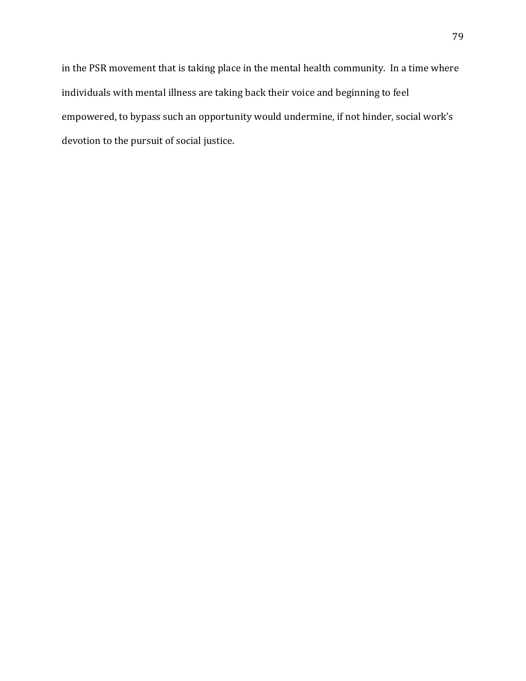in the PSR movement that is taking place in the mental health community. In a time where individuals with mental illness are taking back their voice and beginning to feel empowered, to bypass such an opportunity would undermine, if not hinder, social work's devotion to the pursuit of social justice.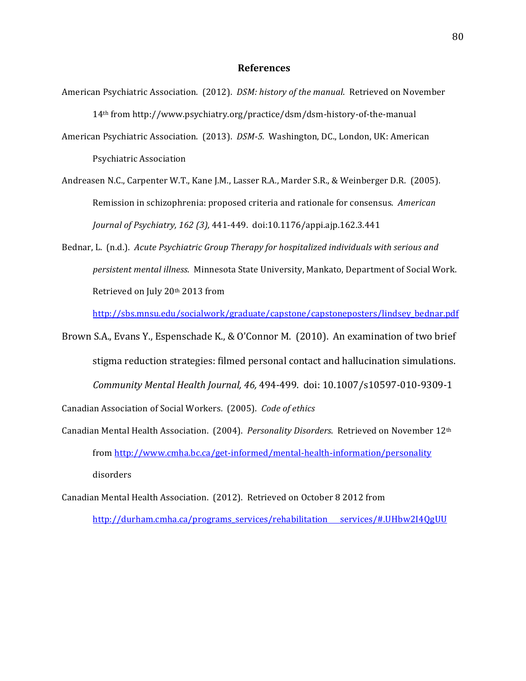#### **References**

- American Psychiatric Association. (2012). *DSM: history of the manual.* Retrieved on November 14<sup>th</sup> from http://www.psychiatry.org/practice/dsm/dsm-history-of-the-manual
- American Psychiatric Association. (2013). *DSM-5.* Washington, DC., London, UK: American Psychiatric Association
- Andreasen N.C., Carpenter W.T., Kane J.M., Lasser R.A., Marder S.R., & Weinberger D.R. (2005). Remission in schizophrenia: proposed criteria and rationale for consensus. American *Journal of Psychiatry, 162 (3), 441-449. doi:10.1176/appi.ajp.162.3.441*
- Bednar, L. (n.d.). *Acute Psychiatric Group Therapy for hospitalized individuals with serious and persistent mental illness*. Minnesota State University, Mankato, Department of Social Work. Retrieved on July 20<sup>th</sup> 2013 from

http://sbs.mnsu.edu/socialwork/graduate/capstone/capstoneposters/lindsey\_bednar.pdf

Brown S.A., Evans Y., Espenschade K., & O'Connor M. (2010). An examination of two brief stigma reduction strategies: filmed personal contact and hallucination simulations. *Community Mental Health Journal, 46, 494-499. doi: 10.1007/s10597-010-9309-1* Canadian Association of Social Workers. (2005). *Code of ethics* 

- Canadian Mental Health Association. (2004). *Personality Disorders*. Retrieved on November 12<sup>th</sup> from http://www.cmha.bc.ca/get-informed/mental-health-information/personality disorders
- Canadian Mental Health Association. (2012). Retrieved on October 8 2012 from http://durham.cmha.ca/programs\_services/rehabilitation services/#.UHbw2I4QgUU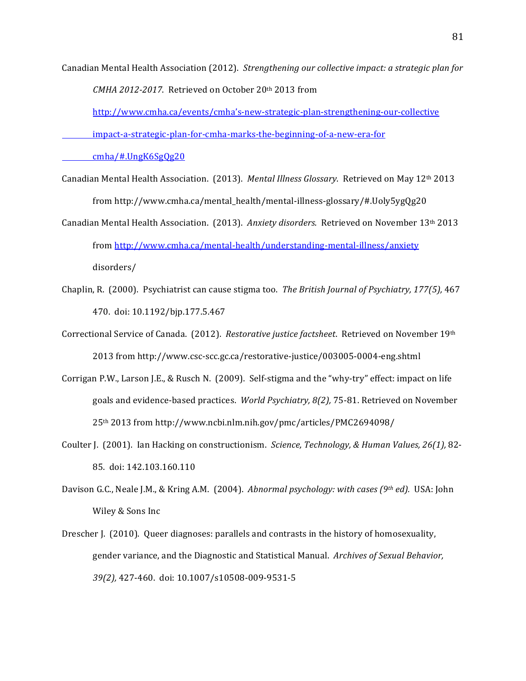Canadian Mental Health Association (2012). Strengthening our collective impact: a strategic plan for *CMHA 2012-2017.* Retrieved on October 20th 2013 from

http://www.cmha.ca/events/cmha's-new-strategic-plan-strengthening-our-collective

impact-a-strategic-plan-for-cmha-marks-the-beginning-of-a-new-era-for

cmha/#.UngK6SgQg20

- Canadian Mental Health Association. (2013). *Mental Illness Glossary*. Retrieved on May 12<sup>th</sup> 2013 from http://www.cmha.ca/mental\_health/mental-illness-glossary/#.Uoly5ygQg20
- Canadian Mental Health Association. (2013). *Anxiety disorders*. Retrieved on November 13<sup>th</sup> 2013 from http://www.cmha.ca/mental-health/understanding-mental-illness/anxiety disorders/
- Chaplin, R. (2000). Psychiatrist can cause stigma too. *The British Journal of Psychiatry, 177(5),* 467 470. doi: 10.1192/bjp.177.5.467
- Correctional Service of Canada. (2012). *Restorative justice factsheet*. Retrieved on November 19th 2013 from http://www.csc-scc.gc.ca/restorative-justice/003005-0004-eng.shtml
- Corrigan P.W., Larson J.E., & Rusch N. (2009). Self-stigma and the "why-try" effect: impact on life goals and evidence-based practices. *World Psychiatry, 8(2), 75-81*. Retrieved on November 25th!2013!from!http://www.ncbi.nlm.nih.gov/pmc/articles/PMC2694098/
- Coulter J. (2001). Ian Hacking on constructionism. *Science, Technology, & Human Values, 26(1),* 82-85. doi: 142.103.160.110
- Davison G.C., Neale J.M., & Kring A.M. (2004). *Abnormal psychology: with cases (9th ed).* USA: John Wiley & Sons Inc
- Drescher J. (2010). Queer diagnoses: parallels and contrasts in the history of homosexuality, gender variance, and the Diagnostic and Statistical Manual. Archives of Sexual Behavior, 39(2), 427-460. doi: 10.1007/s10508-009-9531-5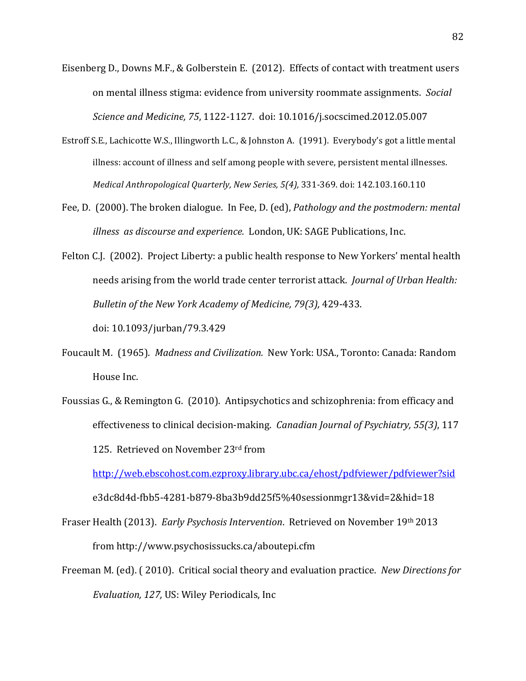- Eisenberg D., Downs M.F., & Golberstein E. (2012). Effects of contact with treatment users on mental illness stigma: evidence from university roommate assignments. *Social Science and Medicine, 75, 1122-1127. doi: 10.1016/j.socscimed.2012.05.007*
- Estroff S.E., Lachicotte W.S., Illingworth L.C., & Johnston A. (1991). Everybody's got a little mental illness: account of illness and self among people with severe, persistent mental illnesses. *Medical Anthropological Quarterly, New Series, 5(4), 331-369. doi: 142.103.160.110*
- Fee, D. (2000). The broken dialogue. In Fee, D. (ed), *Pathology and the postmodern: mental illness as discourse and experience.* London, UK: SAGE Publications, Inc.
- Felton C.J. (2002). Project Liberty: a public health response to New Yorkers' mental health needs arising from the world trade center terrorist attack. *Journal of Urban Health: Bulletin of the New York Academy of Medicine, 79(3), 429-433.*

doi:!10.1093/jurban/79.3.429

- Foucault M. (1965). *Madness and Civilization.* New York: USA., Toronto: Canada: Random House Inc.
- Foussias G., & Remington G. (2010). Antipsychotics and schizophrenia: from efficacy and effectiveness to clinical decision-making. *Canadian Journal of Psychiatry, 55(3)*, 117 125. Retrieved on November 23rd from

http://web.ebscohost.com.ezproxy.library.ubc.ca/ehost/pdfviewer/pdfviewer?sid

e3dc8d4d-fbb5-4281-b879-8ba3b9dd25f5%40sessionmgr13&vid=2&hid=18

Fraser Health (2013). *Early Psychosis Intervention*. Retrieved on November 19th 2013 from!http://www.psychosissucks.ca/aboutepi.cfm

Freeman M. (ed). (2010). Critical social theory and evaluation practice. *New Directions for Evaluation, 127, US: Wiley Periodicals, Inc*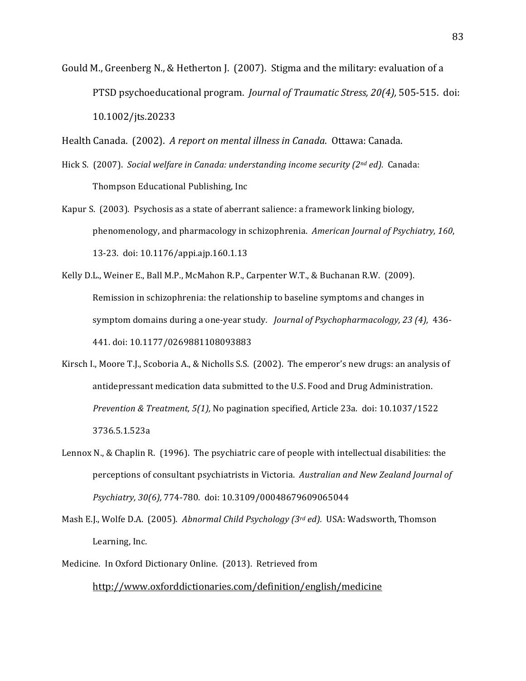Gould M., Greenberg N., & Hetherton J. (2007). Stigma and the military: evaluation of a PTSD psychoeducational program. *Journal of Traumatic Stress, 20(4),* 505-515. doi: 10.1002/jts.20233!!

Health Canada. (2002). *A report on mental illness in Canada*. Ottawa: Canada.

- Hick S. (2007). *Social welfare in Canada: understanding income security (2nd ed).* Canada: Thompson Educational Publishing, Inc.
- Kapur S. (2003). Psychosis as a state of aberrant salience: a framework linking biology, phenomenology, and pharmacology in schizophrenia. *American Journal of Psychiatry, 160*, 13-23. doi: 10.1176/appi.ajp.160.1.13
- Kelly D.L., Weiner E., Ball M.P., McMahon R.P., Carpenter W.T., & Buchanan R.W. (2009). Remission in schizophrenia: the relationship to baseline symptoms and changes in symptom domains during a one-year study. *Journal of Psychopharmacology, 23 (4),* 436-441. doi: 10.1177/0269881108093883
- Kirsch I., Moore T.J., Scoboria A., & Nicholls S.S. (2002). The emperor's new drugs: an analysis of antidepressant medication data submitted to the U.S. Food and Drug Administration. *Prevention & Treatment, 5(1),* No pagination specified, Article 23a. doi: 10.1037/1522 3736.5.1.523a
- Lennox N., & Chaplin R. (1996). The psychiatric care of people with intellectual disabilities: the perceptions of consultant psychiatrists in Victoria. *Australian and New Zealand Journal of* Psychiatry, 30(6), 774-780. doi: 10.3109/00048679609065044
- Mash E.J., Wolfe D.A. (2005). *Abnormal Child Psychology (3rd ed)*. USA: Wadsworth, Thomson Learning, Inc.
- Medicine. In Oxford Dictionary Online. (2013). Retrieved from

### http://www.oxforddictionaries.com/definition/english/medicine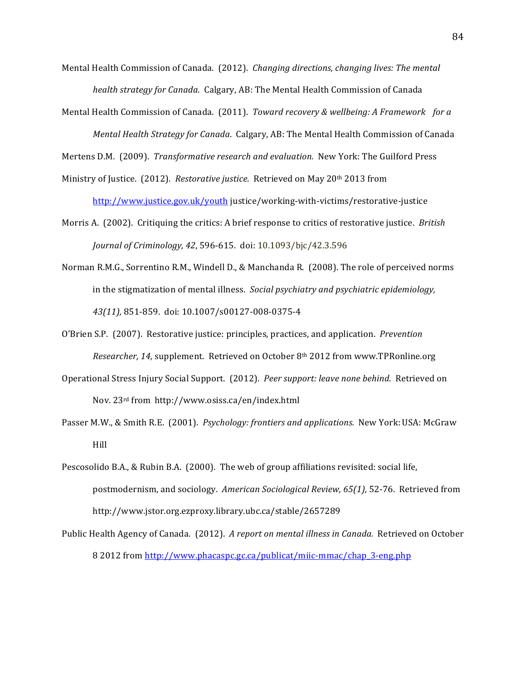- Mental Health Commission of Canada. (2012). *Changing directions, changing lives: The mental health strategy for Canada. Calgary, AB: The Mental Health Commission of Canada*
- Mental Health Commission of Canada. (2011). *Toward recovery & wellbeing: A Framework for a Mental Health Strategy for Canada. Calgary, AB: The Mental Health Commission of Canada*

Mertens D.M. (2009). *Transformative research and evaluation*. New York: The Guilford Press

- Ministry of Justice. (2012). *Restorative justice*. Retrieved on May 20<sup>th</sup> 2013 from http://www.justice.gov.uk/youth justice/working-with-victims/restorative-justice
- Morris A. (2002). Critiquing the critics: A brief response to critics of restorative justice. *British Journal of Criminology, 42, 596-615. doi: 10.1093/bjc/42.3.596*
- Norman R.M.G., Sorrentino R.M., Windell D., & Manchanda R. (2008). The role of perceived norms in the stigmatization of mental illness. *Social psychiatry and psychiatric epidemiology*, 43(11), 851-859. doi: 10.1007/s00127-008-0375-4
- O'Brien S.P. (2007). Restorative justice: principles, practices, and application. *Prevention Researcher, 14,* supplement. Retrieved on October 8<sup>th</sup> 2012 from www.TPRonline.org
- Operational Stress Injury Social Support. (2012). *Peer support: leave none behind*. Retrieved on Nov.!23rd!from http://www.osiss.ca/en/index.html
- Passer M.W., & Smith R.E. (2001). *Psychology: frontiers and applications.* New York: USA: McGraw Hill
- Pescosolido B.A., & Rubin B.A. (2000). The web of group affiliations revisited: social life, postmodernism, and sociology. *American Sociological Review, 65(1)*, 52-76. Retrieved from http://www.jstor.org.ezproxy.library.ubc.ca/stable/2657289
- Public Health Agency of Canada. (2012). *A report on mental illness in Canada.* Retrieved on October 8 2012 from http://www.phacaspc.gc.ca/publicat/miic-mmac/chap\_3-eng.php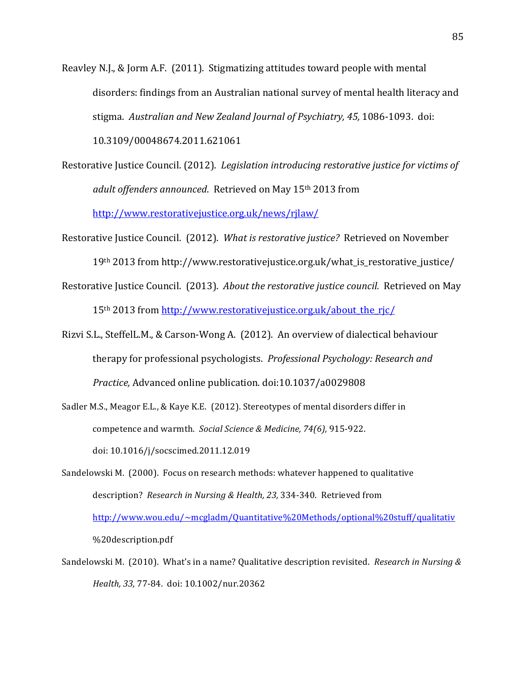Reavley N.J., & Jorm A.F. (2011). Stigmatizing attitudes toward people with mental disorders: findings from an Australian national survey of mental health literacy and stigma. Australian and New Zealand Journal of Psychiatry, 45, 1086-1093. doi: 10.3109/00048674.2011.621061

- Restorative Justice Council. (2012). *Legislation introducing restorative justice for victims of* adult offenders announced. Retrieved on May 15<sup>th</sup> 2013 from http://www.restorativejustice.org.uk/news/rjlaw/
- Restorative Justice Council. (2012). *What is restorative justice?* Retrieved on November 19<sup>th</sup> 2013 from http://www.restorativejustice.org.uk/what\_is\_restorative\_justice/
- Restorative Justice Council. (2013). *About the restorative justice council.* Retrieved on May 15<sup>th</sup> 2013 from http://www.restorativejustice.org.uk/about the rjc/
- Rizvi S.L., SteffelL.M., & Carson-Wong A. (2012). An overview of dialectical behaviour therapy for professional psychologists. Professional Psychology: Research and Practice, Advanced online publication. doi:10.1037/a0029808
- Sadler M.S., Meagor E.L., & Kaye K.E. (2012). Stereotypes of mental disorders differ in competence and warmth. Social Science & Medicine, 74(6), 915-922. doi:!10.1016/j/socscimed.2011.12.019!
- Sandelowski M. (2000). Focus on research methods: whatever happened to qualitative description? Research in Nursing & Health, 23, 334-340. Retrieved from http://www.wou.edu/~mcgladm/Quantitative%20Methods/optional%20stuff/qualitativ %20description.pdf
- Sandelowski M. (2010). What's in a name? Qualitative description revisited. *Research in Nursing &* Health, 33, 77-84. doi: 10.1002/nur.20362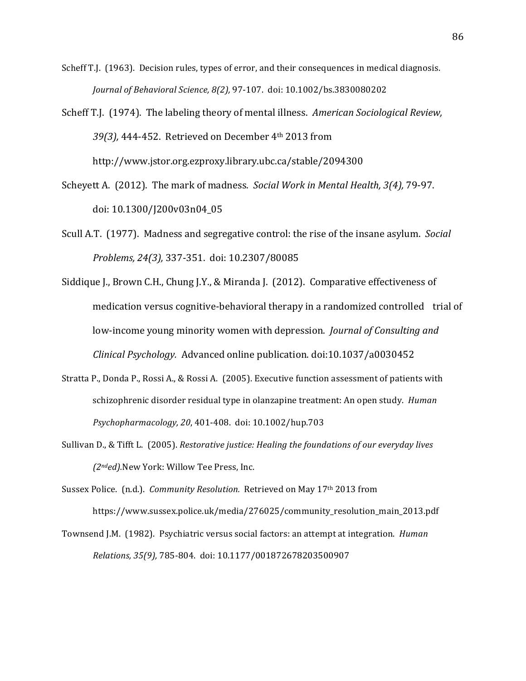- Scheff T.J. (1963). Decision rules, types of error, and their consequences in medical diagnosis. *Journal of Behavioral Science, 8(2), 97-107. doi: 10.1002/bs.3830080202*
- Scheff T.J. (1974). The labeling theory of mental illness. *American Sociological Review,* 39(3), 444-452. Retrieved on December 4<sup>th</sup> 2013 from http://www.jstor.org.ezproxy.library.ubc.ca/stable/2094300
- Scheyett A. (2012). The mark of madness. *Social Work in Mental Health, 3(4), 79-97.* doi:!10.1300/J200v03n04\_05
- Scull A.T. (1977). Madness and segregative control: the rise of the insane asylum. *Social Problems, 24(3), 337-351. doi: 10.2307/80085*
- Siddique J., Brown C.H., Chung J.Y., & Miranda J. (2012). Comparative effectiveness of medication versus cognitive-behavioral therapy in a randomized controlled trial of low-income young minority women with depression. *Journal of Consulting and Clinical Psychology.* Advanced online publication. doi:10.1037/a0030452
- Stratta P., Donda P., Rossi A., & Rossi A. (2005). Executive function assessment of patients with schizophrenic disorder residual type in olanzapine treatment: An open study. *Human Psychopharmacology,+20*,!401[408.!!doi:!10.1002/hup.703
- Sullivan D., & Tifft L. (2005). *Restorative justice: Healing the foundations of our everyday lives (2<sup>nd</sup>ed)*.New York: Willow Tee Press, Inc.
- Sussex Police. (n.d.). *Community Resolution.* Retrieved on May 17<sup>th</sup> 2013 from https://www.sussex.police.uk/media/276025/community\_resolution\_main\_2013.pdf
- Townsend J.M. (1982). Psychiatric versus social factors: an attempt at integration. *Human Relations, 35(9), 785-804. doi: 10.1177/001872678203500907*